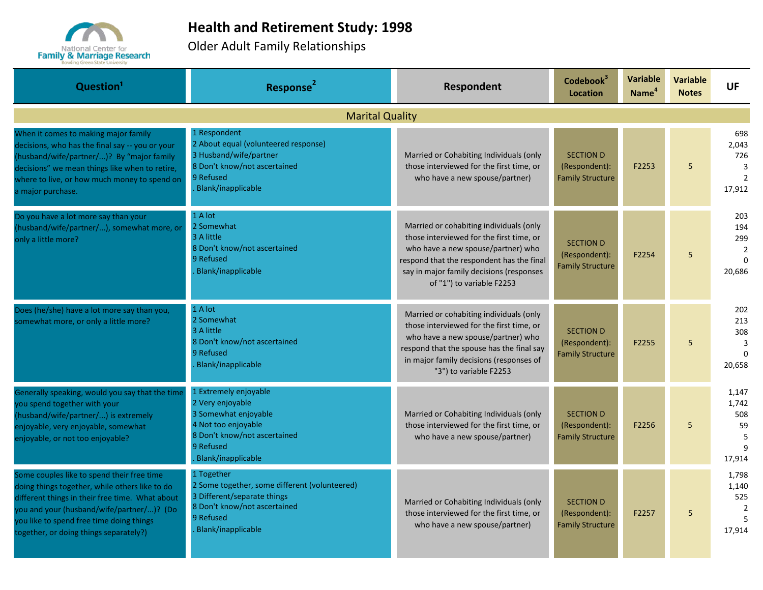

## **Health and Retirement Study: 1998**

Older Adult Family Relationships

| Question <sup>1</sup>                                                                                                                                                                                                                                                              | Response <sup>2</sup>                                                                                                                                              | <b>Respondent</b>                                                                                                                                                                                                                               | Codebook <sup>3</sup><br><b>Location</b>                     | <b>Variable</b><br>Name <sup>4</sup> | <b>Variable</b><br><b>Notes</b> | <b>UF</b>                                                         |
|------------------------------------------------------------------------------------------------------------------------------------------------------------------------------------------------------------------------------------------------------------------------------------|--------------------------------------------------------------------------------------------------------------------------------------------------------------------|-------------------------------------------------------------------------------------------------------------------------------------------------------------------------------------------------------------------------------------------------|--------------------------------------------------------------|--------------------------------------|---------------------------------|-------------------------------------------------------------------|
|                                                                                                                                                                                                                                                                                    | <b>Marital Quality</b>                                                                                                                                             |                                                                                                                                                                                                                                                 |                                                              |                                      |                                 |                                                                   |
| When it comes to making major family<br>decisions, who has the final say -- you or your<br>(husband/wife/partner/)? By "major family<br>decisions" we mean things like when to retire,<br>where to live, or how much money to spend on<br>a major purchase.                        | 1 Respondent<br>2 About equal (volunteered response)<br>3 Husband/wife/partner<br>8 Don't know/not ascertained<br>9 Refused<br>Blank/inapplicable                  | Married or Cohabiting Individuals (only<br>those interviewed for the first time, or<br>who have a new spouse/partner)                                                                                                                           | <b>SECTION D</b><br>(Respondent):<br><b>Family Structure</b> | F2253                                | 5 <sup>5</sup>                  | 698<br>2,043<br>726<br>$\overline{3}$<br>$\overline{2}$<br>17,912 |
| Do you have a lot more say than your<br>(husband/wife/partner/), somewhat more, or<br>only a little more?                                                                                                                                                                          | 1 A lot<br>2 Somewhat<br>3 A little<br>8 Don't know/not ascertained<br>9 Refused<br><b>Blank/inapplicable</b>                                                      | Married or cohabiting individuals (only<br>those interviewed for the first time, or<br>who have a new spouse/partner) who<br>respond that the respondent has the final<br>say in major family decisions (responses<br>of "1") to variable F2253 | <b>SECTION D</b><br>(Respondent):<br><b>Family Structure</b> | F2254                                | 5                               | 203<br>194<br>299<br>$\overline{2}$<br>$\Omega$<br>20,686         |
| Does (he/she) have a lot more say than you,<br>somewhat more, or only a little more?                                                                                                                                                                                               | 1 A lot<br>2 Somewhat<br>3 A little<br>8 Don't know/not ascertained<br>9 Refused<br>Blank/inapplicable                                                             | Married or cohabiting individuals (only<br>those interviewed for the first time, or<br>who have a new spouse/partner) who<br>respond that the spouse has the final say<br>in major family decisions (responses of<br>"3") to variable F2253     | <b>SECTION D</b><br>(Respondent):<br><b>Family Structure</b> | F2255                                | 5                               | 202<br>213<br>308<br>$\overline{3}$<br>$\Omega$<br>20,658         |
| Generally speaking, would you say that the time<br>you spend together with your<br>husband/wife/partner/) is extremely<br>enjoyable, very enjoyable, somewhat<br>enjoyable, or not too enjoyable?                                                                                  | 1 Extremely enjoyable<br>2 Very enjoyable<br>3 Somewhat enjoyable<br>4 Not too enjoyable<br>8 Don't know/not ascertained<br>9 Refused<br><b>Blank/inapplicable</b> | Married or Cohabiting Individuals (only<br>those interviewed for the first time, or<br>who have a new spouse/partner)                                                                                                                           | <b>SECTION D</b><br>(Respondent):<br><b>Family Structure</b> | F2256                                | 5                               | 1,147<br>1,742<br>508<br>59<br>5<br>17,914                        |
| Some couples like to spend their free time<br>doing things together, while others like to do<br>different things in their free time. What about<br>you and your (husband/wife/partner/)? (Do<br>you like to spend free time doing things<br>together, or doing things separately?) | 1 Together<br>2 Some together, some different (volunteered)<br>3 Different/separate things<br>8 Don't know/not ascertained<br>9 Refused<br>Blank/inapplicable      | Married or Cohabiting Individuals (only<br>those interviewed for the first time, or<br>who have a new spouse/partner)                                                                                                                           | <b>SECTION D</b><br>(Respondent):<br><b>Family Structure</b> | F2257                                | 5                               | 1,798<br>1,140<br>525<br>$\overline{2}$<br>5<br>17.914            |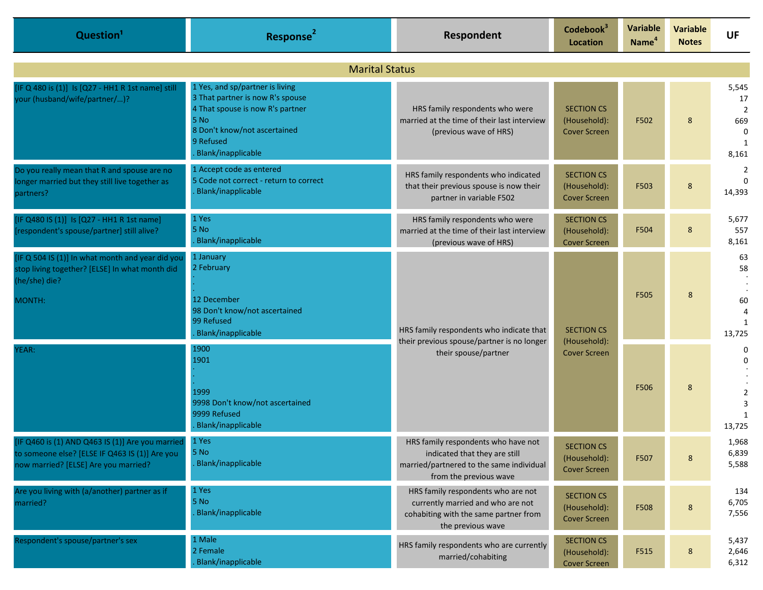| Question <sup>1</sup>                                                                                                                      | Response <sup>2</sup>                                                                                                                                                              | Respondent                                                                                                                                 | Codebook <sup>3</sup><br>Location                        | Variable<br>Name <sup>4</sup>       | <b>Variable</b><br><b>Notes</b> | <b>UF</b>                                                                   |                       |  |
|--------------------------------------------------------------------------------------------------------------------------------------------|------------------------------------------------------------------------------------------------------------------------------------------------------------------------------------|--------------------------------------------------------------------------------------------------------------------------------------------|----------------------------------------------------------|-------------------------------------|---------------------------------|-----------------------------------------------------------------------------|-----------------------|--|
| <b>Marital Status</b>                                                                                                                      |                                                                                                                                                                                    |                                                                                                                                            |                                                          |                                     |                                 |                                                                             |                       |  |
| [IF Q 480 is (1)] Is [Q27 - HH1 R 1st name] still<br>your (husband/wife/partner/)?                                                         | 1 Yes, and sp/partner is living<br>3 That partner is now R's spouse<br>4 That spouse is now R's partner<br>5 No<br>8 Don't know/not ascertained<br>9 Refused<br>Blank/inapplicable | HRS family respondents who were<br>married at the time of their last interview<br>(previous wave of HRS)                                   | <b>SECTION CS</b><br>(Household):<br><b>Cover Screen</b> | F502                                | 8                               | 5,545<br>17<br>$\overline{2}$<br>669<br>$\Omega$<br>$\overline{1}$<br>8,161 |                       |  |
| Do you really mean that R and spouse are no<br>longer married but they still live together as<br>partners?                                 | 1 Accept code as entered<br>5 Code not correct - return to correct<br>Blank/inapplicable                                                                                           | HRS family respondents who indicated<br>that their previous spouse is now their<br>partner in variable F502                                | <b>SECTION CS</b><br>(Household):<br><b>Cover Screen</b> | F503                                | 8                               | $\overline{2}$<br>$\Omega$<br>14,393                                        |                       |  |
| [IF Q480 IS (1)] Is [Q27 - HH1 R 1st name]<br>[respondent's spouse/partner] still alive?                                                   | 1 Yes<br>5 No<br>Blank/inapplicable                                                                                                                                                | HRS family respondents who were<br>married at the time of their last interview<br>(previous wave of HRS)                                   | <b>SECTION CS</b><br>(Household):<br><b>Cover Screen</b> | F504                                | 8                               | 5,677<br>557<br>8,161                                                       |                       |  |
| [IF Q 504 IS (1)] In what month and year did you<br>stop living together? [ELSE] In what month did<br>(he/she) die?<br>MONTH:              | 1 January<br>2 February<br>12 December<br>98 Don't know/not ascertained<br>99 Refused<br>Blank/inapplicable                                                                        | HRS family respondents who indicate that<br>their previous spouse/partner is no longer<br>their spouse/partner                             | <b>SECTION CS</b>                                        | F505                                | 8                               | 63<br>58<br>60<br>1<br>13,725                                               |                       |  |
| YEAR:                                                                                                                                      | 1900<br>1901<br>1999<br>9998 Don't know/not ascertained<br>9999 Refused<br>Blank/inapplicable                                                                                      |                                                                                                                                            |                                                          | (Household):<br><b>Cover Screen</b> | F506                            | 8                                                                           | 0<br>0<br>3<br>13,725 |  |
| [IF Q460 is (1) AND Q463 IS (1)] Are you married<br>to someone else? [ELSE IF Q463 IS (1)] Are you<br>now married? [ELSE] Are you married? | 1 Yes<br>5 No<br>Blank/inapplicable                                                                                                                                                | HRS family respondents who have not<br>indicated that they are still<br>married/partnered to the same individual<br>from the previous wave | <b>SECTION CS</b><br>(Household):<br><b>Cover Screen</b> | F507                                | $\bf 8$                         | 1,968<br>6,839<br>5,588                                                     |                       |  |
| Are you living with (a/another) partner as if<br>married?                                                                                  | 1 Yes<br>5 No<br>Blank/inapplicable                                                                                                                                                | HRS family respondents who are not<br>currently married and who are not<br>cohabiting with the same partner from<br>the previous wave      | <b>SECTION CS</b><br>(Household):<br><b>Cover Screen</b> | F508                                | $\bf 8$                         | 134<br>6,705<br>7,556                                                       |                       |  |
| Respondent's spouse/partner's sex                                                                                                          | 1 Male<br>2 Female<br>Blank/inapplicable                                                                                                                                           | HRS family respondents who are currently<br>married/cohabiting                                                                             | <b>SECTION CS</b><br>(Household):<br><b>Cover Screen</b> | F515                                | $\bf 8$                         | 5,437<br>2,646<br>6,312                                                     |                       |  |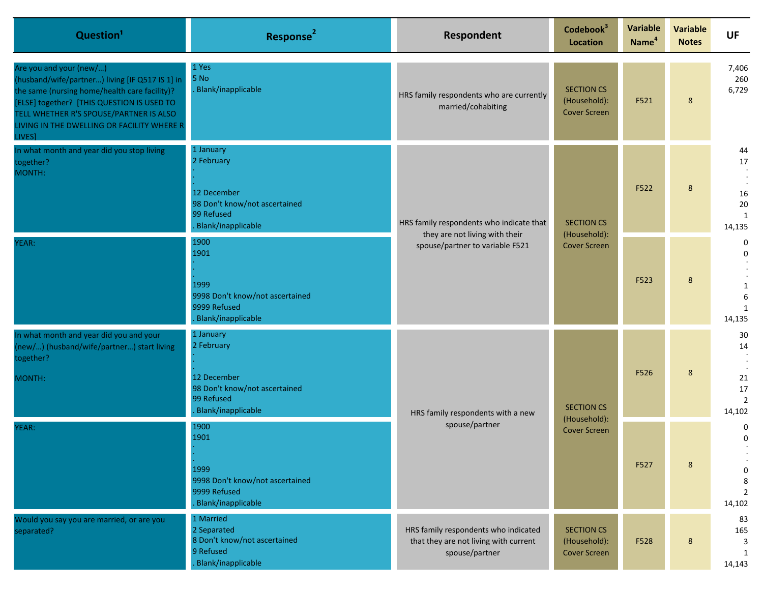| Question <sup>1</sup>                                                                                                                                                                                                                                                               | Response <sup>2</sup>                                                                                       | Respondent                                                                                                    | Codebook <sup>3</sup><br>Location                        | Variable<br>Name <sup>4</sup>     | <b>Variable</b><br><b>Notes</b> | <b>UF</b>                                                         |                                                      |
|-------------------------------------------------------------------------------------------------------------------------------------------------------------------------------------------------------------------------------------------------------------------------------------|-------------------------------------------------------------------------------------------------------------|---------------------------------------------------------------------------------------------------------------|----------------------------------------------------------|-----------------------------------|---------------------------------|-------------------------------------------------------------------|------------------------------------------------------|
| Are you and your (new/)<br>(husband/wife/partner) living [IF Q517 IS 1] in<br>the same (nursing home/health care facility)?<br>[ELSE] together? [THIS QUESTION IS USED TO<br>TELL WHETHER R'S SPOUSE/PARTNER IS ALSO<br>LIVING IN THE DWELLING OR FACILITY WHERE R<br><b>LIVES1</b> | 1 Yes<br>5 No<br>Blank/inapplicable                                                                         | HRS family respondents who are currently<br>married/cohabiting                                                | <b>SECTION CS</b><br>(Household):<br><b>Cover Screen</b> | F521                              | 8                               | 7,406<br>260<br>6,729                                             |                                                      |
| In what month and year did you stop living<br>together?<br>MONTH:                                                                                                                                                                                                                   | 1 January<br>2 February<br>12 December<br>98 Don't know/not ascertained<br>99 Refused<br>Blank/inapplicable | HRS family respondents who indicate that<br>they are not living with their<br>spouse/partner to variable F521 |                                                          | <b>SECTION CS</b><br>(Household): | F522                            | 8                                                                 | 44<br>$17\,$<br>$16\,$<br>$20\,$<br>1<br>14,135      |
| YEAR:                                                                                                                                                                                                                                                                               | 1900<br>1901<br>1999<br>9998 Don't know/not ascertained<br>9999 Refused<br>Blank/inapplicable               |                                                                                                               | <b>Cover Screen</b>                                      |                                   | F523                            | 8                                                                 | 0<br>$\mathbf 0$<br>1<br>6<br>1<br>14,135            |
| In what month and year did you and your<br>(new/) (husband/wife/partner) start living<br>together?<br>MONTH:                                                                                                                                                                        | 1 January<br>2 February<br>12 December<br>98 Don't know/not ascertained<br>99 Refused<br>Blank/inapplicable | HRS family respondents with a new<br>spouse/partner                                                           |                                                          | <b>SECTION CS</b><br>(Household): | F526                            | 8                                                                 | 30<br>14<br>21<br>$17\,$<br>$\overline{2}$<br>14,102 |
| YEAR:                                                                                                                                                                                                                                                                               | 1900<br>1901<br>1999<br>9998 Don't know/not ascertained<br>9999 Refused<br>Blank/inapplicable               |                                                                                                               | <b>Cover Screen</b>                                      | F527                              | 8                               | 0<br>$\mathbf{0}$<br>$\mathbf 0$<br>8<br>$\overline{2}$<br>14,102 |                                                      |
| Would you say you are married, or are you<br>separated?                                                                                                                                                                                                                             | 1 Married<br>2 Separated<br>8 Don't know/not ascertained<br>9 Refused<br>Blank/inapplicable                 | HRS family respondents who indicated<br>that they are not living with current<br>spouse/partner               | <b>SECTION CS</b><br>(Household):<br><b>Cover Screen</b> | F528                              | 8                               | 83<br>165<br>3<br>1<br>14,143                                     |                                                      |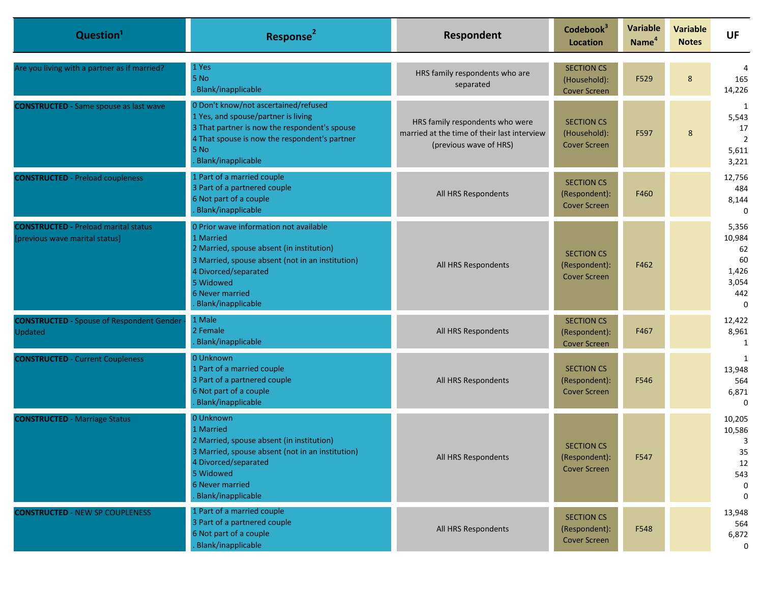| Question <sup>1</sup>                                                         | Response <sup>2</sup>                                                                                                                                                                                                                     | Respondent                                                                                               | Codebook <sup>3</sup><br><b>Location</b>                  | <b>Variable</b><br>Name <sup>4</sup> | <b>Variable</b><br><b>Notes</b> | <b>UF</b>                                                        |
|-------------------------------------------------------------------------------|-------------------------------------------------------------------------------------------------------------------------------------------------------------------------------------------------------------------------------------------|----------------------------------------------------------------------------------------------------------|-----------------------------------------------------------|--------------------------------------|---------------------------------|------------------------------------------------------------------|
| Are you living with a partner as if married?                                  | 1 Yes<br>5 No<br>Blank/inapplicable                                                                                                                                                                                                       | HRS family respondents who are<br>separated                                                              | <b>SECTION CS</b><br>(Household):<br><b>Cover Screen</b>  | F529                                 | 8                               | 165<br>14,226                                                    |
| <b>CONSTRUCTED - Same spouse as last wave</b>                                 | 0 Don't know/not ascertained/refused<br>1 Yes, and spouse/partner is living<br>3 That partner is now the respondent's spouse<br>4 That spouse is now the respondent's partner<br>5 No<br>Blank/inapplicable                               | HRS family respondents who were<br>married at the time of their last interview<br>(previous wave of HRS) | <b>SECTION CS</b><br>(Household):<br><b>Cover Screen</b>  | F597                                 | 8                               | 1<br>5,543<br>17<br>$\overline{2}$<br>5,611<br>3,221             |
| <b>CONSTRUCTED</b> - Preload coupleness                                       | 1 Part of a married couple<br>3 Part of a partnered couple<br>6 Not part of a couple<br>Blank/inapplicable                                                                                                                                | All HRS Respondents                                                                                      | <b>SECTION CS</b><br>(Respondent):<br><b>Cover Screen</b> | F460                                 |                                 | 12,756<br>484<br>8,144<br>$\Omega$                               |
| <b>CONSTRUCTED - Preload marital status</b><br>[previous wave marital status] | 0 Prior wave information not available<br>1 Married<br>2 Married, spouse absent (in institution)<br>3 Married, spouse absent (not in an institution)<br>4 Divorced/separated<br>5 Widowed<br><b>6 Never married</b><br>Blank/inapplicable | All HRS Respondents                                                                                      | <b>SECTION CS</b><br>(Respondent):<br><b>Cover Screen</b> | F462                                 |                                 | 5,356<br>10,984<br>62<br>60<br>1,426<br>3,054<br>442<br>$\Omega$ |
| <b>CONSTRUCTED - Spouse of Respondent Gender</b><br>Updated                   | 1 Male<br>2 Female<br>Blank/inapplicable                                                                                                                                                                                                  | All HRS Respondents                                                                                      | <b>SECTION CS</b><br>(Respondent):<br><b>Cover Screen</b> | F467                                 |                                 | 12,422<br>8,961<br>1                                             |
| <b>CONSTRUCTED - Current Coupleness</b>                                       | 0 Unknown<br>1 Part of a married couple<br>3 Part of a partnered couple<br>6 Not part of a couple<br>Blank/inapplicable                                                                                                                   | All HRS Respondents                                                                                      | <b>SECTION CS</b><br>(Respondent):<br><b>Cover Screen</b> | F546                                 |                                 | 1<br>13,948<br>564<br>6,871<br>$\Omega$                          |
| <b>CONSTRUCTED - Marriage Status</b>                                          | 0 Unknown<br>1 Married<br>2 Married, spouse absent (in institution)<br>3 Married, spouse absent (not in an institution)<br>4 Divorced/separated<br>5 Widowed<br>6 Never married<br><b>Blank/inapplicable</b>                              | All HRS Respondents                                                                                      | <b>SECTION CS</b><br>(Respondent):<br><b>Cover Screen</b> | F547                                 |                                 | 10,205<br>10,586<br>3<br>35<br>12<br>543<br>$\Omega$<br>$\Omega$ |
| <b>CONSTRUCTED - NEW SP COUPLENESS</b>                                        | 1 Part of a married couple<br>3 Part of a partnered couple<br>6 Not part of a couple<br>Blank/inapplicable                                                                                                                                | All HRS Respondents                                                                                      | <b>SECTION CS</b><br>(Respondent):<br><b>Cover Screen</b> | F548                                 |                                 | 13,948<br>564<br>6,872<br>0                                      |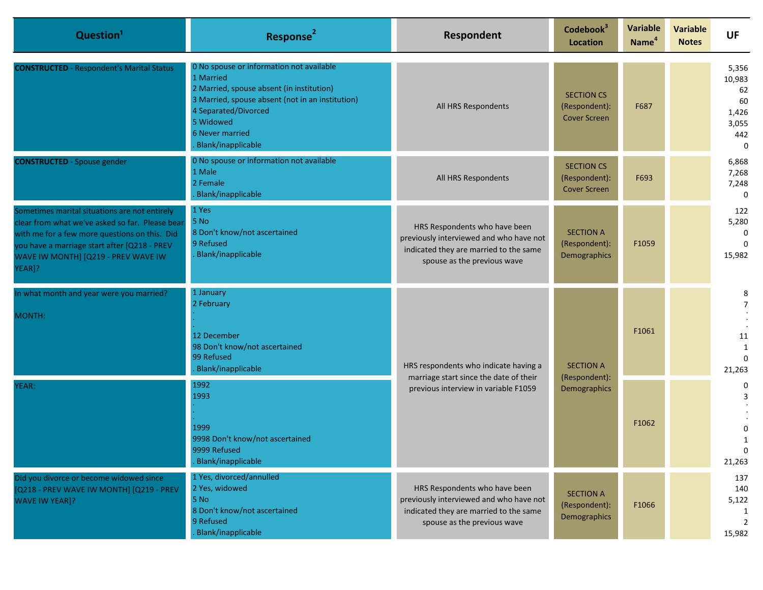| Question <sup>1</sup>                                                                                                                                                                                                                              | Response <sup>2</sup>                                                                                                                                                                                                                       | Respondent                                                                                                                                        | Codebook <sup>3</sup><br><b>Location</b>                  | Variable<br>Name <sup>4</sup> | <b>Variable</b><br><b>Notes</b> | <b>UF</b>                                                        |
|----------------------------------------------------------------------------------------------------------------------------------------------------------------------------------------------------------------------------------------------------|---------------------------------------------------------------------------------------------------------------------------------------------------------------------------------------------------------------------------------------------|---------------------------------------------------------------------------------------------------------------------------------------------------|-----------------------------------------------------------|-------------------------------|---------------------------------|------------------------------------------------------------------|
| <b>CONSTRUCTED</b> - Respondent's Marital Status                                                                                                                                                                                                   | 0 No spouse or information not available<br>1 Married<br>2 Married, spouse absent (in institution)<br>3 Married, spouse absent (not in an institution)<br>4 Separated/Divorced<br>5 Widowed<br><b>6 Never married</b><br>Blank/inapplicable | All HRS Respondents                                                                                                                               | <b>SECTION CS</b><br>(Respondent):<br><b>Cover Screen</b> | F687                          |                                 | 5,356<br>10,983<br>62<br>60<br>1,426<br>3,055<br>442<br>$\Omega$ |
| <b>CONSTRUCTED</b> - Spouse gender                                                                                                                                                                                                                 | 0 No spouse or information not available<br>1 Male<br>2 Female<br>Blank/inapplicable                                                                                                                                                        | All HRS Respondents                                                                                                                               | <b>SECTION CS</b><br>(Respondent):<br><b>Cover Screen</b> | F693                          |                                 | 6,868<br>7,268<br>7,248<br>$\Omega$                              |
| Sometimes marital situations are not entirely<br>clear from what we've asked so far. Please bear<br>with me for a few more questions on this. Did<br>you have a marriage start after [Q218 - PREV<br>WAVE IW MONTH] [Q219 - PREV WAVE IW<br>YEAR]? | 1 Yes<br>5 No<br>8 Don't know/not ascertained<br>9 Refused<br>Blank/inapplicable                                                                                                                                                            | HRS Respondents who have been<br>previously interviewed and who have not<br>indicated they are married to the same<br>spouse as the previous wave | <b>SECTION A</b><br>(Respondent):<br>Demographics         | F1059                         |                                 | 122<br>5,280<br>$\Omega$<br>$\Omega$<br>15,982                   |
| In what month and year were you married?<br>MONTH:                                                                                                                                                                                                 | 1 January<br>2 February<br>12 December<br>98 Don't know/not ascertained<br>99 Refused<br>HRS respondents who indicate having a<br>Blank/inapplicable<br>(Respondent):                                                                       | marriage start since the date of their<br>previous interview in variable F1059                                                                    | <b>SECTION A</b>                                          | F1061                         |                                 | 8<br>11<br>1<br>$\Omega$<br>21,263                               |
| YEAR:                                                                                                                                                                                                                                              | 1992<br>1993<br>1999<br>9998 Don't know/not ascertained<br>9999 Refused<br>Blank/inapplicable                                                                                                                                               |                                                                                                                                                   |                                                           | Demographics                  | F1062                           |                                                                  |
| Did you divorce or become widowed since<br>[Q218 - PREV WAVE IW MONTH] [Q219 - PREV<br><b>WAVE IW YEAR]?</b>                                                                                                                                       | 1 Yes, divorced/annulled<br>2 Yes, widowed<br>5 No<br>8 Don't know/not ascertained<br>9 Refused<br>Blank/inapplicable                                                                                                                       | HRS Respondents who have been<br>previously interviewed and who have not<br>indicated they are married to the same<br>spouse as the previous wave | <b>SECTION A</b><br>(Respondent):<br>Demographics         | F1066                         |                                 | 137<br>140<br>5,122<br>15,982                                    |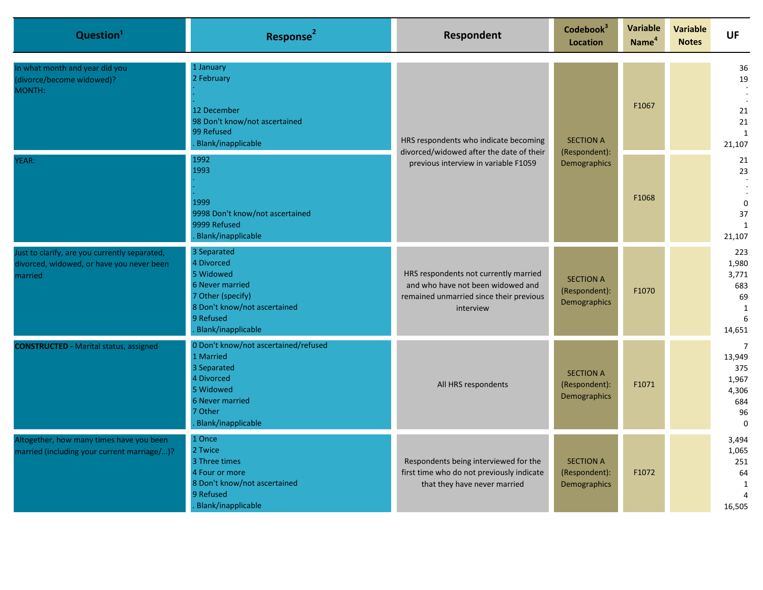| Question <sup>1</sup>                                                                                 | Response <sup>2</sup>                                                                                                                                                                                                                                                                                               | Respondent                                                                                                                         | Codebook <sup>3</sup><br><b>Location</b>          | Variable<br>Name <sup>4</sup> | <b>Variable</b><br><b>Notes</b> | <b>UF</b>                                                                  |  |                                                      |
|-------------------------------------------------------------------------------------------------------|---------------------------------------------------------------------------------------------------------------------------------------------------------------------------------------------------------------------------------------------------------------------------------------------------------------------|------------------------------------------------------------------------------------------------------------------------------------|---------------------------------------------------|-------------------------------|---------------------------------|----------------------------------------------------------------------------|--|------------------------------------------------------|
| In what month and year did you<br>(divorce/become widowed)?<br>MONTH:                                 | 1 January<br>2 February<br>12 December<br>98 Don't know/not ascertained<br>99 Refused<br>HRS respondents who indicate becoming<br>Blank/inapplicable<br>divorced/widowed after the date of their<br>1992<br>previous interview in variable F1059<br>1993<br>1999<br>9998 Don't know/not ascertained<br>9999 Refused |                                                                                                                                    |                                                   |                               | <b>SECTION A</b>                | F1067                                                                      |  | 36<br>19<br>21<br>21<br>$\mathbf{1}$<br>21,107       |
| YEAR:                                                                                                 |                                                                                                                                                                                                                                                                                                                     | (Respondent):<br>Demographics<br>Blank/inapplicable                                                                                |                                                   |                               |                                 | F1068                                                                      |  | 21<br>23<br>$\Omega$<br>37<br>$\mathbf{1}$<br>21,107 |
| Just to clarify, are you currently separated,<br>divorced, widowed, or have you never been<br>married | 3 Separated<br>4 Divorced<br>5 Widowed<br><b>6 Never married</b><br>7 Other (specify)<br>8 Don't know/not ascertained<br>9 Refused<br>Blank/inapplicable                                                                                                                                                            | HRS respondents not currently married<br>and who have not been widowed and<br>remained unmarried since their previous<br>interview | <b>SECTION A</b><br>(Respondent):<br>Demographics | F1070                         |                                 | 223<br>1,980<br>3,771<br>683<br>69<br>$\mathbf{1}$<br>6<br>14,651          |  |                                                      |
| <b>CONSTRUCTED - Marital status, assigned</b>                                                         | 0 Don't know/not ascertained/refused<br>1 Married<br>3 Separated<br>4 Divorced<br>5 Widowed<br>6 Never married<br>7 Other<br>Blank/inapplicable                                                                                                                                                                     | All HRS respondents                                                                                                                | <b>SECTION A</b><br>(Respondent):<br>Demographics | F1071                         |                                 | $\overline{7}$<br>13,949<br>375<br>1,967<br>4,306<br>684<br>96<br>$\Omega$ |  |                                                      |
| Altogether, how many times have you been<br>married (including your current marriage/)?               | 1 Once<br>2 Twice<br>3 Three times<br>4 Four or more<br>8 Don't know/not ascertained<br>9 Refused<br>Blank/inapplicable                                                                                                                                                                                             | Respondents being interviewed for the<br>first time who do not previously indicate<br>that they have never married                 | <b>SECTION A</b><br>(Respondent):<br>Demographics | F1072                         |                                 | 3,494<br>1,065<br>251<br>64<br>1<br>16,505                                 |  |                                                      |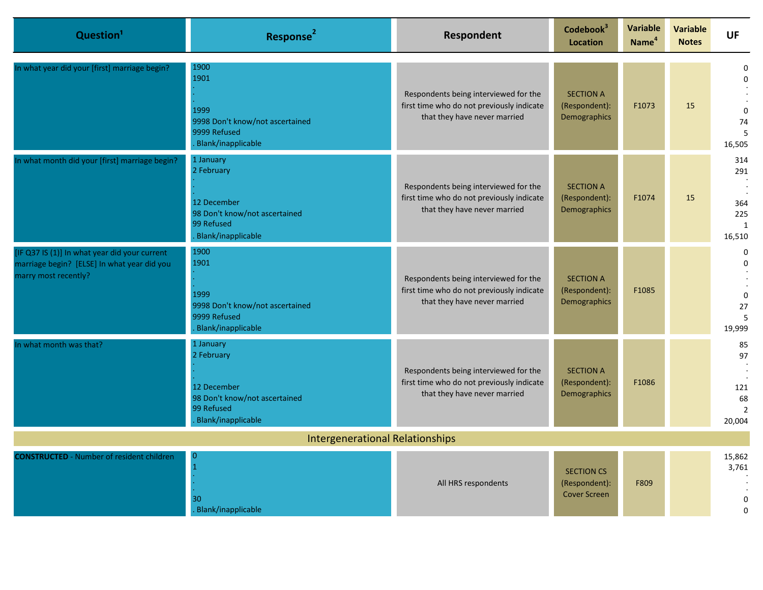| Question <sup>1</sup>                                                                                                | Response <sup>2</sup>                                                                                       | Respondent                                                                                                         | Codebook <sup>3</sup><br><b>Location</b>                  | Variable<br>Name <sup>4</sup> | <b>Variable</b><br><b>Notes</b> | <b>UF</b>                                                |  |
|----------------------------------------------------------------------------------------------------------------------|-------------------------------------------------------------------------------------------------------------|--------------------------------------------------------------------------------------------------------------------|-----------------------------------------------------------|-------------------------------|---------------------------------|----------------------------------------------------------|--|
| In what year did your [first] marriage begin?                                                                        | 1900<br>1901<br>1999<br>9998 Don't know/not ascertained<br>9999 Refused<br>Blank/inapplicable               | Respondents being interviewed for the<br>first time who do not previously indicate<br>that they have never married | <b>SECTION A</b><br>(Respondent):<br>Demographics         | F1073                         | 15                              | $\Omega$<br>$\mathbf 0$<br>$\Omega$<br>74<br>5<br>16,505 |  |
| In what month did your [first] marriage begin?                                                                       | 1 January<br>2 February<br>12 December<br>98 Don't know/not ascertained<br>99 Refused<br>Blank/inapplicable | Respondents being interviewed for the<br>first time who do not previously indicate<br>that they have never married | <b>SECTION A</b><br>(Respondent):<br>Demographics         | F1074                         | 15                              | 314<br>291<br>364<br>225<br>1<br>16,510                  |  |
| [IF Q37 IS (1)] In what year did your current<br>marriage begin? [ELSE] In what year did you<br>marry most recently? | 1900<br>1901<br>1999<br>9998 Don't know/not ascertained<br>9999 Refused<br>Blank/inapplicable               | Respondents being interviewed for the<br>first time who do not previously indicate<br>that they have never married | <b>SECTION A</b><br>(Respondent):<br>Demographics         | F1085                         |                                 | 0<br>$\Omega$<br>$\mathbf 0$<br>27<br>5<br>19,999        |  |
| n what month was that?                                                                                               | 1 January<br>2 February<br>12 December<br>98 Don't know/not ascertained<br>99 Refused<br>Blank/inapplicable | Respondents being interviewed for the<br>first time who do not previously indicate<br>that they have never married | <b>SECTION A</b><br>(Respondent):<br>Demographics         | F1086                         |                                 | 85<br>97<br>121<br>68<br>$\overline{2}$<br>20,004        |  |
| <b>Intergenerational Relationships</b>                                                                               |                                                                                                             |                                                                                                                    |                                                           |                               |                                 |                                                          |  |
| <b>CONSTRUCTED</b> - Number of resident children                                                                     | 0<br>30<br>Blank/inapplicable                                                                               | All HRS respondents                                                                                                | <b>SECTION CS</b><br>(Respondent):<br><b>Cover Screen</b> | F809                          |                                 | 15,862<br>3,761<br>0<br>$\Omega$                         |  |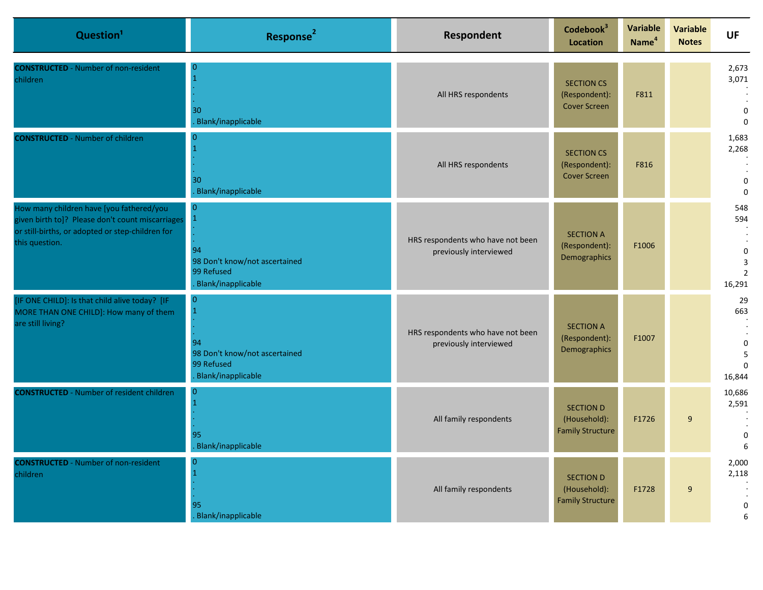| Question <sup>1</sup>                                                                                                                                              | Response <sup>2</sup>                                                                     | Respondent                                                  | Codebook <sup>3</sup><br>Location                           | Variable<br>Name <sup>4</sup> | <b>Variable</b><br><b>Notes</b> | <b>UF</b>                                                            |
|--------------------------------------------------------------------------------------------------------------------------------------------------------------------|-------------------------------------------------------------------------------------------|-------------------------------------------------------------|-------------------------------------------------------------|-------------------------------|---------------------------------|----------------------------------------------------------------------|
| <b>CONSTRUCTED</b> - Number of non-resident<br>children                                                                                                            | O<br>30<br>Blank/inapplicable                                                             | All HRS respondents                                         | <b>SECTION CS</b><br>(Respondent):<br><b>Cover Screen</b>   | F811                          |                                 | 2,673<br>3,071<br>0<br>$\Omega$                                      |
| <b>CONSTRUCTED</b> - Number of children                                                                                                                            | 30<br>Blank/inapplicable                                                                  | All HRS respondents                                         | <b>SECTION CS</b><br>(Respondent):<br><b>Cover Screen</b>   | F816                          |                                 | 1,683<br>2,268<br>$\mathbf 0$<br>$\Omega$                            |
| How many children have [you fathered/you<br>given birth to]? Please don't count miscarriages<br>or still-births, or adopted or step-children for<br>this question. | $\overline{0}$<br>94<br>98 Don't know/not ascertained<br>99 Refused<br>Blank/inapplicable | HRS respondents who have not been<br>previously interviewed | <b>SECTION A</b><br>(Respondent):<br>Demographics           | F1006                         |                                 | 548<br>594<br>$\Omega$<br>$\overline{3}$<br>$\overline{2}$<br>16,291 |
| [IF ONE CHILD]: Is that child alive today? [IF<br>MORE THAN ONE CHILD]: How many of them<br>are still living?                                                      | 0<br>94<br>98 Don't know/not ascertained<br>99 Refused<br>Blank/inapplicable              | HRS respondents who have not been<br>previously interviewed | <b>SECTION A</b><br>(Respondent):<br>Demographics           | F1007                         |                                 | 29<br>663<br>$\mathbf 0$<br>5<br>$\Omega$<br>16,844                  |
| <b>CONSTRUCTED</b> - Number of resident children                                                                                                                   | 95<br>Blank/inapplicable                                                                  | All family respondents                                      | <b>SECTION D</b><br>(Household):<br><b>Family Structure</b> | F1726                         | 9                               | 10,686<br>2,591<br>$\mathbf 0$<br>6                                  |
| <b>CONSTRUCTED</b> - Number of non-resident<br>children                                                                                                            | 0<br>95<br>Blank/inapplicable                                                             | All family respondents                                      | <b>SECTION D</b><br>(Household):<br><b>Family Structure</b> | F1728                         | 9                               | 2,000<br>2,118<br>$\mathbf 0$<br>6                                   |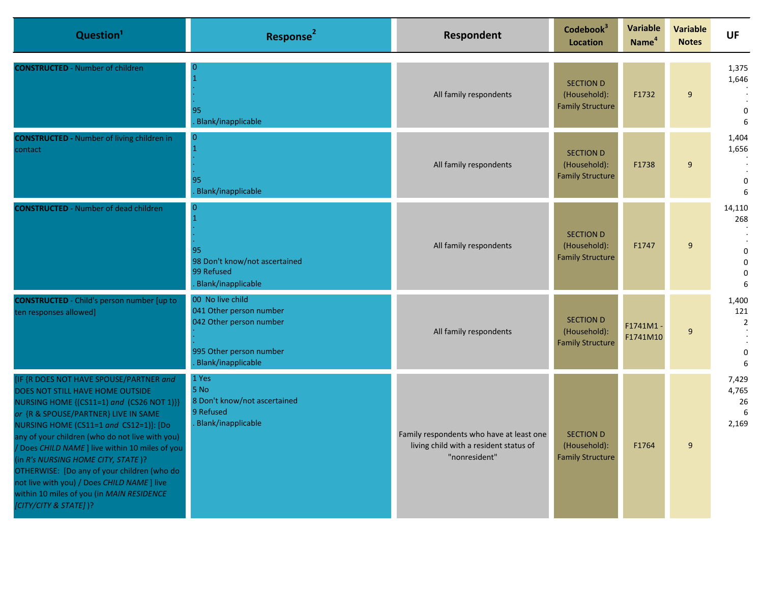| Question <sup>1</sup>                                                                                                                                                                                                                                                                                                                                                                                                                                                                                                      | Response <sup>2</sup>                                                                                                   | Respondent                                                                                          | Codebook <sup>3</sup><br>Location                           | <b>Variable</b><br>Name <sup>4</sup> | <b>Variable</b><br><b>Notes</b> | <b>UF</b>                                                      |
|----------------------------------------------------------------------------------------------------------------------------------------------------------------------------------------------------------------------------------------------------------------------------------------------------------------------------------------------------------------------------------------------------------------------------------------------------------------------------------------------------------------------------|-------------------------------------------------------------------------------------------------------------------------|-----------------------------------------------------------------------------------------------------|-------------------------------------------------------------|--------------------------------------|---------------------------------|----------------------------------------------------------------|
| <b>CONSTRUCTED</b> - Number of children                                                                                                                                                                                                                                                                                                                                                                                                                                                                                    | 95<br>Blank/inapplicable                                                                                                | All family respondents                                                                              | <b>SECTION D</b><br>(Household):<br><b>Family Structure</b> | F1732                                | $\boldsymbol{9}$                | 1,375<br>1,646<br>$\mathbf 0$<br>6                             |
| <b>CONSTRUCTED - Number of living children in</b><br>contact                                                                                                                                                                                                                                                                                                                                                                                                                                                               | 0<br>95<br>Blank/inapplicable                                                                                           | All family respondents                                                                              | <b>SECTION D</b><br>(Household):<br><b>Family Structure</b> | F1738                                | 9                               | 1,404<br>1,656<br>$\Omega$<br>6                                |
| <b>CONSTRUCTED</b> - Number of dead children                                                                                                                                                                                                                                                                                                                                                                                                                                                                               | 0<br>95<br>98 Don't know/not ascertained<br>99 Refused<br>Blank/inapplicable                                            | All family respondents                                                                              | <b>SECTION D</b><br>(Household):<br><b>Family Structure</b> | F1747                                | 9                               | 14,110<br>268<br>$\mathbf{0}$<br>$\mathbf{0}$<br>$\Omega$<br>6 |
| <b>CONSTRUCTED</b> - Child's person number [up to<br>ten responses allowed]                                                                                                                                                                                                                                                                                                                                                                                                                                                | 00 No live child<br>041 Other person number<br>042 Other person number<br>995 Other person number<br>Blank/inapplicable | All family respondents                                                                              | <b>SECTION D</b><br>(Household):<br><b>Family Structure</b> | F1741M1-<br>F1741M10                 | $\boldsymbol{9}$                | 1,400<br>121<br>$\overline{2}$<br>$\mathbf 0$<br>6             |
| [IF {R DOES NOT HAVE SPOUSE/PARTNER and<br>DOES NOT STILL HAVE HOME OUTSIDE<br>NURSING HOME {(CS11=1) and (CS26 NOT 1)}}<br>or {R & SPOUSE/PARTNER} LIVE IN SAME<br>NURSING HOME (CS11=1 and CS12=1)]: [Do<br>any of your children (who do not live with you)<br>/ Does CHILD NAME ] live within 10 miles of you<br>(in R's NURSING HOME CITY, STATE)?<br>OTHERWISE: [Do any of your children (who do<br>not live with you) / Does CHILD NAME ] live<br>within 10 miles of you (in MAIN RESIDENCE<br>[CITY/CITY & STATE])? | 1 Yes<br>5 No<br>8 Don't know/not ascertained<br>9 Refused<br>Blank/inapplicable                                        | Family respondents who have at least one<br>living child with a resident status of<br>"nonresident" | <b>SECTION D</b><br>(Household):<br><b>Family Structure</b> | F1764                                | 9                               | 7,429<br>4,765<br>26<br>6<br>2,169                             |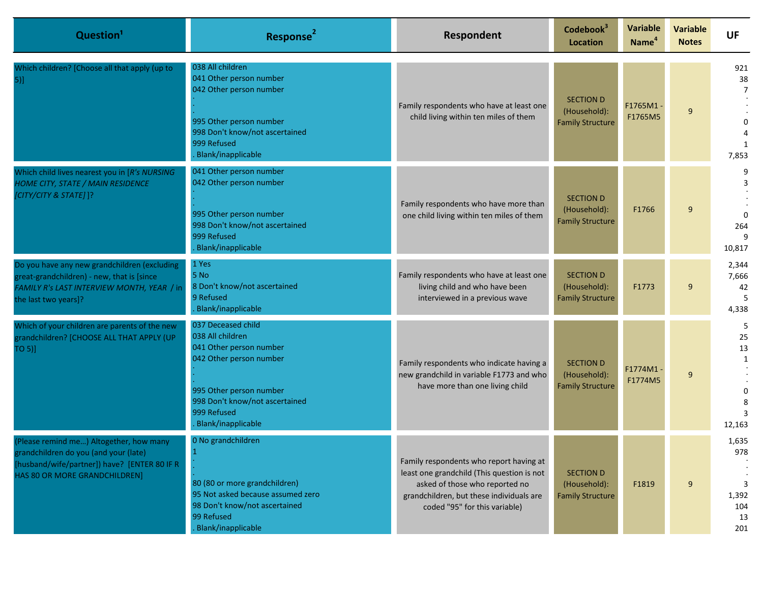| Question <sup>1</sup>                                                                                                                                              | Response <sup>2</sup>                                                                                                                                                                          | Respondent                                                                                                                                                                                           | Codebook <sup>3</sup><br><b>Location</b>                    | <b>Variable</b><br>Name <sup>4</sup> | <b>Variable</b><br><b>Notes</b> | <b>UF</b>                                      |
|--------------------------------------------------------------------------------------------------------------------------------------------------------------------|------------------------------------------------------------------------------------------------------------------------------------------------------------------------------------------------|------------------------------------------------------------------------------------------------------------------------------------------------------------------------------------------------------|-------------------------------------------------------------|--------------------------------------|---------------------------------|------------------------------------------------|
| Which children? [Choose all that apply (up to<br>$5)$ ]                                                                                                            | 038 All children<br>041 Other person number<br>042 Other person number<br>995 Other person number<br>998 Don't know/not ascertained<br>999 Refused<br>Blank/inapplicable                       | Family respondents who have at least one<br>child living within ten miles of them                                                                                                                    | <b>SECTION D</b><br>(Household):<br><b>Family Structure</b> | F1765M1-<br>F1765M5                  | 9                               | 921<br>38<br>$\overline{7}$<br>1<br>7,853      |
| Which child lives nearest you in [R's NURSING<br>HOME CITY, STATE / MAIN RESIDENCE<br>[CITY/CITY & STATE]]?                                                        | 041 Other person number<br>042 Other person number<br>995 Other person number<br>998 Don't know/not ascertained<br>999 Refused<br>Blank/inapplicable                                           | Family respondents who have more than<br>one child living within ten miles of them                                                                                                                   | <b>SECTION D</b><br>(Household):<br><b>Family Structure</b> | F1766                                | 9                               | 9<br>264<br>10,817                             |
| Do you have any new grandchildren (excluding<br>great-grandchildren) - new, that is [since<br>FAMILY R's LAST INTERVIEW MONTH, YEAR / in<br>the last two years]?   | 1 Yes<br>5 No<br>8 Don't know/not ascertained<br>9 Refused<br>Blank/inapplicable                                                                                                               | Family respondents who have at least one<br>living child and who have been<br>interviewed in a previous wave                                                                                         | <b>SECTION D</b><br>(Household):<br><b>Family Structure</b> | F1773                                | 9                               | 2,344<br>7,666<br>42<br>4,338                  |
| Which of your children are parents of the new<br>grandchildren? [CHOOSE ALL THAT APPLY (UP<br>TO 5)]                                                               | 037 Deceased child<br>038 All children<br>041 Other person number<br>042 Other person number<br>995 Other person number<br>998 Don't know/not ascertained<br>999 Refused<br>Blank/inapplicable | Family respondents who indicate having a<br>new grandchild in variable F1773 and who<br>have more than one living child                                                                              | <b>SECTION D</b><br>(Household):<br><b>Family Structure</b> | F1774M1-<br>F1774M5                  | 9                               | 25<br>13<br>1<br>12,163                        |
| (Please remind me) Altogether, how many<br>grandchildren do you (and your (late).<br>[husband/wife/partner]) have? [ENTER 80 IF R<br>HAS 80 OR MORE GRANDCHILDREN] | 0 No grandchildren<br>80 (80 or more grandchildren)<br>95 Not asked because assumed zero<br>98 Don't know/not ascertained<br>99 Refused<br>Blank/inapplicable                                  | Family respondents who report having at<br>least one grandchild (This question is not<br>asked of those who reported no<br>grandchildren, but these individuals are<br>coded "95" for this variable) | <b>SECTION D</b><br>(Household):<br><b>Family Structure</b> | F1819                                | 9                               | 1,635<br>978<br>3<br>1,392<br>104<br>13<br>201 |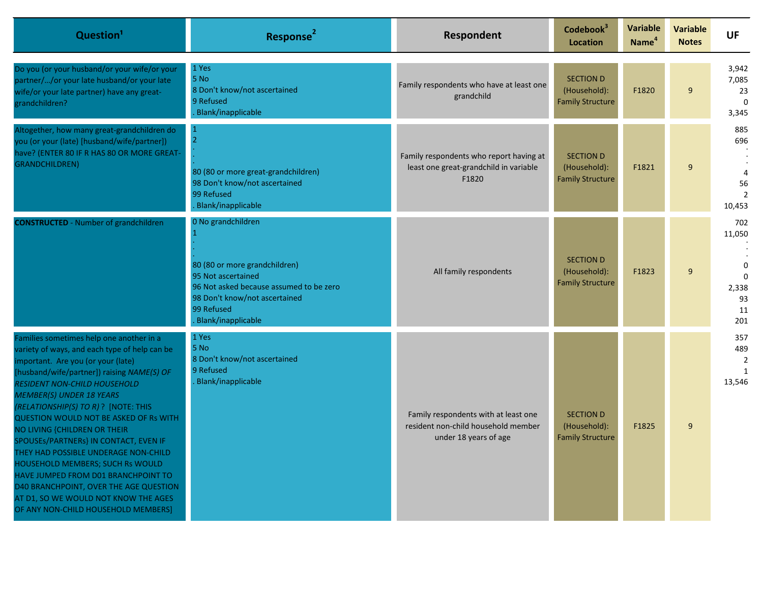| Question <sup>1</sup>                                                                                                                                                                                                                                                                                                                                                                                                                                                                                                                                                                                                                                                | Response <sup>2</sup>                                                                                                                                                                     | Respondent                                                                                           | Codebook <sup>3</sup><br><b>Location</b>                    | <b>Variable</b><br>Name <sup>4</sup> | <b>Variable</b><br><b>Notes</b> | <b>UF</b>                                                            |
|----------------------------------------------------------------------------------------------------------------------------------------------------------------------------------------------------------------------------------------------------------------------------------------------------------------------------------------------------------------------------------------------------------------------------------------------------------------------------------------------------------------------------------------------------------------------------------------------------------------------------------------------------------------------|-------------------------------------------------------------------------------------------------------------------------------------------------------------------------------------------|------------------------------------------------------------------------------------------------------|-------------------------------------------------------------|--------------------------------------|---------------------------------|----------------------------------------------------------------------|
| Do you (or your husband/or your wife/or your<br>partner//or your late husband/or your late<br>wife/or your late partner) have any great-<br>grandchildren?                                                                                                                                                                                                                                                                                                                                                                                                                                                                                                           | 1 Yes<br>5 No<br>8 Don't know/not ascertained<br>9 Refused<br>Blank/inapplicable                                                                                                          | Family respondents who have at least one<br>grandchild                                               | <b>SECTION D</b><br>(Household):<br><b>Family Structure</b> | F1820                                | $\boldsymbol{9}$                | 3,942<br>7,085<br>23<br>$\Omega$<br>3,345                            |
| Altogether, how many great-grandchildren do<br>you (or your (late) [husband/wife/partner])<br>have? (ENTER 80 IF R HAS 80 OR MORE GREAT-<br><b>GRANDCHILDREN)</b>                                                                                                                                                                                                                                                                                                                                                                                                                                                                                                    | $\overline{2}$<br>80 (80 or more great-grandchildren)<br>98 Don't know/not ascertained<br>99 Refused<br>Blank/inapplicable                                                                | Family respondents who report having at<br>least one great-grandchild in variable<br>F1820           | <b>SECTION D</b><br>(Household):<br><b>Family Structure</b> | F1821                                | 9                               | 885<br>696<br>$\overline{4}$<br>56<br>10,453                         |
| <b>CONSTRUCTED</b> - Number of grandchildren                                                                                                                                                                                                                                                                                                                                                                                                                                                                                                                                                                                                                         | 0 No grandchildren<br>80 (80 or more grandchildren)<br>95 Not ascertained<br>96 Not asked because assumed to be zero<br>98 Don't know/not ascertained<br>99 Refused<br>Blank/inapplicable | All family respondents                                                                               | <b>SECTION D</b><br>(Household):<br><b>Family Structure</b> | F1823                                | 9                               | 702<br>11,050<br>$\mathbf 0$<br>$\Omega$<br>2,338<br>93<br>11<br>201 |
| Families sometimes help one another in a<br>variety of ways, and each type of help can be<br>mportant. Are you (or your (late)<br>[husband/wife/partner]) raising NAME(S) OF<br><b>RESIDENT NON-CHILD HOUSEHOLD</b><br><b>MEMBER(S) UNDER 18 YEARS</b><br>(RELATIONSHIP(S) TO R) ? [NOTE: THIS<br><b>QUESTION WOULD NOT BE ASKED OF Rs WITH</b><br>NO LIVING {CHILDREN OR THEIR<br>SPOUSES/PARTNERS} IN CONTACT, EVEN IF<br>THEY HAD POSSIBLE UNDERAGE NON-CHILD<br>HOUSEHOLD MEMBERS; SUCH Rs WOULD<br>HAVE JUMPED FROM D01 BRANCHPOINT TO<br>D40 BRANCHPOINT, OVER THE AGE QUESTION<br>AT D1, SO WE WOULD NOT KNOW THE AGES<br>OF ANY NON-CHILD HOUSEHOLD MEMBERS] | 1 Yes<br>5 No<br>8 Don't know/not ascertained<br>9 Refused<br>Blank/inapplicable                                                                                                          | Family respondents with at least one<br>resident non-child household member<br>under 18 years of age | <b>SECTION D</b><br>(Household):<br><b>Family Structure</b> | F1825                                | 9                               | 357<br>489<br>$\overline{2}$<br>$\mathbf{1}$<br>13,546               |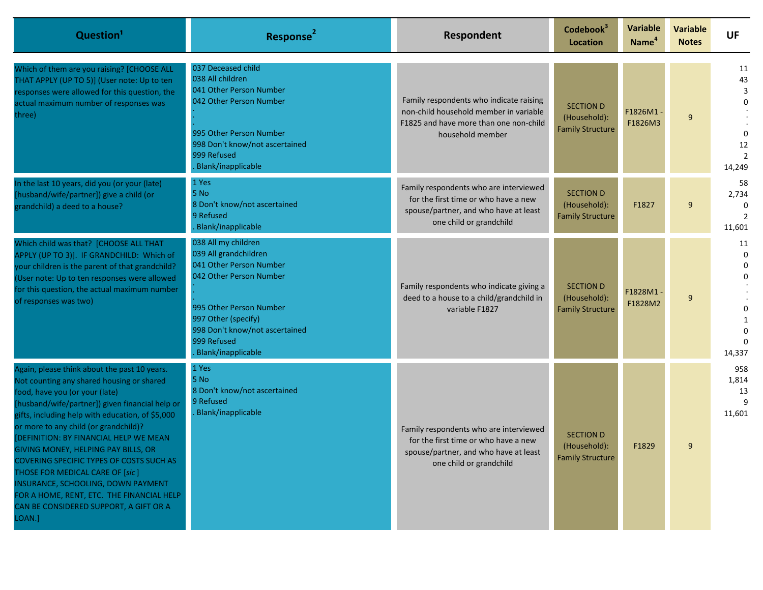| Question <sup>1</sup>                                                                                                                                                                                                                                                                                                                                                                                                                                                                                                                                                                     | Response <sup>2</sup>                                                                                                                                                                                                              | Respondent                                                                                                                                         | Codebook <sup>3</sup><br>Location                           | <b>Variable</b><br>Name <sup>4</sup> | Variable<br><b>Notes</b> | <b>UF</b>                          |
|-------------------------------------------------------------------------------------------------------------------------------------------------------------------------------------------------------------------------------------------------------------------------------------------------------------------------------------------------------------------------------------------------------------------------------------------------------------------------------------------------------------------------------------------------------------------------------------------|------------------------------------------------------------------------------------------------------------------------------------------------------------------------------------------------------------------------------------|----------------------------------------------------------------------------------------------------------------------------------------------------|-------------------------------------------------------------|--------------------------------------|--------------------------|------------------------------------|
| Which of them are you raising? [CHOOSE ALL<br>THAT APPLY (UP TO 5)] (User note: Up to ten<br>responses were allowed for this question, the<br>actual maximum number of responses was<br>three)                                                                                                                                                                                                                                                                                                                                                                                            | 037 Deceased child<br>038 All children<br>041 Other Person Number<br>042 Other Person Number<br>995 Other Person Number<br>998 Don't know/not ascertained<br>999 Refused<br>Blank/inapplicable                                     | Family respondents who indicate raising<br>non-child household member in variable<br>F1825 and have more than one non-child<br>household member    | <b>SECTION D</b><br>(Household):<br><b>Family Structure</b> | F1826M1<br>F1826M3                   | 9                        | 11<br>43<br>3<br>12<br>14,249      |
| In the last 10 years, did you (or your (late)<br>[husband/wife/partner]) give a child (or<br>grandchild) a deed to a house?                                                                                                                                                                                                                                                                                                                                                                                                                                                               | 1 Yes<br>5 No<br>8 Don't know/not ascertained<br>9 Refused<br>Blank/inapplicable                                                                                                                                                   | Family respondents who are interviewed<br>for the first time or who have a new<br>spouse/partner, and who have at least<br>one child or grandchild | <b>SECTION D</b><br>(Household):<br><b>Family Structure</b> | F1827                                | 9                        | 58<br>2,734<br>11,601              |
| Which child was that? [CHOOSE ALL THAT<br>APPLY (UP TO 3)]. IF GRANDCHILD: Which of<br>your children is the parent of that grandchild?<br>(User note: Up to ten responses were allowed<br>for this question, the actual maximum number<br>of responses was two)                                                                                                                                                                                                                                                                                                                           | 038 All my children<br>039 All grandchildren<br>041 Other Person Number<br>042 Other Person Number<br>995 Other Person Number<br>997 Other (specify)<br>998 Don't know/not ascertained<br>999 Refused<br><b>Blank/inapplicable</b> | Family respondents who indicate giving a<br>deed to a house to a child/grandchild in<br>variable F1827                                             | <b>SECTION D</b><br>(Household):<br><b>Family Structure</b> | F1828M1<br>F1828M2                   | 9                        | 11<br>$\Omega$<br>0<br>0<br>14,337 |
| Again, please think about the past 10 years.<br>Not counting any shared housing or shared<br>food, have you (or your (late)<br>[husband/wife/partner]) given financial help or<br>gifts, including help with education, of \$5,000<br>or more to any child (or grandchild)?<br>[DEFINITION: BY FINANCIAL HELP WE MEAN<br>GIVING MONEY, HELPING PAY BILLS, OR<br><b>COVERING SPECIFIC TYPES OF COSTS SUCH AS</b><br>THOSE FOR MEDICAL CARE OF [sic]<br>INSURANCE, SCHOOLING, DOWN PAYMENT<br>FOR A HOME, RENT, ETC. THE FINANCIAL HELP<br>CAN BE CONSIDERED SUPPORT, A GIFT OR A<br>LOAN.] | 1 Yes<br>5 No<br>8 Don't know/not ascertained<br>9 Refused<br>Blank/inapplicable                                                                                                                                                   | Family respondents who are interviewed<br>for the first time or who have a new<br>spouse/partner, and who have at least<br>one child or grandchild | <b>SECTION D</b><br>(Household):<br><b>Family Structure</b> | F1829                                | 9                        | 958<br>1,814<br>13<br>11,601       |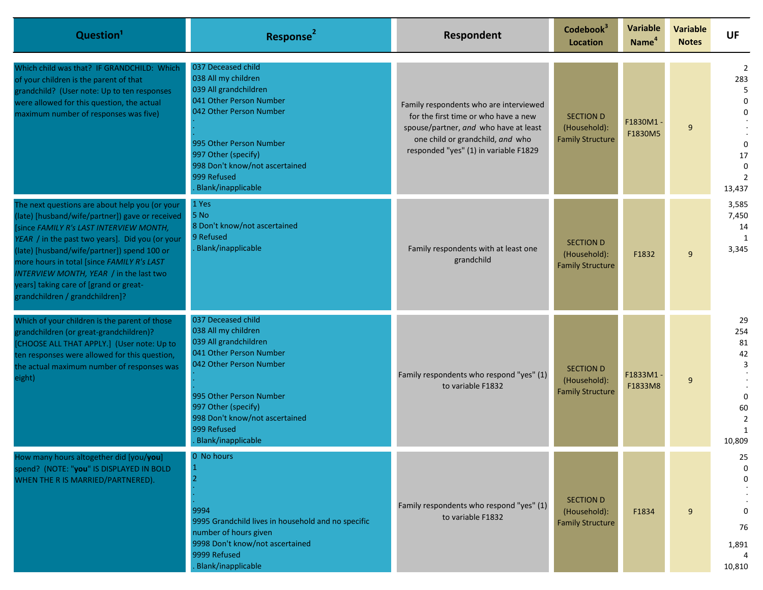| Question <sup>1</sup>                                                                                                                                                                                                                                                                                                                                                                                                | Response <sup>2</sup>                                                                                                                                                                                                                             | Respondent                                                                                                                                                                                           | Codebook <sup>3</sup><br>Location                           | <b>Variable</b><br>Name <sup>4</sup> | <b>Variable</b><br><b>Notes</b> | <b>UF</b>                                                          |
|----------------------------------------------------------------------------------------------------------------------------------------------------------------------------------------------------------------------------------------------------------------------------------------------------------------------------------------------------------------------------------------------------------------------|---------------------------------------------------------------------------------------------------------------------------------------------------------------------------------------------------------------------------------------------------|------------------------------------------------------------------------------------------------------------------------------------------------------------------------------------------------------|-------------------------------------------------------------|--------------------------------------|---------------------------------|--------------------------------------------------------------------|
| Which child was that? IF GRANDCHILD: Which<br>of your children is the parent of that<br>grandchild? (User note: Up to ten responses<br>were allowed for this question, the actual<br>maximum number of responses was five)                                                                                                                                                                                           | 037 Deceased child<br>038 All my children<br>039 All grandchildren<br>041 Other Person Number<br>042 Other Person Number<br>995 Other Person Number<br>997 Other (specify)<br>998 Don't know/not ascertained<br>999 Refused<br>Blank/inapplicable | Family respondents who are interviewed<br>for the first time or who have a new<br>spouse/partner, and who have at least<br>one child or grandchild, and who<br>responded "yes" (1) in variable F1829 | <b>SECTION D</b><br>(Household):<br><b>Family Structure</b> | F1830M1<br>F1830M5                   | 9                               | 2<br>283<br>5<br>$\Omega$<br>17<br>13,437                          |
| The next questions are about help you (or your<br>(late) [husband/wife/partner]) gave or received<br>[since FAMILY R's LAST INTERVIEW MONTH,<br>YEAR / in the past two years]. Did you (or your<br>(late) [husband/wife/partner]) spend 100 or<br>more hours in total [since FAMILY R's LAST<br>INTERVIEW MONTH, YEAR / in the last two<br>years] taking care of [grand or great-<br>grandchildren / grandchildren]? | 1 Yes<br>5 No<br>8 Don't know/not ascertained<br>9 Refused<br>Blank/inapplicable                                                                                                                                                                  | Family respondents with at least one<br>grandchild                                                                                                                                                   | <b>SECTION D</b><br>(Household):<br><b>Family Structure</b> | F1832                                | 9                               | 3,585<br>7,450<br>14<br>1<br>3,345                                 |
| Which of your children is the parent of those<br>grandchildren (or great-grandchildren)?<br>[CHOOSE ALL THAT APPLY.] (User note: Up to<br>ten responses were allowed for this question,<br>the actual maximum number of responses was<br>eight)                                                                                                                                                                      | 037 Deceased child<br>038 All my children<br>039 All grandchildren<br>041 Other Person Number<br>042 Other Person Number<br>995 Other Person Number<br>997 Other (specify)<br>998 Don't know/not ascertained<br>999 Refused<br>Blank/inapplicable | Family respondents who respond "yes" (1)<br>to variable F1832                                                                                                                                        | <b>SECTION D</b><br>(Household):<br><b>Family Structure</b> | F1833M1<br>F1833M8                   | 9                               | 29<br>254<br>81<br>42<br>3<br>$\Omega$<br>60<br>10,809             |
| How many hours altogether did [you/you]<br>spend? (NOTE: "you" IS DISPLAYED IN BOLD<br>WHEN THE R IS MARRIED/PARTNERED).                                                                                                                                                                                                                                                                                             | 0 No hours<br>1<br>2<br>9994<br>9995 Grandchild lives in household and no specific<br>number of hours given<br>9998 Don't know/not ascertained<br>9999 Refused<br>Blank/inapplicable                                                              | Family respondents who respond "yes" (1)<br>to variable F1832                                                                                                                                        | <b>SECTION D</b><br>(Household):<br><b>Family Structure</b> | F1834                                | 9                               | 25<br>$\mathbf 0$<br>$\Omega$<br>$\Omega$<br>76<br>1,891<br>10,810 |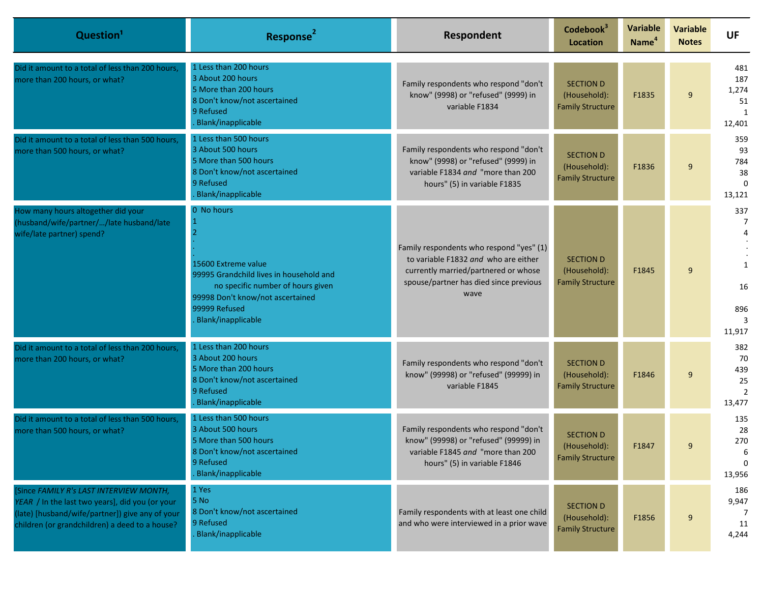| Question <sup>1</sup>                                                                                                                                                                           | Response <sup>2</sup>                                                                                                                                                                        | Respondent                                                                                                                                                                 | Codebook <sup>3</sup><br>Location                           | <b>Variable</b><br>Name <sup>4</sup> | <b>Variable</b><br><b>Notes</b> | <b>UF</b>                                           |
|-------------------------------------------------------------------------------------------------------------------------------------------------------------------------------------------------|----------------------------------------------------------------------------------------------------------------------------------------------------------------------------------------------|----------------------------------------------------------------------------------------------------------------------------------------------------------------------------|-------------------------------------------------------------|--------------------------------------|---------------------------------|-----------------------------------------------------|
| Did it amount to a total of less than 200 hours,<br>more than 200 hours, or what?                                                                                                               | 1 Less than 200 hours<br>3 About 200 hours<br>5 More than 200 hours<br>8 Don't know/not ascertained<br>9 Refused<br>Blank/inapplicable                                                       | Family respondents who respond "don't<br>know" (9998) or "refused" (9999) in<br>variable F1834                                                                             | <b>SECTION D</b><br>(Household):<br><b>Family Structure</b> | F1835                                | 9                               | 481<br>187<br>1,274<br>51<br>$\mathbf{1}$<br>12,401 |
| Did it amount to a total of less than 500 hours,<br>more than 500 hours, or what?                                                                                                               | 1 Less than 500 hours<br>3 About 500 hours<br>5 More than 500 hours<br>8 Don't know/not ascertained<br>9 Refused<br>Blank/inapplicable                                                       | Family respondents who respond "don't<br>know" (9998) or "refused" (9999) in<br>variable F1834 and "more than 200<br>hours" (5) in variable F1835                          | <b>SECTION D</b><br>(Household):<br><b>Family Structure</b> | F1836                                | 9                               | 359<br>93<br>784<br>38<br>$\Omega$<br>13,121        |
| How many hours altogether did your<br>(husband/wife/partner//late husband/late<br>wife/late partner) spend?                                                                                     | 0 No hours<br>15600 Extreme value<br>99995 Grandchild lives in household and<br>no specific number of hours given<br>99998 Don't know/not ascertained<br>99999 Refused<br>Blank/inapplicable | Family respondents who respond "yes" (1)<br>to variable F1832 and who are either<br>currently married/partnered or whose<br>spouse/partner has died since previous<br>wave | <b>SECTION D</b><br>(Household):<br><b>Family Structure</b> | F1845                                | 9                               | 337<br>7<br>1<br>16<br>896<br>11,917                |
| Did it amount to a total of less than 200 hours,<br>more than 200 hours, or what?                                                                                                               | 1 Less than 200 hours<br>3 About 200 hours<br>5 More than 200 hours<br>8 Don't know/not ascertained<br>9 Refused<br>Blank/inapplicable                                                       | Family respondents who respond "don't<br>know" (99998) or "refused" (99999) in<br>variable F1845                                                                           | <b>SECTION D</b><br>(Household):<br><b>Family Structure</b> | F1846                                | 9                               | 382<br>70<br>439<br>25<br>$\overline{2}$<br>13,477  |
| Did it amount to a total of less than 500 hours,<br>more than 500 hours, or what?                                                                                                               | 1 Less than 500 hours<br>3 About 500 hours<br>5 More than 500 hours<br>8 Don't know/not ascertained<br>9 Refused<br>Blank/inapplicable                                                       | Family respondents who respond "don't<br>know" (99998) or "refused" (99999) in<br>variable F1845 and "more than 200<br>hours" (5) in variable F1846                        | <b>SECTION D</b><br>(Household):<br><b>Family Structure</b> | F1847                                | 9                               | 135<br>28<br>270<br>13,956                          |
| [Since FAMILY R's LAST INTERVIEW MONTH,<br>YEAR / In the last two years], did you (or your<br>(late) [husband/wife/partner]) give any of your<br>children (or grandchildren) a deed to a house? | 1 Yes<br>5 No<br>8 Don't know/not ascertained<br>9 Refused<br>Blank/inapplicable                                                                                                             | Family respondents with at least one child<br>and who were interviewed in a prior wave                                                                                     | <b>SECTION D</b><br>(Household):<br><b>Family Structure</b> | F1856                                | 9                               | 186<br>9,947<br>7<br>11<br>4,244                    |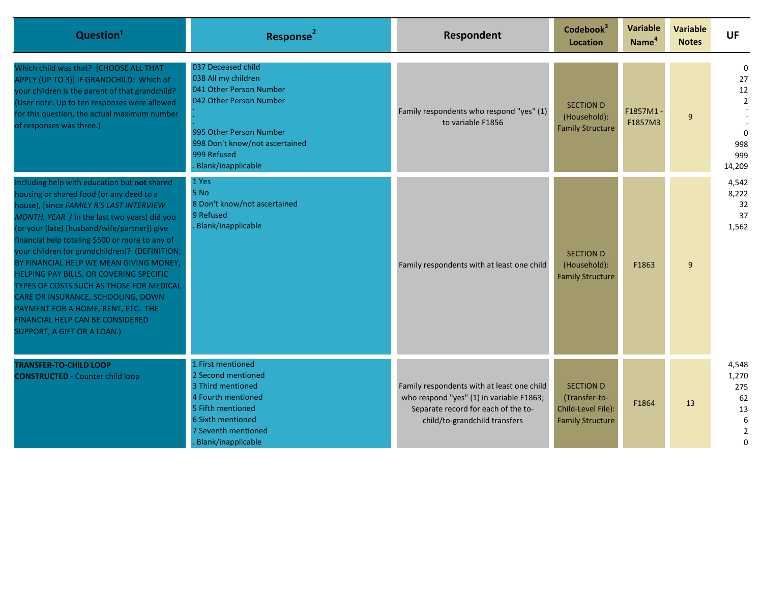| Question <sup>1</sup>                                                                                                                                                                                                                                                                                                                                                                                                                                                                                                                                                                                                      | Response <sup>2</sup>                                                                                                                                                                             | Respondent                                                                                                                                                     | Codebook <sup>3</sup><br><b>Location</b>                                           | Variable<br>Name <sup>4</sup> | <b>Variable</b><br><b>Notes</b> | UF                                                                            |
|----------------------------------------------------------------------------------------------------------------------------------------------------------------------------------------------------------------------------------------------------------------------------------------------------------------------------------------------------------------------------------------------------------------------------------------------------------------------------------------------------------------------------------------------------------------------------------------------------------------------------|---------------------------------------------------------------------------------------------------------------------------------------------------------------------------------------------------|----------------------------------------------------------------------------------------------------------------------------------------------------------------|------------------------------------------------------------------------------------|-------------------------------|---------------------------------|-------------------------------------------------------------------------------|
| Which child was that? [CHOOSE ALL THAT<br>APPLY (UP TO 3)] IF GRANDCHILD: Which of<br>your children is the parent of that grandchild?<br>(User note: Up to ten responses were allowed<br>for this question, the actual maximum number<br>of responses was three.)                                                                                                                                                                                                                                                                                                                                                          | 037 Deceased child<br>038 All my children<br>041 Other Person Number<br>042 Other Person Number<br>995 Other Person Number<br>998 Don't know/not ascertained<br>999 Refused<br>Blank/inapplicable | Family respondents who respond "yes" (1)<br>to variable F1856                                                                                                  | <b>SECTION D</b><br>(Household):<br><b>Family Structure</b>                        | F1857M1-<br>F1857M3           | 9                               | $\mathbf 0$<br>27<br>12<br>$\overline{2}$<br>$\Omega$<br>998<br>999<br>14,209 |
| Including help with education but not shared<br>housing or shared food (or any deed to a<br>house), [since FAMILY R'S LAST INTERVIEW<br>MONTH, YEAR / in the last two years] did you<br>(or your (late) [husband/wife/partner]) give<br>financial help totaling \$500 or more to any of<br>your children (or grandchildren)? (DEFINITION:<br>BY FINANCIAL HELP WE MEAN GIVING MONEY,<br>HELPING PAY BILLS, OR COVERING SPECIFIC<br>TYPES OF COSTS SUCH AS THOSE FOR MEDICAL<br>CARE OR INSURANCE, SCHOOLING, DOWN<br>PAYMENT FOR A HOME, RENT, ETC. THE<br>FINANCIAL HELP CAN BE CONSIDERED<br>SUPPORT, A GIFT OR A LOAN.) | 1 Yes<br>5 No<br>8 Don't know/not ascertained<br>9 Refused<br>Blank/inapplicable                                                                                                                  | Family respondents with at least one child                                                                                                                     | <b>SECTION D</b><br>(Household):<br><b>Family Structure</b>                        | F1863                         | 9                               | 4,542<br>8,222<br>32<br>37<br>1,562                                           |
| <b>TRANSFER-TO-CHILD LOOP</b><br><b>CONSTRUCTED - Counter child loop</b>                                                                                                                                                                                                                                                                                                                                                                                                                                                                                                                                                   | 1 First mentioned<br>2 Second mentioned<br>3 Third mentioned<br>4 Fourth mentioned<br>5 Fifth mentioned<br>6 Sixth mentioned<br>7 Seventh mentioned<br>Blank/inapplicable                         | Family respondents with at least one child<br>who respond "yes" (1) in variable F1863;<br>Separate record for each of the to-<br>child/to-grandchild transfers | <b>SECTION D</b><br>(Transfer-to-<br>Child-Level File):<br><b>Family Structure</b> | F1864                         | 13                              | 4,548<br>1,270<br>275<br>62<br>13<br>6<br>$\overline{2}$<br>$\Omega$          |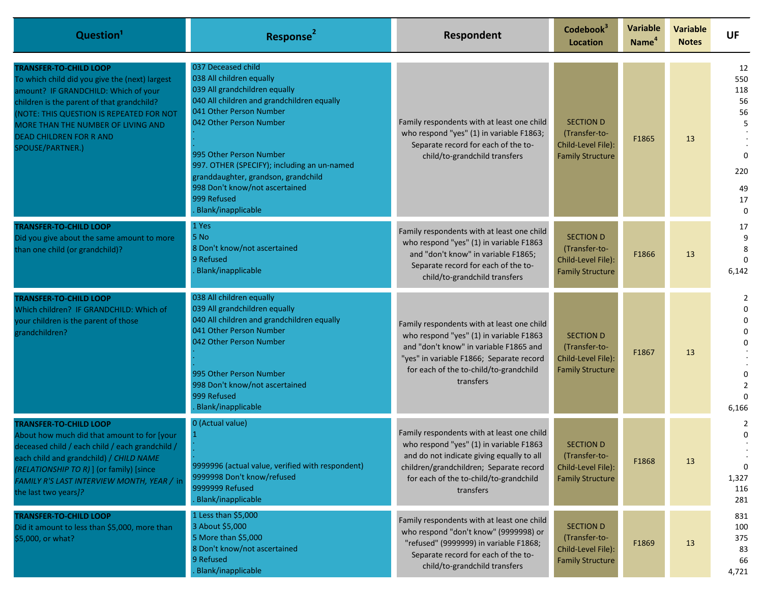| Question <sup>1</sup>                                                                                                                                                                                                                                                                                        | Response <sup>2</sup>                                                                                                                                                                                                                                                                                                                                                       | Respondent                                                                                                                                                                                                                           | Codebook <sup>3</sup><br>Location                                                  | Variable<br>Name <sup>4</sup> | <b>Variable</b><br><b>Notes</b> | <b>UF</b>                                                                    |
|--------------------------------------------------------------------------------------------------------------------------------------------------------------------------------------------------------------------------------------------------------------------------------------------------------------|-----------------------------------------------------------------------------------------------------------------------------------------------------------------------------------------------------------------------------------------------------------------------------------------------------------------------------------------------------------------------------|--------------------------------------------------------------------------------------------------------------------------------------------------------------------------------------------------------------------------------------|------------------------------------------------------------------------------------|-------------------------------|---------------------------------|------------------------------------------------------------------------------|
| <b>TRANSFER-TO-CHILD LOOP</b><br>To which child did you give the (next) largest<br>amount? IF GRANDCHILD: Which of your<br>children is the parent of that grandchild?<br>NOTE: THIS QUESTION IS REPEATED FOR NOT<br>MORE THAN THE NUMBER OF LIVING AND<br><b>DEAD CHILDREN FOR R AND</b><br>SPOUSE/PARTNER.) | 037 Deceased child<br>038 All children equally<br>039 All grandchildren equally<br>040 All children and grandchildren equally<br>041 Other Person Number<br>042 Other Person Number<br>995 Other Person Number<br>997. OTHER (SPECIFY); including an un-named<br>granddaughter, grandson, grandchild<br>998 Don't know/not ascertained<br>999 Refused<br>Blank/inapplicable | Family respondents with at least one child<br>who respond "yes" (1) in variable F1863;<br>Separate record for each of the to-<br>child/to-grandchild transfers                                                                       | <b>SECTION D</b><br>(Transfer-to-<br>Child-Level File):<br><b>Family Structure</b> | F1865                         | 13                              | 12<br>550<br>118<br>56<br>56<br>5<br>$\Omega$<br>220<br>49<br>17<br>$\Omega$ |
| <b>TRANSFER-TO-CHILD LOOP</b><br>Did you give about the same amount to more<br>than one child (or grandchild)?                                                                                                                                                                                               | 1 Yes<br>5 No<br>8 Don't know/not ascertained<br>9 Refused<br>Blank/inapplicable                                                                                                                                                                                                                                                                                            | Family respondents with at least one child<br>who respond "yes" (1) in variable F1863<br>and "don't know" in variable F1865;<br>Separate record for each of the to-<br>child/to-grandchild transfers                                 | <b>SECTION D</b><br>(Transfer-to-<br>Child-Level File):<br><b>Family Structure</b> | F1866                         | 13                              | 17<br>9<br>6,142                                                             |
| TRANSFER-TO-CHILD LOOP<br>Which children? IF GRANDCHILD: Which of<br>your children is the parent of those<br>grandchildren?                                                                                                                                                                                  | 038 All children equally<br>039 All grandchildren equally<br>040 All children and grandchildren equally<br>041 Other Person Number<br>042 Other Person Number<br>995 Other Person Number<br>998 Don't know/not ascertained<br>999 Refused<br>Blank/inapplicable                                                                                                             | Family respondents with at least one child<br>who respond "yes" (1) in variable F1863<br>and "don't know" in variable F1865 and<br>"yes" in variable F1866; Separate record<br>for each of the to-child/to-grandchild<br>transfers   | <b>SECTION D</b><br>(Transfer-to-<br>Child-Level File):<br><b>Family Structure</b> | F1867                         | 13                              | $\Omega$<br>$\Omega$<br>U<br>6,166                                           |
| TRANSFER-TO-CHILD LOOP<br>About how much did that amount to for [your<br>deceased child / each child / each grandchild /<br>each child and grandchild) / CHILD NAME<br>(RELATIONSHIP TO R) ] (or family) [since<br>FAMILY R'S LAST INTERVIEW MONTH, YEAR / in<br>the last two years]?                        | 0 (Actual value)<br>9999996 (actual value, verified with respondent)<br>9999998 Don't know/refused<br>9999999 Refused<br>Blank/inapplicable                                                                                                                                                                                                                                 | Family respondents with at least one child<br>who respond "yes" (1) in variable F1863<br>and do not indicate giving equally to all<br>children/grandchildren; Separate record<br>for each of the to-child/to-grandchild<br>transfers | <b>SECTION D</b><br>(Transfer-to-<br>Child-Level File):<br><b>Family Structure</b> | F1868                         | 13                              | 2<br>0<br>$\Omega$<br>1,327<br>116<br>281                                    |
| <b>TRANSFER-TO-CHILD LOOP</b><br>Did it amount to less than \$5,000, more than<br>\$5,000, or what?                                                                                                                                                                                                          | 1 Less than \$5,000<br>3 About \$5,000<br>5 More than \$5,000<br>8 Don't know/not ascertained<br>9 Refused<br>Blank/inapplicable                                                                                                                                                                                                                                            | Family respondents with at least one child<br>who respond "don't know" (9999998) or<br>"refused" (9999999) in variable F1868;<br>Separate record for each of the to-<br>child/to-grandchild transfers                                | <b>SECTION D</b><br>(Transfer-to-<br>Child-Level File):<br><b>Family Structure</b> | F1869                         | 13                              | 831<br>100<br>375<br>83<br>66<br>4,721                                       |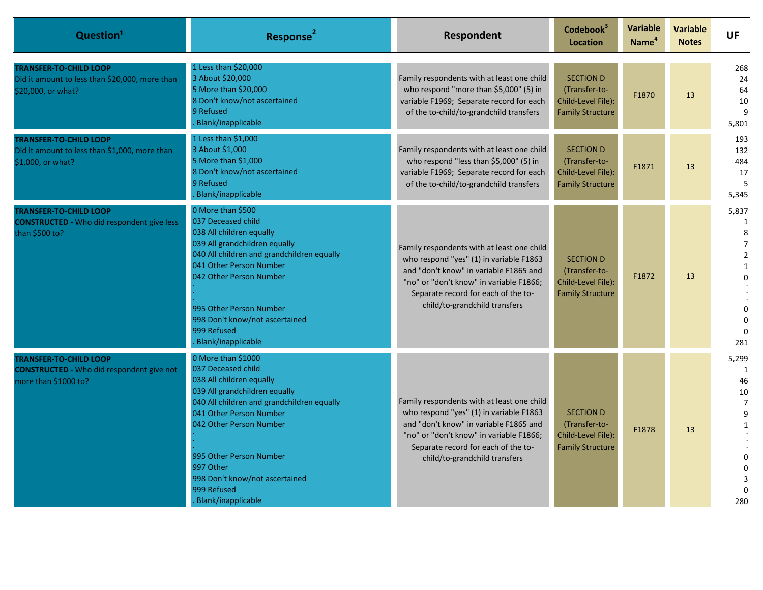| Question <sup>1</sup>                                                                                     | Response <sup>2</sup>                                                                                                                                                                                                                                                                                                    | Respondent                                                                                                                                                                                                                                         | Codebook <sup>3</sup><br><b>Location</b>                                           | <b>Variable</b><br>Name <sup>4</sup> | <b>Variable</b><br><b>Notes</b> | <b>UF</b>                                                                                                                  |
|-----------------------------------------------------------------------------------------------------------|--------------------------------------------------------------------------------------------------------------------------------------------------------------------------------------------------------------------------------------------------------------------------------------------------------------------------|----------------------------------------------------------------------------------------------------------------------------------------------------------------------------------------------------------------------------------------------------|------------------------------------------------------------------------------------|--------------------------------------|---------------------------------|----------------------------------------------------------------------------------------------------------------------------|
| <b>TRANSFER-TO-CHILD LOOP</b><br>Did it amount to less than \$20,000, more than<br>\$20,000, or what?     | 1 Less than \$20,000<br>3 About \$20,000<br>5 More than \$20,000<br>8 Don't know/not ascertained<br>9 Refused<br>Blank/inapplicable                                                                                                                                                                                      | Family respondents with at least one child<br>who respond "more than \$5,000" (5) in<br>variable F1969; Separate record for each<br>of the to-child/to-grandchild transfers                                                                        | <b>SECTION D</b><br>(Transfer-to-<br>Child-Level File):<br><b>Family Structure</b> | F1870                                | 13                              | 268<br>24<br>64<br>10<br>9<br>5,801                                                                                        |
| <b>TRANSFER-TO-CHILD LOOP</b><br>Did it amount to less than \$1,000, more than<br>\$1,000, or what?       | 1 Less than \$1,000<br>3 About \$1,000<br>5 More than \$1,000<br>8 Don't know/not ascertained<br>9 Refused<br>Blank/inapplicable                                                                                                                                                                                         | Family respondents with at least one child<br>who respond "less than \$5,000" (5) in<br>variable F1969; Separate record for each<br>of the to-child/to-grandchild transfers                                                                        | <b>SECTION D</b><br>(Transfer-to-<br>Child-Level File):<br><b>Family Structure</b> | F1871                                | 13                              | 193<br>132<br>484<br>17<br>5<br>5,345                                                                                      |
| <b>TRANSFER-TO-CHILD LOOP</b><br><b>CONSTRUCTED - Who did respondent give less</b><br>than \$500 to?      | 0 More than \$500<br>037 Deceased child<br>038 All children equally<br>039 All grandchildren equally<br>040 All children and grandchildren equally<br>041 Other Person Number<br>042 Other Person Number<br>995 Other Person Number<br>998 Don't know/not ascertained<br>999 Refused<br>Blank/inapplicable               | Family respondents with at least one child<br>who respond "yes" (1) in variable F1863<br>and "don't know" in variable F1865 and<br>"no" or "don't know" in variable F1866;<br>Separate record for each of the to-<br>child/to-grandchild transfers | <b>SECTION D</b><br>(Transfer-to-<br>Child-Level File):<br><b>Family Structure</b> | F1872                                | 13                              | 5,837<br>1<br>8<br>$\overline{7}$<br>$\overline{2}$<br>$\mathbf{1}$<br>$\Omega$<br>$\Omega$<br>$\Omega$<br>$\Omega$<br>281 |
| <b>TRANSFER-TO-CHILD LOOP</b><br><b>CONSTRUCTED - Who did respondent give not</b><br>more than \$1000 to? | 0 More than \$1000<br>037 Deceased child<br>038 All children equally<br>039 All grandchildren equally<br>040 All children and grandchildren equally<br>041 Other Person Number<br>042 Other Person Number<br>995 Other Person Number<br>997 Other<br>998 Don't know/not ascertained<br>999 Refused<br>Blank/inapplicable | Family respondents with at least one child<br>who respond "yes" (1) in variable F1863<br>and "don't know" in variable F1865 and<br>"no" or "don't know" in variable F1866;<br>Separate record for each of the to-<br>child/to-grandchild transfers | <b>SECTION D</b><br>(Transfer-to-<br>Child-Level File):<br><b>Family Structure</b> | F1878                                | 13                              | 5,299<br>1<br>46<br>10<br>$\overline{7}$<br>$\mathsf{q}$<br>$\mathbf{1}$<br>$\Omega$<br>$\Omega$<br>280                    |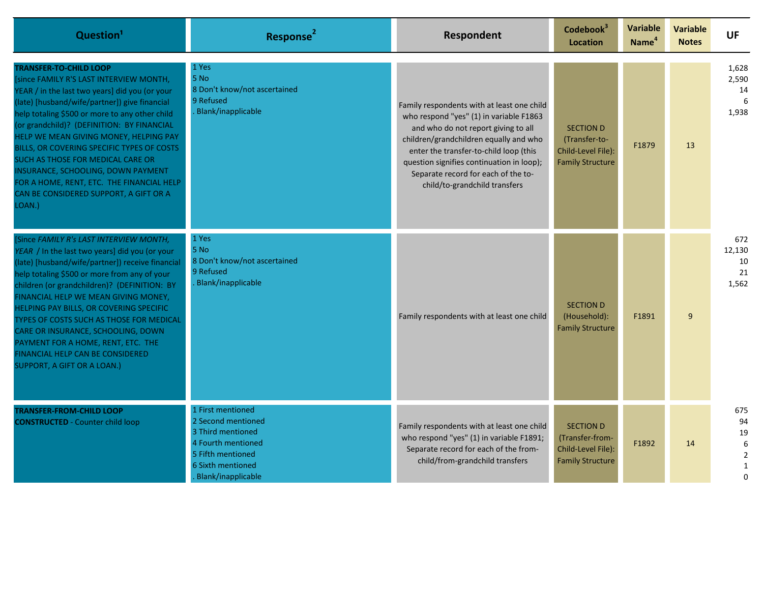| Question <sup>1</sup>                                                                                                                                                                                                                                                                                                                                                                                                                                                                                                                          | Response <sup>2</sup>                                                                                                                                     | Respondent                                                                                                                                                                                                                                                                                                                            | Codebook <sup>3</sup><br><b>Location</b>                                             | <b>Variable</b><br>Name <sup>4</sup> | <b>Variable</b><br><b>Notes</b> | <b>UF</b>                                                         |
|------------------------------------------------------------------------------------------------------------------------------------------------------------------------------------------------------------------------------------------------------------------------------------------------------------------------------------------------------------------------------------------------------------------------------------------------------------------------------------------------------------------------------------------------|-----------------------------------------------------------------------------------------------------------------------------------------------------------|---------------------------------------------------------------------------------------------------------------------------------------------------------------------------------------------------------------------------------------------------------------------------------------------------------------------------------------|--------------------------------------------------------------------------------------|--------------------------------------|---------------------------------|-------------------------------------------------------------------|
| <b>FRANSFER-TO-CHILD LOOP</b><br>since FAMILY R'S LAST INTERVIEW MONTH,<br>YEAR / in the last two years] did you (or your<br>(late) [husband/wife/partner]) give financial<br>help totaling \$500 or more to any other child<br>(or grandchild)? (DEFINITION: BY FINANCIAL<br>HELP WE MEAN GIVING MONEY, HELPING PAY<br>BILLS, OR COVERING SPECIFIC TYPES OF COSTS<br>SUCH AS THOSE FOR MEDICAL CARE OR<br>INSURANCE, SCHOOLING, DOWN PAYMENT<br>FOR A HOME, RENT, ETC. THE FINANCIAL HELP<br>CAN BE CONSIDERED SUPPORT, A GIFT OR A<br>LOAN.) | 1 Yes<br>5 No<br>8 Don't know/not ascertained<br>9 Refused<br>Blank/inapplicable                                                                          | Family respondents with at least one child<br>who respond "yes" (1) in variable F1863<br>and who do not report giving to all<br>children/grandchildren equally and who<br>enter the transfer-to-child loop (this<br>question signifies continuation in loop);<br>Separate record for each of the to-<br>child/to-grandchild transfers | <b>SECTION D</b><br>(Transfer-to-<br>Child-Level File):<br><b>Family Structure</b>   | F1879                                | 13                              | 1,628<br>2,590<br>14<br>6<br>1,938                                |
| Since FAMILY R's LAST INTERVIEW MONTH,<br>YEAR / In the last two years] did you (or your<br>(late) [husband/wife/partner]) receive financial<br>help totaling \$500 or more from any of your<br>children (or grandchildren)? (DEFINITION: BY<br>FINANCIAL HELP WE MEAN GIVING MONEY,<br>HELPING PAY BILLS, OR COVERING SPECIFIC<br>TYPES OF COSTS SUCH AS THOSE FOR MEDICAL<br>CARE OR INSURANCE, SCHOOLING, DOWN<br>PAYMENT FOR A HOME, RENT, ETC. THE<br>FINANCIAL HELP CAN BE CONSIDERED<br>SUPPORT, A GIFT OR A LOAN.)                     | 1 Yes<br>5 No<br>8 Don't know/not ascertained<br>9 Refused<br>Blank/inapplicable                                                                          | Family respondents with at least one child                                                                                                                                                                                                                                                                                            | <b>SECTION D</b><br>(Household):<br><b>Family Structure</b>                          | F1891                                | 9                               | 672<br>12,130<br>10<br>21<br>1,562                                |
| <b>TRANSFER-FROM-CHILD LOOP</b><br><b>CONSTRUCTED - Counter child loop</b>                                                                                                                                                                                                                                                                                                                                                                                                                                                                     | 1 First mentioned<br>2 Second mentioned<br>3 Third mentioned<br>4 Fourth mentioned<br>5 Fifth mentioned<br><b>6 Sixth mentioned</b><br>Blank/inapplicable | Family respondents with at least one child<br>who respond "yes" (1) in variable F1891;<br>Separate record for each of the from-<br>child/from-grandchild transfers                                                                                                                                                                    | <b>SECTION D</b><br>(Transfer-from-<br>Child-Level File):<br><b>Family Structure</b> | F1892                                | 14                              | 675<br>94<br>19<br>6<br>$\overline{2}$<br>$\mathbf 1$<br>$\Omega$ |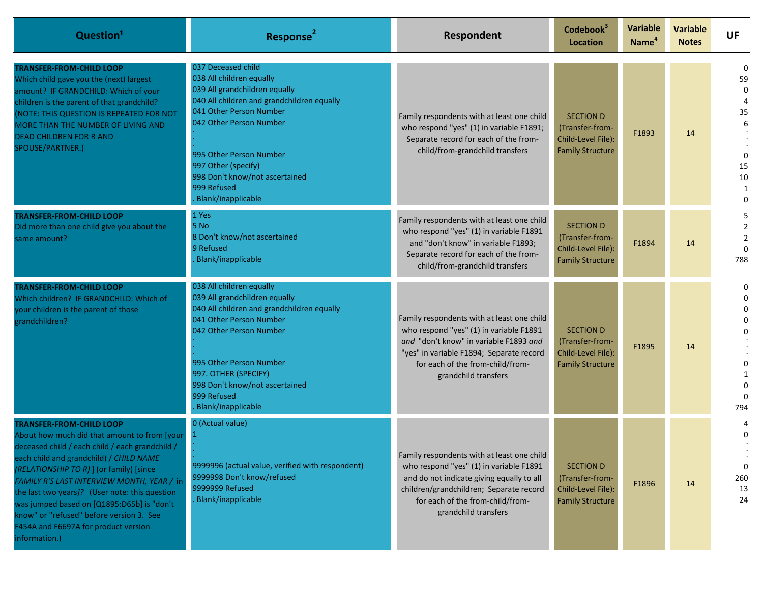| Question <sup>1</sup>                                                                                                                                                                                                                                                                                                                                                                                                                                                        | Response <sup>2</sup>                                                                                                                                                                                                                                                                                               | Respondent                                                                                                                                                                                                                                | Codebook <sup>3</sup><br><b>Location</b>                                             | <b>Variable</b><br>Name <sup>4</sup> | <b>Variable</b><br><b>Notes</b> | <b>UF</b>                                                                 |
|------------------------------------------------------------------------------------------------------------------------------------------------------------------------------------------------------------------------------------------------------------------------------------------------------------------------------------------------------------------------------------------------------------------------------------------------------------------------------|---------------------------------------------------------------------------------------------------------------------------------------------------------------------------------------------------------------------------------------------------------------------------------------------------------------------|-------------------------------------------------------------------------------------------------------------------------------------------------------------------------------------------------------------------------------------------|--------------------------------------------------------------------------------------|--------------------------------------|---------------------------------|---------------------------------------------------------------------------|
| <b>TRANSFER-FROM-CHILD LOOP</b><br>Which child gave you the (next) largest<br>amount? IF GRANDCHILD: Which of your<br>children is the parent of that grandchild?<br>NOTE: THIS QUESTION IS REPEATED FOR NOT<br>MORE THAN THE NUMBER OF LIVING AND<br><b>DEAD CHILDREN FOR R AND</b><br>SPOUSE/PARTNER.)                                                                                                                                                                      | 037 Deceased child<br>038 All children equally<br>039 All grandchildren equally<br>040 All children and grandchildren equally<br>041 Other Person Number<br>042 Other Person Number<br>995 Other Person Number<br>997 Other (specify)<br>998 Don't know/not ascertained<br>999 Refused<br><b>Blank/inapplicable</b> | Family respondents with at least one child<br>who respond "yes" (1) in variable F1891;<br>Separate record for each of the from-<br>child/from-grandchild transfers                                                                        | <b>SECTION D</b><br>(Transfer-from-<br>Child-Level File):<br><b>Family Structure</b> | F1893                                | 14                              | $\Omega$<br>59<br>$\Omega$<br>35<br>$\Omega$<br>15<br>10<br>1<br>$\Omega$ |
| <b>TRANSFER-FROM-CHILD LOOP</b><br>Did more than one child give you about the<br>same amount?                                                                                                                                                                                                                                                                                                                                                                                | 1 Yes<br>5 No<br>8 Don't know/not ascertained<br>9 Refused<br><b>Blank/inapplicable</b>                                                                                                                                                                                                                             | Family respondents with at least one child<br>who respond "yes" (1) in variable F1891<br>and "don't know" in variable F1893;<br>Separate record for each of the from-<br>child/from-grandchild transfers                                  | <b>SECTION D</b><br>(Transfer-from-<br>Child-Level File):<br><b>Family Structure</b> | F1894                                | 14                              | $\overline{2}$<br>$\overline{2}$<br>788                                   |
| <b>TRANSFER-FROM-CHILD LOOP</b><br>Which children? IF GRANDCHILD: Which of<br>your children is the parent of those<br>grandchildren?                                                                                                                                                                                                                                                                                                                                         | 038 All children equally<br>039 All grandchildren equally<br>040 All children and grandchildren equally<br>041 Other Person Number<br>042 Other Person Number<br>995 Other Person Number<br>997. OTHER (SPECIFY)<br>998 Don't know/not ascertained<br>999 Refused<br><b>Blank/inapplicable</b>                      | Family respondents with at least one child<br>who respond "yes" (1) in variable F1891<br>and "don't know" in variable F1893 and<br>"yes" in variable F1894; Separate record<br>for each of the from-child/from-<br>grandchild transfers   | <b>SECTION D</b><br>(Transfer-from-<br>Child-Level File):<br><b>Family Structure</b> | F1895                                | 14                              | 0<br>0<br>794                                                             |
| <b>TRANSFER-FROM-CHILD LOOP</b><br>About how much did that amount to from [your<br>deceased child / each child / each grandchild /<br>each child and grandchild) / CHILD NAME<br>(RELATIONSHIP TO R) ] (or family) [since<br>FAMILY R'S LAST INTERVIEW MONTH, YEAR / in<br>the last two years]? (User note: this question<br>was jumped based on [Q1895:D65b] is "don't<br>know" or "refused" before version 3. See<br>F454A and F6697A for product version<br>information.) | 0 (Actual value)<br>9999996 (actual value, verified with respondent)<br>9999998 Don't know/refused<br>9999999 Refused<br>Blank/inapplicable                                                                                                                                                                         | Family respondents with at least one child<br>who respond "yes" (1) in variable F1891<br>and do not indicate giving equally to all<br>children/grandchildren; Separate record<br>for each of the from-child/from-<br>grandchild transfers | <b>SECTION D</b><br>(Transfer-from-<br>Child-Level File):<br><b>Family Structure</b> | F1896                                | 14                              | $\mathbf{0}$<br>260<br>13<br>24                                           |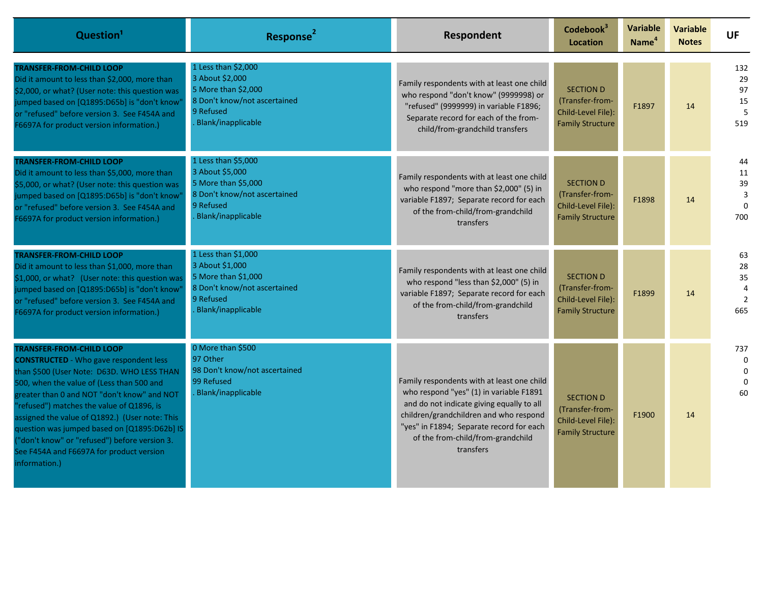| Question <sup>1</sup>                                                                                                                                                                                                                                                                                                                                                                                                                                                                  | Response <sup>2</sup>                                                                                                            | <b>Respondent</b>                                                                                                                                                                                                                                                          | Codebook <sup>3</sup><br><b>Location</b>                                             | Variable<br>Name <sup>4</sup> | <b>Variable</b><br><b>Notes</b> | <b>UF</b>                               |
|----------------------------------------------------------------------------------------------------------------------------------------------------------------------------------------------------------------------------------------------------------------------------------------------------------------------------------------------------------------------------------------------------------------------------------------------------------------------------------------|----------------------------------------------------------------------------------------------------------------------------------|----------------------------------------------------------------------------------------------------------------------------------------------------------------------------------------------------------------------------------------------------------------------------|--------------------------------------------------------------------------------------|-------------------------------|---------------------------------|-----------------------------------------|
| TRANSFER-FROM-CHILD LOOP<br>Did it amount to less than \$2,000, more than<br>\$2,000, or what? (User note: this question was<br>jumped based on [Q1895:D65b] is "don't know<br>or "refused" before version 3. See F454A and<br>F6697A for product version information.)                                                                                                                                                                                                                | 1 Less than \$2,000<br>3 About \$2,000<br>5 More than \$2,000<br>8 Don't know/not ascertained<br>9 Refused<br>Blank/inapplicable | Family respondents with at least one child<br>who respond "don't know" (9999998) or<br>"refused" (9999999) in variable F1896;<br>Separate record for each of the from-<br>child/from-grandchild transfers                                                                  | <b>SECTION D</b><br>(Transfer-from-<br>Child-Level File):<br><b>Family Structure</b> | F1897                         | 14                              | 132<br>29<br>97<br>15<br>5<br>519       |
| <b>TRANSFER-FROM-CHILD LOOP</b><br>Did it amount to less than \$5,000, more than<br>\$5,000, or what? (User note: this question was<br>jumped based on [Q1895:D65b] is "don't know<br>or "refused" before version 3. See F454A and<br>F6697A for product version information.)                                                                                                                                                                                                         | 1 Less than \$5,000<br>3 About \$5,000<br>5 More than \$5,000<br>8 Don't know/not ascertained<br>9 Refused<br>Blank/inapplicable | Family respondents with at least one child<br>who respond "more than \$2,000" (5) in<br>variable F1897; Separate record for each<br>of the from-child/from-grandchild<br>transfers                                                                                         | <b>SECTION D</b><br>(Transfer-from-<br>Child-Level File):<br><b>Family Structure</b> | F1898                         | 14                              | 44<br>11<br>39<br>3<br>$\Omega$<br>700  |
| <b>TRANSFER-FROM-CHILD LOOP</b><br>Did it amount to less than \$1,000, more than<br>\$1,000, or what? (User note: this question was<br>jumped based on [Q1895:D65b] is "don't know'<br>or "refused" before version 3. See F454A and<br>F6697A for product version information.)                                                                                                                                                                                                        | 1 Less than \$1,000<br>3 About \$1,000<br>5 More than \$1,000<br>8 Don't know/not ascertained<br>9 Refused<br>Blank/inapplicable | Family respondents with at least one child<br>who respond "less than \$2,000" (5) in<br>variable F1897; Separate record for each<br>of the from-child/from-grandchild<br>transfers                                                                                         | <b>SECTION D</b><br>(Transfer-from-<br>Child-Level File):<br><b>Family Structure</b> | F1899                         | 14                              | 63<br>28<br>35<br>$\overline{2}$<br>665 |
| <b>TRANSFER-FROM-CHILD LOOP</b><br><b>CONSTRUCTED</b> - Who gave respondent less<br>than \$500 (User Note: D63D. WHO LESS THAN<br>500, when the value of (Less than 500 and<br>greater than 0 and NOT "don't know" and NOT<br>'refused") matches the value of Q1896, is<br>assigned the value of Q1892.) (User note: This<br>question was jumped based on [Q1895:D62b] IS<br>"don't know" or "refused") before version 3.<br>See F454A and F6697A for product version<br>information.) | 0 More than \$500<br>97 Other<br>98 Don't know/not ascertained<br>99 Refused<br>Blank/inapplicable                               | Family respondents with at least one child<br>who respond "yes" (1) in variable F1891<br>and do not indicate giving equally to all<br>children/grandchildren and who respond<br>"yes" in F1894; Separate record for each<br>of the from-child/from-grandchild<br>transfers | <b>SECTION D</b><br>(Transfer-from-<br>Child-Level File):<br><b>Family Structure</b> | F1900                         | 14                              | 737<br>0<br>60                          |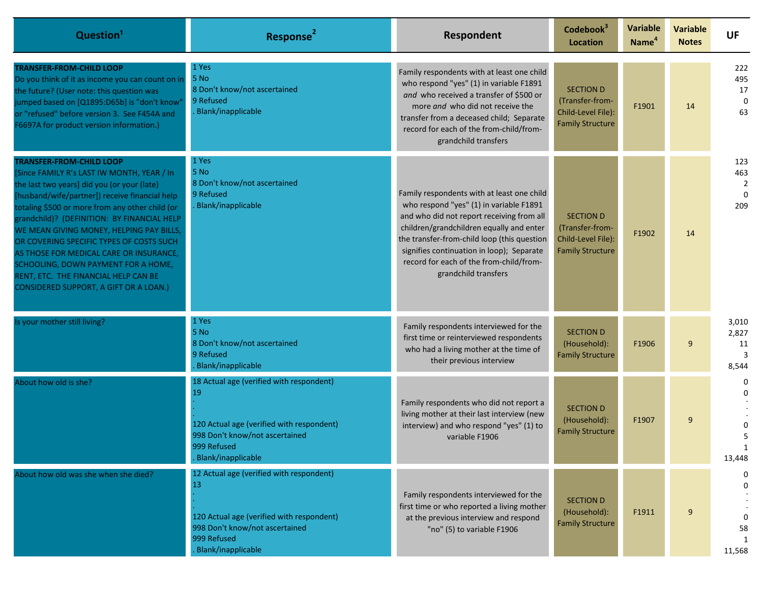| Question <sup>1</sup>                                                                                                                                                                                                                                                                                                                                                                                                                                                                                                                      | Response <sup>2</sup>                                                                                                                                              | Respondent                                                                                                                                                                                                                                                                                                                                    | Codebook <sup>3</sup><br>Location                                                    | <b>Variable</b><br>Name <sup>4</sup> | <b>Variable</b><br><b>Notes</b> | <b>UF</b>                                       |
|--------------------------------------------------------------------------------------------------------------------------------------------------------------------------------------------------------------------------------------------------------------------------------------------------------------------------------------------------------------------------------------------------------------------------------------------------------------------------------------------------------------------------------------------|--------------------------------------------------------------------------------------------------------------------------------------------------------------------|-----------------------------------------------------------------------------------------------------------------------------------------------------------------------------------------------------------------------------------------------------------------------------------------------------------------------------------------------|--------------------------------------------------------------------------------------|--------------------------------------|---------------------------------|-------------------------------------------------|
| <b>TRANSFER-FROM-CHILD LOOP</b><br>Do you think of it as income you can count on in<br>the future? (User note: this question was<br>jumped based on [Q1895:D65b] is "don't know'<br>or "refused" before version 3. See F454A and<br>F6697A for product version information.)                                                                                                                                                                                                                                                               | 1 Yes<br>5 No<br>8 Don't know/not ascertained<br>9 Refused<br>Blank/inapplicable                                                                                   | Family respondents with at least one child<br>who respond "yes" (1) in variable F1891<br>and who received a transfer of \$500 or<br>more and who did not receive the<br>transfer from a deceased child; Separate<br>record for each of the from-child/from-<br>grandchild transfers                                                           | <b>SECTION D</b><br>(Transfer-from-<br>Child-Level File):<br><b>Family Structure</b> | F1901                                | 14                              | 222<br>495<br>17<br>$\overline{0}$<br>63        |
| <b>TRANSFER-FROM-CHILD LOOP</b><br>Since FAMILY R's LAST IW MONTH, YEAR / In<br>the last two years] did you (or your (late)<br>husband/wife/partner]) receive financial help<br>totaling \$500 or more from any other child (or<br>grandchild)? (DEFINITION: BY FINANCIAL HELP<br>WE MEAN GIVING MONEY, HELPING PAY BILLS,<br>OR COVERING SPECIFIC TYPES OF COSTS SUCH<br>AS THOSE FOR MEDICAL CARE OR INSURANCE,<br>SCHOOLING, DOWN PAYMENT FOR A HOME,<br>RENT, ETC. THE FINANCIAL HELP CAN BE<br>CONSIDERED SUPPORT, A GIFT OR A LOAN.) | 1 Yes<br>5 No<br>8 Don't know/not ascertained<br>9 Refused<br>Blank/inapplicable                                                                                   | Family respondents with at least one child<br>who respond "yes" (1) in variable F1891<br>and who did not report receiving from all<br>children/grandchildren equally and enter<br>the transfer-from-child loop (this question<br>signifies continuation in loop); Separate<br>record for each of the from-child/from-<br>grandchild transfers | <b>SECTION D</b><br>(Transfer-from-<br>Child-Level File):<br><b>Family Structure</b> | F1902                                | 14                              | 123<br>463<br>$\overline{2}$<br>$\Omega$<br>209 |
| Is your mother still living?                                                                                                                                                                                                                                                                                                                                                                                                                                                                                                               | 1 Yes<br>5 No<br>8 Don't know/not ascertained<br>9 Refused<br>Blank/inapplicable                                                                                   | Family respondents interviewed for the<br>first time or reinterviewed respondents<br>who had a living mother at the time of<br>their previous interview                                                                                                                                                                                       | <b>SECTION D</b><br>(Household):<br><b>Family Structure</b>                          | F1906                                | 9                               | 3,010<br>2,827<br>11<br>3<br>8,544              |
| About how old is she?                                                                                                                                                                                                                                                                                                                                                                                                                                                                                                                      | 18 Actual age (verified with respondent)<br>19<br>120 Actual age (verified with respondent)<br>998 Don't know/not ascertained<br>999 Refused<br>Blank/inapplicable | Family respondents who did not report a<br>living mother at their last interview (new<br>interview) and who respond "yes" (1) to<br>variable F1906                                                                                                                                                                                            | <b>SECTION D</b><br>(Household):<br><b>Family Structure</b>                          | F1907                                | 9                               | 5<br>13,448                                     |
| About how old was she when she died?                                                                                                                                                                                                                                                                                                                                                                                                                                                                                                       | 12 Actual age (verified with respondent)<br>13<br>120 Actual age (verified with respondent)<br>998 Don't know/not ascertained<br>999 Refused<br>Blank/inapplicable | Family respondents interviewed for the<br>first time or who reported a living mother<br>at the previous interview and respond<br>"no" (5) to variable F1906                                                                                                                                                                                   | <b>SECTION D</b><br>(Household):<br><b>Family Structure</b>                          | F1911                                | 9                               | 0<br>58<br>1<br>11,568                          |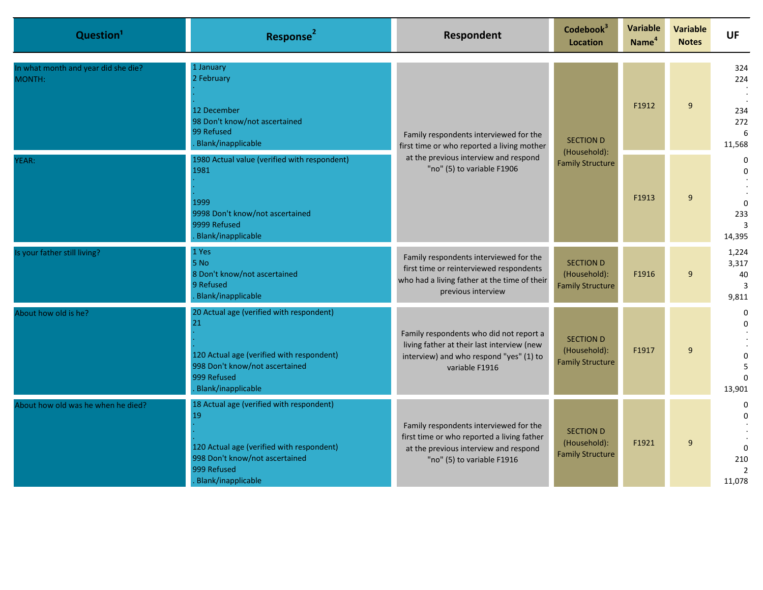| Question <sup>1</sup>                         | Response <sup>2</sup>                                                                                                                                              | Respondent                                                                                                                                                  | Codebook <sup>3</sup><br>Location                           | <b>Variable</b><br>Name <sup>4</sup> | <b>Variable</b><br><b>Notes</b> | <b>UF</b>                                                    |                                                           |
|-----------------------------------------------|--------------------------------------------------------------------------------------------------------------------------------------------------------------------|-------------------------------------------------------------------------------------------------------------------------------------------------------------|-------------------------------------------------------------|--------------------------------------|---------------------------------|--------------------------------------------------------------|-----------------------------------------------------------|
| In what month and year did she die?<br>MONTH: | 1 January<br>2 February<br>12 December<br>98 Don't know/not ascertained<br>99 Refused<br>Blank/inapplicable                                                        | Family respondents interviewed for the<br>first time or who reported a living mother<br>at the previous interview and respond<br>"no" (5) to variable F1906 |                                                             | <b>SECTION D</b><br>(Household):     | F1912                           | 9                                                            | 324<br>224<br>234<br>272<br>$6 \overline{6}$<br>11,568    |
| YEAR:                                         | 1980 Actual value (verified with respondent)<br>1981<br>1999<br>9998 Don't know/not ascertained<br>9999 Refused<br>Blank/inapplicable                              |                                                                                                                                                             |                                                             | <b>Family Structure</b>              | F1913                           | 9                                                            | $\mathbf 0$<br>$\Omega$<br>$\Omega$<br>233<br>3<br>14,395 |
| Is your father still living?                  | 1 Yes<br>5 <sub>No</sub><br>8 Don't know/not ascertained<br>9 Refused<br>Blank/inapplicable                                                                        | Family respondents interviewed for the<br>first time or reinterviewed respondents<br>who had a living father at the time of their<br>previous interview     | <b>SECTION D</b><br>(Household):<br><b>Family Structure</b> | F1916                                | 9                               | 1,224<br>3,317<br>40<br>3<br>9,811                           |                                                           |
| About how old is he?                          | 20 Actual age (verified with respondent)<br>21<br>120 Actual age (verified with respondent)<br>998 Don't know/not ascertained<br>999 Refused<br>Blank/inapplicable | Family respondents who did not report a<br>living father at their last interview (new<br>interview) and who respond "yes" (1) to<br>variable F1916          | <b>SECTION D</b><br>(Household):<br><b>Family Structure</b> | F1917                                | 9                               | $\Omega$<br>$\Omega$<br>5<br>$\Omega$<br>13,901              |                                                           |
| About how old was he when he died?            | 18 Actual age (verified with respondent)<br>19<br>120 Actual age (verified with respondent)<br>998 Don't know/not ascertained<br>999 Refused<br>Blank/inapplicable | Family respondents interviewed for the<br>first time or who reported a living father<br>at the previous interview and respond<br>"no" (5) to variable F1916 | <b>SECTION D</b><br>(Household):<br><b>Family Structure</b> | F1921                                | 9                               | 0<br>$\Omega$<br>$\Omega$<br>210<br>$\overline{2}$<br>11,078 |                                                           |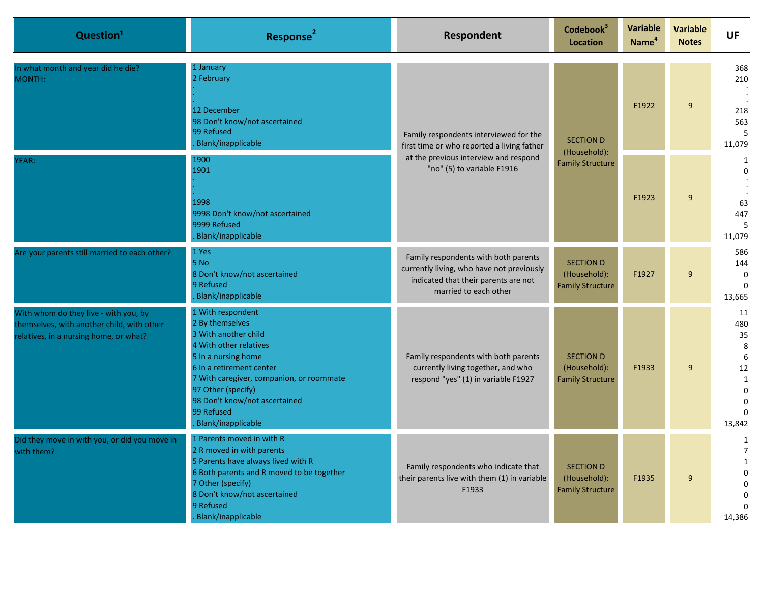| Question <sup>1</sup>                                                                                                         | Response <sup>2</sup>                                                                                                                                                                                                                                                            | Respondent                                                                                                                                                  | Codebook <sup>3</sup><br><b>Location</b>                    | Variable<br>Name <sup>4</sup>           | <b>Variable</b><br><b>Notes</b> | <b>UF</b>                                                                         |                                           |  |  |  |  |                  |       |   |                                         |
|-------------------------------------------------------------------------------------------------------------------------------|----------------------------------------------------------------------------------------------------------------------------------------------------------------------------------------------------------------------------------------------------------------------------------|-------------------------------------------------------------------------------------------------------------------------------------------------------------|-------------------------------------------------------------|-----------------------------------------|---------------------------------|-----------------------------------------------------------------------------------|-------------------------------------------|--|--|--|--|------------------|-------|---|-----------------------------------------|
| In what month and year did he die?<br>MONTH:                                                                                  | 1 January<br>2 February<br>12 December<br>98 Don't know/not ascertained<br>99 Refused<br>Blank/inapplicable                                                                                                                                                                      | Family respondents interviewed for the<br>first time or who reported a living father<br>at the previous interview and respond<br>"no" (5) to variable F1916 |                                                             |                                         |                                 |                                                                                   |                                           |  |  |  |  | <b>SECTION D</b> | F1922 | 9 | 368<br>210<br>218<br>563<br>5<br>11,079 |
| YEAR:                                                                                                                         | 1900<br>1901<br>1998<br>9998 Don't know/not ascertained<br>9999 Refused<br>Blank/inapplicable                                                                                                                                                                                    |                                                                                                                                                             |                                                             | (Household):<br><b>Family Structure</b> | F1923                           | 9                                                                                 | 1<br>$\Omega$<br>63<br>447<br>5<br>11,079 |  |  |  |  |                  |       |   |                                         |
| Are your parents still married to each other?                                                                                 | 1 Yes<br>$5$ No<br>8 Don't know/not ascertained<br>9 Refused<br>Blank/inapplicable                                                                                                                                                                                               | Family respondents with both parents<br>currently living, who have not previously<br>indicated that their parents are not<br>married to each other          | <b>SECTION D</b><br>(Household):<br><b>Family Structure</b> | F1927                                   | 9                               | 586<br>144<br>$\mathbf 0$<br>$\Omega$<br>13,665                                   |                                           |  |  |  |  |                  |       |   |                                         |
| With whom do they live - with you, by<br>themselves, with another child, with other<br>relatives, in a nursing home, or what? | 1 With respondent<br>2 By themselves<br>3 With another child<br>4 With other relatives<br>5 In a nursing home<br>6 In a retirement center<br>7 With caregiver, companion, or roommate<br>97 Other (specify)<br>98 Don't know/not ascertained<br>99 Refused<br>Blank/inapplicable | Family respondents with both parents<br>currently living together, and who<br>respond "yes" (1) in variable F1927                                           | <b>SECTION D</b><br>(Household):<br><b>Family Structure</b> | F1933                                   | 9                               | 11<br>480<br>35<br>8<br>6<br>12<br>$\mathbf{1}$<br>$\Omega$<br>$\Omega$<br>13,842 |                                           |  |  |  |  |                  |       |   |                                         |
| Did they move in with you, or did you move in<br>with them?                                                                   | 1 Parents moved in with R<br>2 R moved in with parents<br>5 Parents have always lived with R<br>6 Both parents and R moved to be together<br>7 Other (specify)<br>8 Don't know/not ascertained<br>9 Refused<br>Blank/inapplicable                                                | Family respondents who indicate that<br>their parents live with them (1) in variable<br>F1933                                                               | <b>SECTION D</b><br>(Household):<br><b>Family Structure</b> | F1935                                   | 9                               | 1<br>$\overline{7}$<br>$\mathbf{1}$<br>$\Omega$<br>$\Omega$<br>$\Omega$<br>14,386 |                                           |  |  |  |  |                  |       |   |                                         |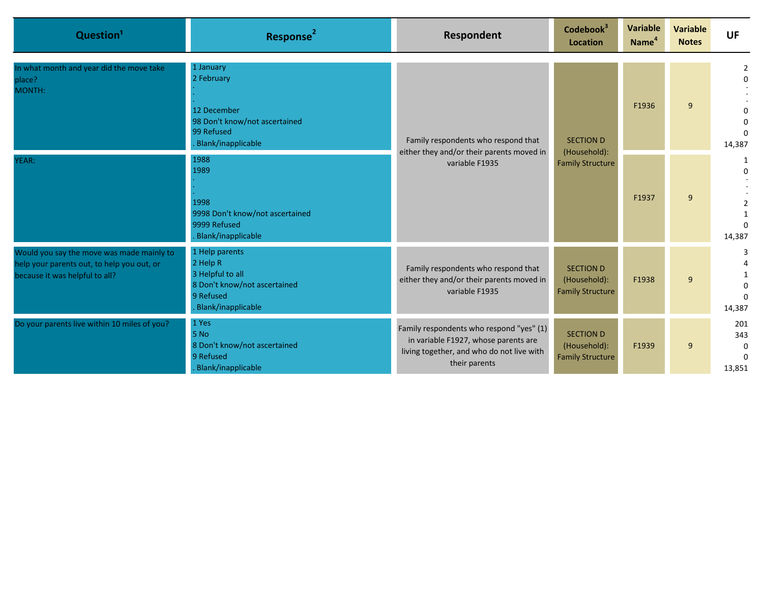| Question <sup>1</sup>                                                                                                     | Response <sup>2</sup>                                                                                             | Respondent                                                                                                                                     | Codebook <sup>3</sup><br>Location                           | Variable<br>Name <sup>4</sup> | <b>Variable</b><br><b>Notes</b> | <b>UF</b>                                    |
|---------------------------------------------------------------------------------------------------------------------------|-------------------------------------------------------------------------------------------------------------------|------------------------------------------------------------------------------------------------------------------------------------------------|-------------------------------------------------------------|-------------------------------|---------------------------------|----------------------------------------------|
| In what month and year did the move take<br>place?<br>MONTH:                                                              | 1 January<br>2 February<br>12 December<br>98 Don't know/not ascertained<br>99 Refused<br>Blank/inapplicable       | Family respondents who respond that<br>either they and/or their parents moved in<br>variable F1935                                             | <b>SECTION D</b>                                            | F1936                         | 9                               | $\Omega$<br>$\Omega$<br>$\Omega$<br>14,387   |
| YEAR:                                                                                                                     | 1988<br>1989<br>1998<br>9998 Don't know/not ascertained<br>9999 Refused<br>Blank/inapplicable                     |                                                                                                                                                | (Household):<br><b>Family Structure</b>                     | F1937                         | 9                               | 1<br>$\Omega$<br>$\Omega$<br>14,387          |
| Would you say the move was made mainly to<br>help your parents out, to help you out, or<br>because it was helpful to all? | 1 Help parents<br>2 Help R<br>3 Helpful to all<br>8 Don't know/not ascertained<br>9 Refused<br>Blank/inapplicable | Family respondents who respond that<br>either they and/or their parents moved in<br>variable F1935                                             | <b>SECTION D</b><br>(Household):<br><b>Family Structure</b> | F1938                         | 9                               | $\Omega$<br>14,387                           |
| Do your parents live within 10 miles of you?                                                                              | 1 Yes<br>5 No<br>8 Don't know/not ascertained<br>9 Refused<br>Blank/inapplicable                                  | Family respondents who respond "yes" (1)<br>in variable F1927, whose parents are<br>living together, and who do not live with<br>their parents | <b>SECTION D</b><br>(Household):<br><b>Family Structure</b> | F1939                         | 9                               | 201<br>343<br>$\Omega$<br>$\Omega$<br>13,851 |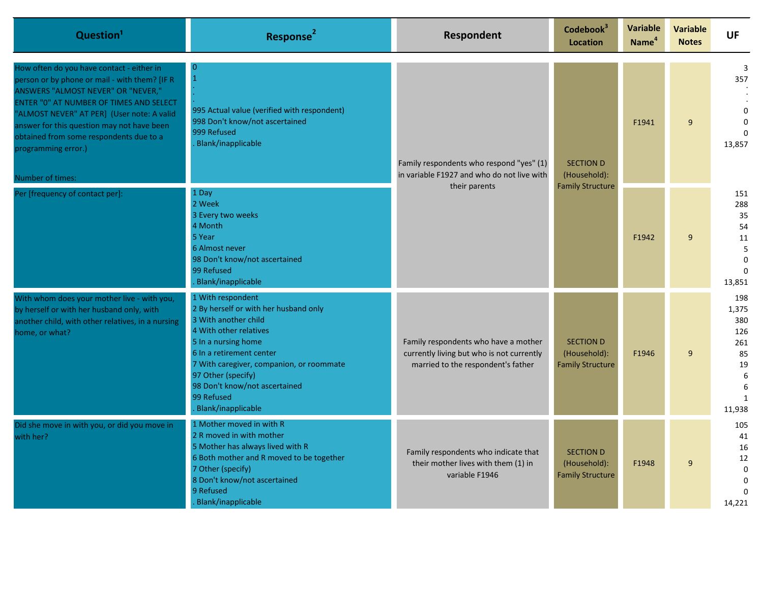| Question <sup>1</sup>                                                                                                                                                                                                                                                                                                                                         | Response <sup>2</sup>                                                                                                                                                                                                                                                                                  | Respondent                                                                                                              | Codebook <sup>3</sup><br><b>Location</b>                    | Variable<br>Name <sup>4</sup> | <b>Variable</b><br><b>Notes</b> | <b>UF</b>                                                                         |  |  |       |   |                                            |
|---------------------------------------------------------------------------------------------------------------------------------------------------------------------------------------------------------------------------------------------------------------------------------------------------------------------------------------------------------------|--------------------------------------------------------------------------------------------------------------------------------------------------------------------------------------------------------------------------------------------------------------------------------------------------------|-------------------------------------------------------------------------------------------------------------------------|-------------------------------------------------------------|-------------------------------|---------------------------------|-----------------------------------------------------------------------------------|--|--|-------|---|--------------------------------------------|
| How often do you have contact - either in<br>person or by phone or mail - with them? [IF R<br>ANSWERS "ALMOST NEVER" OR "NEVER,"<br>ENTER "0" AT NUMBER OF TIMES AND SELECT<br>"ALMOST NEVER" AT PER] (User note: A valid<br>answer for this question may not have been<br>obtained from some respondents due to a<br>programming error.)<br>Number of times: | $\Omega$<br>$\mathbf{1}$<br>995 Actual value (verified with respondent)<br>998 Don't know/not ascertained<br>999 Refused<br><b>Blank/inapplicable</b>                                                                                                                                                  | Family respondents who respond "yes" (1)<br>in variable F1927 and who do not live with<br>their parents                 | <b>SECTION D</b><br>(Household):<br><b>Family Structure</b> |                               |                                 |                                                                                   |  |  | F1941 | 9 | 3<br>357<br>$\Omega$<br>$\Omega$<br>13,857 |
| Per [frequency of contact per]:                                                                                                                                                                                                                                                                                                                               | 1 Day<br>2 Week<br>3 Every two weeks<br>4 Month<br>5 Year<br>6 Almost never<br>98 Don't know/not ascertained<br>99 Refused<br>Blank/inapplicable                                                                                                                                                       |                                                                                                                         |                                                             | F1942                         | 9                               | 151<br>288<br>35<br>54<br>11<br>5<br>$\Omega$<br>13,851                           |  |  |       |   |                                            |
| With whom does your mother live - with you,<br>by herself or with her husband only, with<br>another child, with other relatives, in a nursing<br>home, or what?                                                                                                                                                                                               | 1 With respondent<br>2 By herself or with her husband only<br>3 With another child<br>4 With other relatives<br>5 In a nursing home<br>6 In a retirement center<br>7 With caregiver, companion, or roommate<br>97 Other (specify)<br>98 Don't know/not ascertained<br>99 Refused<br>Blank/inapplicable | Family respondents who have a mother<br>currently living but who is not currently<br>married to the respondent's father | <b>SECTION D</b><br>(Household):<br><b>Family Structure</b> | F1946                         | 9                               | 198<br>1,375<br>380<br>126<br>261<br>85<br>19<br>6<br>6<br>$\mathbf{1}$<br>11,938 |  |  |       |   |                                            |
| Did she move in with you, or did you move in<br>with her?                                                                                                                                                                                                                                                                                                     | 1 Mother moved in with R<br>2 R moved in with mother<br>5 Mother has always lived with R<br>6 Both mother and R moved to be together<br>7 Other (specify)<br>8 Don't know/not ascertained<br>9 Refused<br>Blank/inapplicable                                                                           | Family respondents who indicate that<br>their mother lives with them (1) in<br>variable F1946                           | <b>SECTION D</b><br>(Household):<br><b>Family Structure</b> | F1948                         | 9                               | 105<br>41<br>16<br>12<br>$\mathbf 0$<br>$\Omega$<br>14,221                        |  |  |       |   |                                            |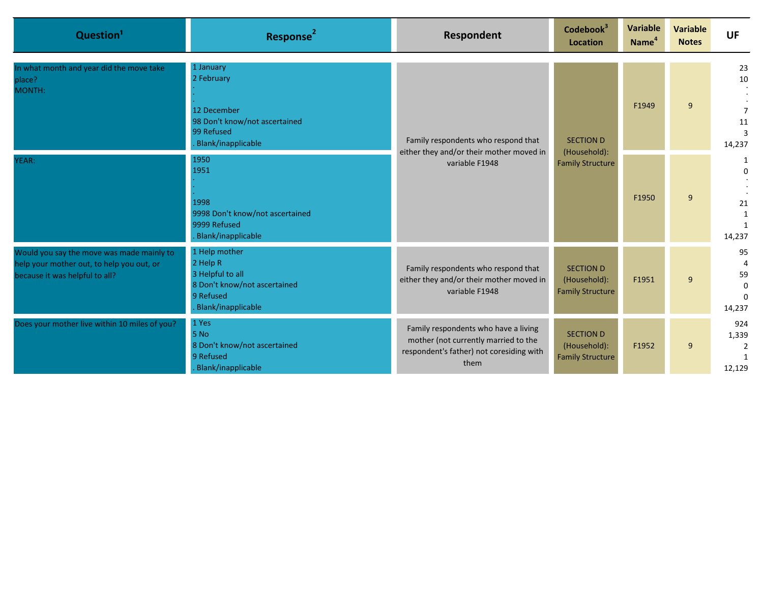| Question <sup>1</sup>                                                                                                    | Response <sup>2</sup>                                                                                            | Respondent                                                                                                                       | Codebook <sup>3</sup><br><b>Location</b>                    | Variable<br>Name <sup>4</sup> | <b>Variable</b><br><b>Notes</b> | <b>UF</b>                                       |
|--------------------------------------------------------------------------------------------------------------------------|------------------------------------------------------------------------------------------------------------------|----------------------------------------------------------------------------------------------------------------------------------|-------------------------------------------------------------|-------------------------------|---------------------------------|-------------------------------------------------|
| In what month and year did the move take<br>place?<br>MONTH:                                                             | 1 January<br>2 February<br>12 December<br>98 Don't know/not ascertained<br>99 Refused<br>Blank/inapplicable      | Family respondents who respond that<br>either they and/or their mother moved in<br>variable F1948                                | <b>SECTION D</b>                                            | F1949                         | 9                               | 23<br>10<br>$\overline{7}$<br>11<br>3<br>14,237 |
| YEAR:                                                                                                                    | 1950<br>1951<br>1998<br>9998 Don't know/not ascertained<br>9999 Refused<br>Blank/inapplicable                    |                                                                                                                                  | (Household):<br><b>Family Structure</b>                     | F1950                         | 9                               | 1<br>$\Omega$<br>21<br>1<br>1<br>14,237         |
| Would you say the move was made mainly to<br>help your mother out, to help you out, or<br>because it was helpful to all? | 1 Help mother<br>2 Help R<br>3 Helpful to all<br>8 Don't know/not ascertained<br>9 Refused<br>Blank/inapplicable | Family respondents who respond that<br>either they and/or their mother moved in<br>variable F1948                                | <b>SECTION D</b><br>(Household):<br><b>Family Structure</b> | F1951                         | 9                               | 95<br>59<br>$\Omega$<br>$\Omega$<br>14,237      |
| Does your mother live within 10 miles of you?                                                                            | 1 Yes<br>5 No<br>8 Don't know/not ascertained<br>9 Refused<br>Blank/inapplicable                                 | Family respondents who have a living<br>mother (not currently married to the<br>respondent's father) not coresiding with<br>them | <b>SECTION D</b><br>(Household):<br><b>Family Structure</b> | F1952                         | 9                               | 924<br>1,339<br>12,129                          |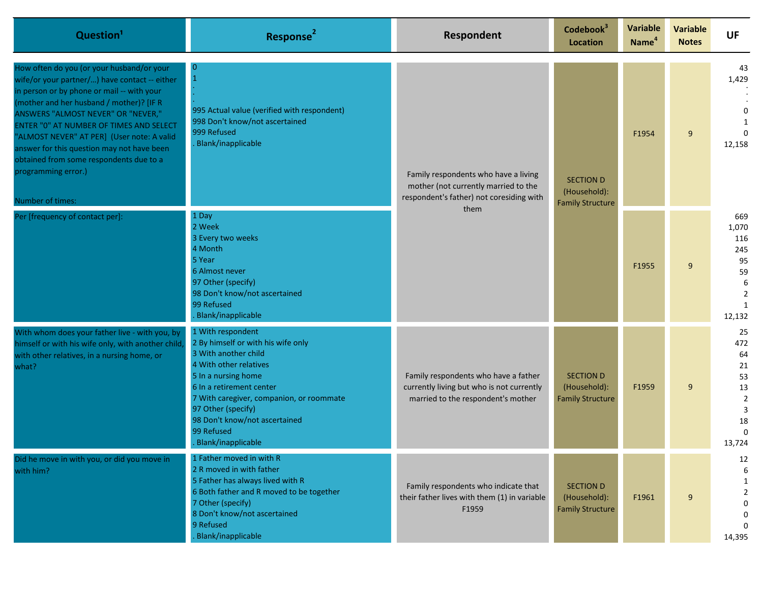| Question <sup>1</sup>                                                                                                                                                                                                                                                                                                                                                                                                                                   | Response <sup>2</sup>                                                                                                                                                                                                                                                                               | Respondent                                                                                                                       | Codebook <sup>3</sup><br>Location                           | Variable<br>Name <sup>4</sup>                               | <b>Variable</b><br><b>Notes</b> | <b>UF</b>                                                                |                       |
|---------------------------------------------------------------------------------------------------------------------------------------------------------------------------------------------------------------------------------------------------------------------------------------------------------------------------------------------------------------------------------------------------------------------------------------------------------|-----------------------------------------------------------------------------------------------------------------------------------------------------------------------------------------------------------------------------------------------------------------------------------------------------|----------------------------------------------------------------------------------------------------------------------------------|-------------------------------------------------------------|-------------------------------------------------------------|---------------------------------|--------------------------------------------------------------------------|-----------------------|
| How often do you (or your husband/or your<br>wife/or your partner/) have contact -- either<br>in person or by phone or mail -- with your<br>(mother and her husband / mother)? [IF R<br>ANSWERS "ALMOST NEVER" OR "NEVER,"<br>ENTER "0" AT NUMBER OF TIMES AND SELECT<br>"ALMOST NEVER" AT PER] (User note: A valid<br>answer for this question may not have been<br>obtained from some respondents due to a<br>programming error.)<br>Number of times: | $\overline{0}$<br>$\overline{1}$<br>995 Actual value (verified with respondent)<br>998 Don't know/not ascertained<br>999 Refused<br>Blank/inapplicable                                                                                                                                              | Family respondents who have a living<br>mother (not currently married to the<br>respondent's father) not coresiding with<br>them |                                                             | <b>SECTION D</b><br>(Household):<br><b>Family Structure</b> | F1954                           | 9                                                                        | 43<br>1,429<br>12,158 |
| Per [frequency of contact per]:                                                                                                                                                                                                                                                                                                                                                                                                                         | 1 Day<br>2 Week<br>3 Every two weeks<br>4 Month<br>5 Year<br>6 Almost never<br>97 Other (specify)<br>98 Don't know/not ascertained<br>99 Refused<br>Blank/inapplicable                                                                                                                              |                                                                                                                                  |                                                             |                                                             |                                 | F1955                                                                    | 9                     |
| With whom does your father live - with you, by<br>himself or with his wife only, with another child<br>with other relatives, in a nursing home, or<br>what?                                                                                                                                                                                                                                                                                             | 1 With respondent<br>2 By himself or with his wife only<br>3 With another child<br>4 With other relatives<br>5 In a nursing home<br>6 In a retirement center<br>7 With caregiver, companion, or roommate<br>97 Other (specify)<br>98 Don't know/not ascertained<br>99 Refused<br>Blank/inapplicable | Family respondents who have a father<br>currently living but who is not currently<br>married to the respondent's mother          | <b>SECTION D</b><br>(Household):<br><b>Family Structure</b> | F1959                                                       | 9                               | 25<br>472<br>64<br>21<br>53<br>13<br>$\overline{2}$<br>3<br>18<br>13,724 |                       |
| Did he move in with you, or did you move in<br>with him?                                                                                                                                                                                                                                                                                                                                                                                                | 1 Father moved in with R<br>2 R moved in with father<br>5 Father has always lived with R<br>6 Both father and R moved to be together<br>7 Other (specify)<br>8 Don't know/not ascertained<br>9 Refused<br>Blank/inapplicable                                                                        | Family respondents who indicate that<br>their father lives with them (1) in variable<br>F1959                                    | <b>SECTION D</b><br>(Household):<br><b>Family Structure</b> | F1961                                                       | 9                               | 12<br>6<br>1<br>$\overline{2}$<br>0<br>0<br>14,395                       |                       |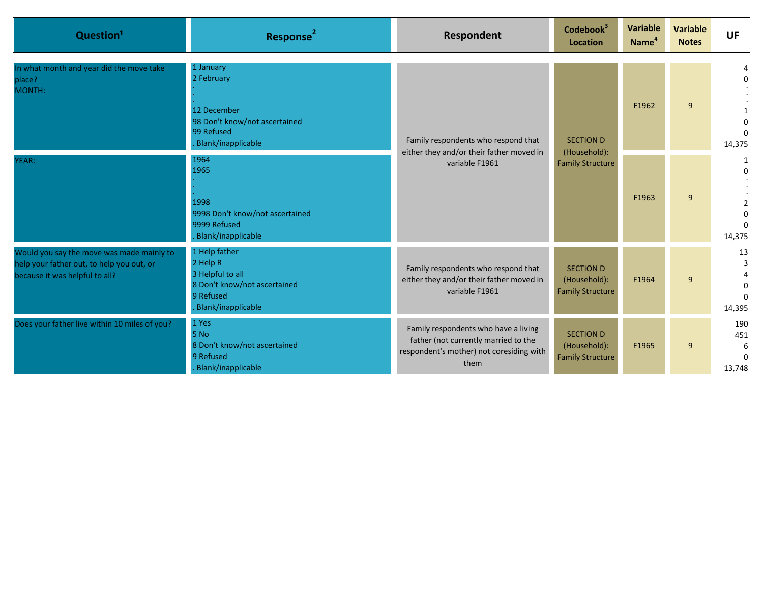| Question <sup>1</sup>                                                                                                    | Response <sup>2</sup>                                                                                            | Respondent                                                                                                                       | Codebook <sup>3</sup><br><b>Location</b>                    | Variable<br>Name <sup>4</sup> | Variable<br><b>Notes</b> | <b>UF</b>                             |                    |
|--------------------------------------------------------------------------------------------------------------------------|------------------------------------------------------------------------------------------------------------------|----------------------------------------------------------------------------------------------------------------------------------|-------------------------------------------------------------|-------------------------------|--------------------------|---------------------------------------|--------------------|
| In what month and year did the move take<br>place?<br>MONTH:                                                             | 1 January<br>2 February<br>12 December<br>98 Don't know/not ascertained<br>99 Refused<br>Blank/inapplicable      | Family respondents who respond that<br>either they and/or their father moved in<br>variable F1961                                | <b>SECTION D</b><br>(Household):<br><b>Family Structure</b> |                               | F1962                    | 9                                     | $\Omega$<br>14,375 |
| YEAR:                                                                                                                    | 1964<br>1965<br>1998<br>9998 Don't know/not ascertained<br>9999 Refused<br>Blank/inapplicable                    |                                                                                                                                  |                                                             | F1963                         | 9                        | 1<br>$\Omega$<br>$\Omega$<br>14,375   |                    |
| Would you say the move was made mainly to<br>help your father out, to help you out, or<br>because it was helpful to all? | 1 Help father<br>2 Help R<br>3 Helpful to all<br>8 Don't know/not ascertained<br>9 Refused<br>Blank/inapplicable | Family respondents who respond that<br>either they and/or their father moved in<br>variable F1961                                | <b>SECTION D</b><br>(Household):<br><b>Family Structure</b> | F1964                         | 9                        | 13<br>$\Omega$<br>14,395              |                    |
| Does your father live within 10 miles of you?                                                                            | 1 Yes<br>5 No<br>8 Don't know/not ascertained<br>9 Refused<br>Blank/inapplicable                                 | Family respondents who have a living<br>father (not currently married to the<br>respondent's mother) not coresiding with<br>them | <b>SECTION D</b><br>(Household):<br><b>Family Structure</b> | F1965                         | 9                        | 190<br>451<br>6<br>$\Omega$<br>13,748 |                    |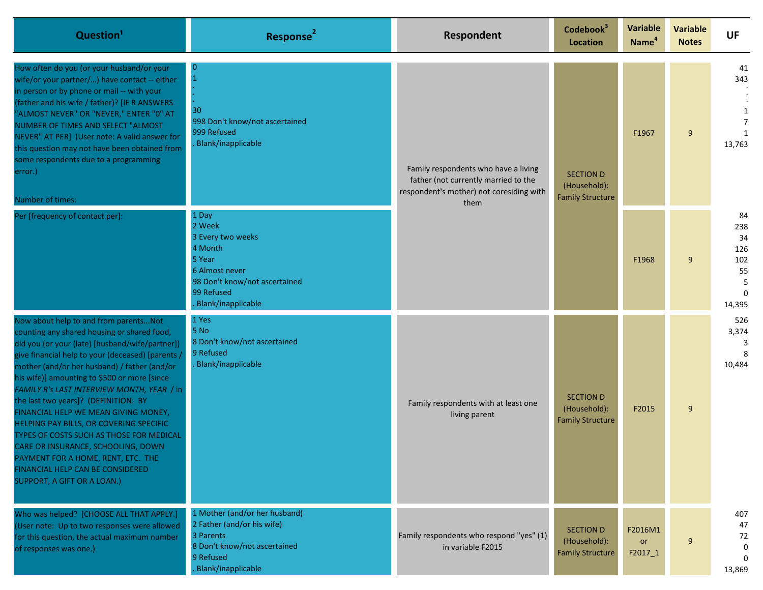| Question <sup>1</sup>                                                                                                                                                                                                                                                                                                                                                                                                                                                                                                                                                                                                                                           | Response <sup>2</sup>                                                                                                                            | Respondent                                                                                                               | Codebook <sup>3</sup><br>Location                           | <b>Variable</b><br>Name <sup>4</sup>                        | <b>Variable</b><br><b>Notes</b> | <b>UF</b>                                          |                               |
|-----------------------------------------------------------------------------------------------------------------------------------------------------------------------------------------------------------------------------------------------------------------------------------------------------------------------------------------------------------------------------------------------------------------------------------------------------------------------------------------------------------------------------------------------------------------------------------------------------------------------------------------------------------------|--------------------------------------------------------------------------------------------------------------------------------------------------|--------------------------------------------------------------------------------------------------------------------------|-------------------------------------------------------------|-------------------------------------------------------------|---------------------------------|----------------------------------------------------|-------------------------------|
| How often do you (or your husband/or your<br>wife/or your partner/) have contact -- either<br>in person or by phone or mail -- with your<br>(father and his wife / father)? [IF R ANSWERS<br>'ALMOST NEVER" OR "NEVER," ENTER "0" AT<br>NUMBER OF TIMES AND SELECT "ALMOST<br>NEVER" AT PER] (User note: A valid answer for<br>this question may not have been obtained from<br>some respondents due to a programming<br>error.)<br>Number of times:                                                                                                                                                                                                            | $\overline{0}$<br>30<br>998 Don't know/not ascertained<br>999 Refused<br>Blank/inapplicable                                                      | Family respondents who have a living<br>father (not currently married to the<br>respondent's mother) not coresiding with | them                                                        | <b>SECTION D</b><br>(Household):<br><b>Family Structure</b> | F1967                           | 9                                                  | 41<br>343<br>1<br>7<br>13,763 |
| Per [frequency of contact per]:                                                                                                                                                                                                                                                                                                                                                                                                                                                                                                                                                                                                                                 | 1 Day<br>2 Week<br>3 Every two weeks<br>4 Month<br>5 Year<br>6 Almost never<br>98 Don't know/not ascertained<br>99 Refused<br>Blank/inapplicable |                                                                                                                          |                                                             | F1968                                                       | 9                               | 84<br>238<br>34<br>126<br>102<br>55<br>5<br>14,395 |                               |
| Now about help to and from parentsNot<br>counting any shared housing or shared food,<br>did you (or your (late) [husband/wife/partner])<br>give financial help to your (deceased) [parents,<br>mother (and/or her husband) / father (and/or<br>his wife)] amounting to \$500 or more [since<br>FAMILY R's LAST INTERVIEW MONTH, YEAR / in<br>the last two years]? (DEFINITION: BY<br>FINANCIAL HELP WE MEAN GIVING MONEY,<br>HELPING PAY BILLS, OR COVERING SPECIFIC<br>TYPES OF COSTS SUCH AS THOSE FOR MEDICAL<br>CARE OR INSURANCE, SCHOOLING, DOWN<br>PAYMENT FOR A HOME, RENT, ETC. THE<br>FINANCIAL HELP CAN BE CONSIDERED<br>SUPPORT, A GIFT OR A LOAN.) | 1 Yes<br>5 No<br>8 Don't know/not ascertained<br>9 Refused<br>Blank/inapplicable                                                                 | Family respondents with at least one<br>living parent                                                                    | <b>SECTION D</b><br>(Household):<br><b>Family Structure</b> | F2015                                                       | 9                               | 526<br>3,374<br>10,484                             |                               |
| Who was helped? [CHOOSE ALL THAT APPLY.]<br>(User note: Up to two responses were allowed<br>for this question, the actual maximum number<br>of responses was one.)                                                                                                                                                                                                                                                                                                                                                                                                                                                                                              | 1 Mother (and/or her husband)<br>2 Father (and/or his wife)<br>3 Parents<br>8 Don't know/not ascertained<br>9 Refused<br>Blank/inapplicable      | Family respondents who respond "yes" (1)<br>in variable F2015                                                            | <b>SECTION D</b><br>(Household):<br><b>Family Structure</b> | F2016M1<br>or<br>F2017_1                                    | 9                               | 407<br>47<br>72<br>0<br>$\Omega$<br>13,869         |                               |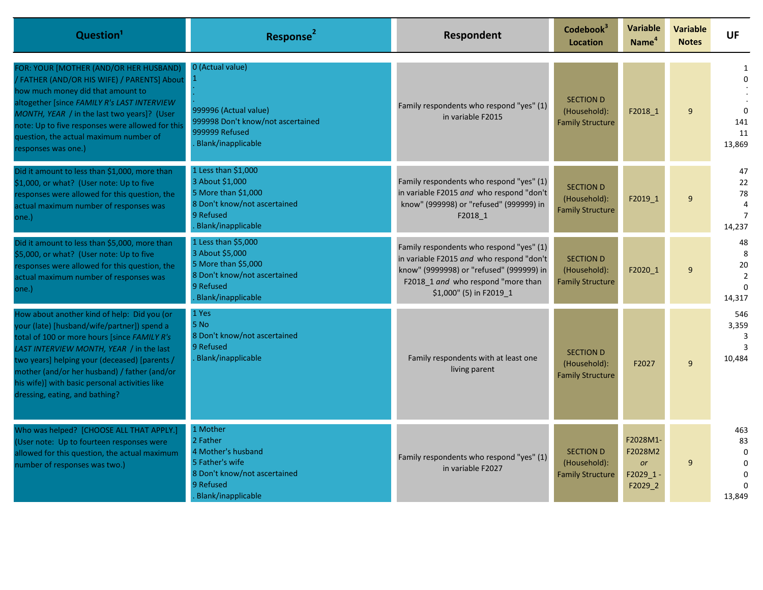| Question <sup>1</sup>                                                                                                                                                                                                                                                                                                                                                       | Response <sup>2</sup>                                                                                                                   | Respondent                                                                                                                                                                                        | Codebook <sup>3</sup><br><b>Location</b>                    | Variable<br>Name <sup>4</sup>                           | <b>Variable</b><br><b>Notes</b> | <b>UF</b>                                                  |
|-----------------------------------------------------------------------------------------------------------------------------------------------------------------------------------------------------------------------------------------------------------------------------------------------------------------------------------------------------------------------------|-----------------------------------------------------------------------------------------------------------------------------------------|---------------------------------------------------------------------------------------------------------------------------------------------------------------------------------------------------|-------------------------------------------------------------|---------------------------------------------------------|---------------------------------|------------------------------------------------------------|
| FOR: YOUR [MOTHER (AND/OR HER HUSBAND)<br>/ FATHER (AND/OR HIS WIFE) / PARENTS] About<br>how much money did that amount to<br>altogether [since FAMILY R's LAST INTERVIEW<br>MONTH, YEAR / in the last two years]? (User<br>note: Up to five responses were allowed for this<br>question, the actual maximum number of<br>esponses was one.)                                | 0 (Actual value)<br>999996 (Actual value)<br>999998 Don't know/not ascertained<br>999999 Refused<br><b>Blank/inapplicable</b>           | Family respondents who respond "yes" (1)<br>in variable F2015                                                                                                                                     | <b>SECTION D</b><br>(Household):<br><b>Family Structure</b> | F2018 1                                                 | 9                               | $\Omega$<br>141<br>11<br>13,869                            |
| Did it amount to less than \$1,000, more than<br>\$1,000, or what? (User note: Up to five<br>responses were allowed for this question, the<br>actual maximum number of responses was<br>one.)                                                                                                                                                                               | 1 Less than \$1,000<br>3 About \$1,000<br>5 More than \$1,000<br>8 Don't know/not ascertained<br>9 Refused<br><b>Blank/inapplicable</b> | Family respondents who respond "yes" (1)<br>in variable F2015 and who respond "don't<br>know" (999998) or "refused" (999999) in<br>F2018 1                                                        | <b>SECTION D</b><br>(Household):<br><b>Family Structure</b> | F2019 1                                                 | 9                               | 47<br>22<br>78<br>4<br>14,237                              |
| Did it amount to less than \$5,000, more than<br>\$5,000, or what? (User note: Up to five<br>responses were allowed for this question, the<br>actual maximum number of responses was<br>one.)                                                                                                                                                                               | 1 Less than \$5,000<br>3 About \$5,000<br>5 More than \$5,000<br>8 Don't know/not ascertained<br>9 Refused<br><b>Blank/inapplicable</b> | Family respondents who respond "yes" (1)<br>in variable F2015 and who respond "don't<br>know" (9999998) or "refused" (999999) in<br>F2018_1 and who respond "more than<br>\$1,000" (5) in F2019_1 | <b>SECTION D</b><br>(Household):<br><b>Family Structure</b> | F2020 1                                                 | 9                               | 48<br>8<br>20<br>$\overline{2}$<br>14,317                  |
| How about another kind of help: Did you (or<br>your (late) [husband/wife/partner]) spend a<br>total of 100 or more hours [since FAMILY R's<br>LAST INTERVIEW MONTH, YEAR / in the last<br>two years] helping your (deceased) [parents /<br>mother (and/or her husband) / father (and/or<br>his wife)] with basic personal activities like<br>dressing, eating, and bathing? | 1 Yes<br>5 No<br>8 Don't know/not ascertained<br>9 Refused<br><b>Blank/inapplicable</b>                                                 | Family respondents with at least one<br>living parent                                                                                                                                             | <b>SECTION D</b><br>(Household):<br><b>Family Structure</b> | F2027                                                   | 9                               | 546<br>3,359<br>3<br>3<br>10.484                           |
| Who was helped? [CHOOSE ALL THAT APPLY.]<br>(User note: Up to fourteen responses were<br>allowed for this question, the actual maximum<br>number of responses was two.)                                                                                                                                                                                                     | 1 Mother<br>2 Father<br>4 Mother's husband<br>5 Father's wife<br>8 Don't know/not ascertained<br>9 Refused<br><b>Blank/inapplicable</b> | Family respondents who respond "yes" (1)<br>in variable F2027                                                                                                                                     | <b>SECTION D</b><br>(Household):<br><b>Family Structure</b> | F2028M1-<br>F2028M2<br><b>or</b><br>F2029 1-<br>F2029 2 | $\mathsf{q}$                    | 463<br>83<br>$\Omega$<br>$\mathbf 0$<br>$\Omega$<br>13,849 |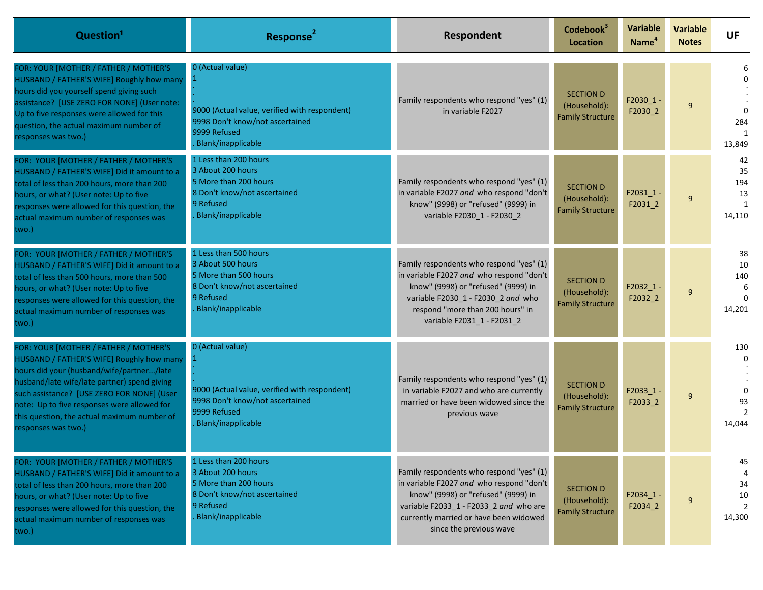| Question <sup>1</sup>                                                                                                                                                                                                                                                                                                                              | Response <sup>2</sup>                                                                                                                      | Respondent                                                                                                                                                                                                                                 | Codebook <sup>3</sup><br><b>Location</b>                    | Variable<br>Name <sup>4</sup> | <b>Variable</b><br><b>Notes</b> | <b>UF</b>                                       |
|----------------------------------------------------------------------------------------------------------------------------------------------------------------------------------------------------------------------------------------------------------------------------------------------------------------------------------------------------|--------------------------------------------------------------------------------------------------------------------------------------------|--------------------------------------------------------------------------------------------------------------------------------------------------------------------------------------------------------------------------------------------|-------------------------------------------------------------|-------------------------------|---------------------------------|-------------------------------------------------|
| FOR: YOUR [MOTHER / FATHER / MOTHER'S<br>HUSBAND / FATHER'S WIFE] Roughly how many<br>hours did you yourself spend giving such<br>assistance? [USE ZERO FOR NONE] (User note:<br>Up to five responses were allowed for this<br>question, the actual maximum number of<br>responses was two.)                                                       | 0 (Actual value)<br>9000 (Actual value, verified with respondent)<br>9998 Don't know/not ascertained<br>9999 Refused<br>Blank/inapplicable | Family respondents who respond "yes" (1)<br>in variable F2027                                                                                                                                                                              | <b>SECTION D</b><br>(Household):<br><b>Family Structure</b> | $F2030_1$ -<br>F2030_2        | 9                               | 284<br>13,849                                   |
| FOR: YOUR [MOTHER / FATHER / MOTHER'S<br>HUSBAND / FATHER'S WIFE] Did it amount to a<br>total of less than 200 hours, more than 200<br>hours, or what? (User note: Up to five<br>responses were allowed for this question, the<br>actual maximum number of responses was<br>two.)                                                                  | 1 Less than 200 hours<br>3 About 200 hours<br>5 More than 200 hours<br>8 Don't know/not ascertained<br>9 Refused<br>Blank/inapplicable     | Family respondents who respond "yes" (1)<br>in variable F2027 and who respond "don't<br>know" (9998) or "refused" (9999) in<br>variable F2030_1 - F2030_2                                                                                  | <b>SECTION D</b><br>(Household):<br><b>Family Structure</b> | F2031 1-<br>F2031_2           | 9                               | 42<br>35<br>194<br>13<br>$\mathbf{1}$<br>14,110 |
| FOR: YOUR [MOTHER / FATHER / MOTHER'S<br>HUSBAND / FATHER'S WIFE] Did it amount to a<br>total of less than 500 hours, more than 500<br>hours, or what? (User note: Up to five<br>responses were allowed for this question, the<br>actual maximum number of responses was<br>two.)                                                                  | 1 Less than 500 hours<br>3 About 500 hours<br>5 More than 500 hours<br>8 Don't know/not ascertained<br>9 Refused<br>Blank/inapplicable     | Family respondents who respond "yes" (1)<br>in variable F2027 and who respond "don't<br>know" (9998) or "refused" (9999) in<br>variable F2030_1 - F2030_2 and who<br>respond "more than 200 hours" in<br>variable F2031_1 - F2031_2        | <b>SECTION D</b><br>(Household):<br><b>Family Structure</b> | $F2032_1$<br>F2032_2          | 9                               | 38<br>10<br>140<br>6<br>$\Omega$<br>14,201      |
| FOR: YOUR [MOTHER / FATHER / MOTHER'S<br>HUSBAND / FATHER'S WIFE] Roughly how many<br>hours did your (husband/wife/partner/late<br>husband/late wife/late partner) spend giving<br>such assistance? [USE ZERO FOR NONE] (User<br>note: Up to five responses were allowed for<br>this question, the actual maximum number of<br>responses was two.) | 0 (Actual value)<br>9000 (Actual value, verified with respondent)<br>9998 Don't know/not ascertained<br>9999 Refused<br>Blank/inapplicable | Family respondents who respond "yes" (1)<br>in variable F2027 and who are currently<br>married or have been widowed since the<br>previous wave                                                                                             | <b>SECTION D</b><br>(Household):<br><b>Family Structure</b> | $F2033_1$<br>F2033_2          | 9                               | 130<br>$\Omega$<br>$\Omega$<br>93<br>14,044     |
| FOR: YOUR [MOTHER / FATHER / MOTHER'S<br>HUSBAND / FATHER'S WIFE] Did it amount to a<br>total of less than 200 hours, more than 200<br>hours, or what? (User note: Up to five<br>responses were allowed for this question, the<br>actual maximum number of responses was<br>two.)                                                                  | 1 Less than 200 hours<br>3 About 200 hours<br>5 More than 200 hours<br>8 Don't know/not ascertained<br>9 Refused<br>Blank/inapplicable     | Family respondents who respond "yes" (1)<br>in variable F2027 and who respond "don't<br>know" (9998) or "refused" (9999) in<br>variable F2033_1 - F2033_2 and who are<br>currently married or have been widowed<br>since the previous wave | <b>SECTION D</b><br>(Household):<br><b>Family Structure</b> | $F2034_1$<br>F2034_2          | 9                               | 45<br>34<br>10<br>2<br>14,300                   |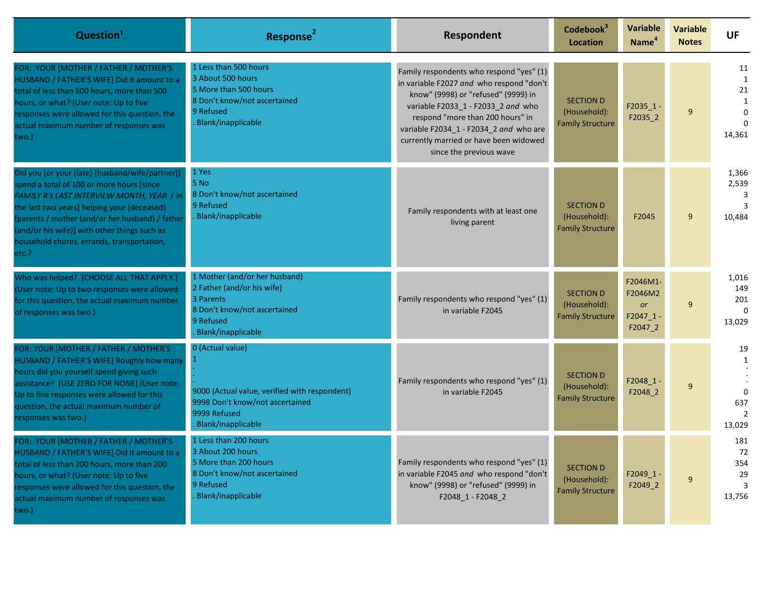| Question <sup>1</sup>                                                                                                                                                                                                                                                                                                                               | Response <sup>2</sup>                                                                                                                         | Respondent                                                                                                                                                                                                                                                                                                           | Codebook <sup>3</sup><br>Location                           | <b>Variable</b><br>Name <sup>4</sup>                       | <b>Variable</b><br><b>Notes</b> | <b>UF</b>                                                           |
|-----------------------------------------------------------------------------------------------------------------------------------------------------------------------------------------------------------------------------------------------------------------------------------------------------------------------------------------------------|-----------------------------------------------------------------------------------------------------------------------------------------------|----------------------------------------------------------------------------------------------------------------------------------------------------------------------------------------------------------------------------------------------------------------------------------------------------------------------|-------------------------------------------------------------|------------------------------------------------------------|---------------------------------|---------------------------------------------------------------------|
| FOR: YOUR [MOTHER / FATHER / MOTHER'S<br>HUSBAND / FATHER'S WIFE] Did it amount to a<br>total of less than 500 hours, more than 500<br>hours, or what? (User note: Up to five<br>responses were allowed for this question, the<br>actual maximum number of responses was<br>two.)                                                                   | 1 Less than 500 hours<br>3 About 500 hours<br>5 More than 500 hours<br>8 Don't know/not ascertained<br>9 Refused<br>Blank/inapplicable        | Family respondents who respond "yes" (1)<br>in variable F2027 and who respond "don't<br>know" (9998) or "refused" (9999) in<br>variable F2033_1 - F2033_2 and who<br>respond "more than 200 hours" in<br>variable F2034_1 - F2034_2 and who are<br>currently married or have been widowed<br>since the previous wave | <b>SECTION D</b><br>(Household):<br><b>Family Structure</b> | $F2035_1 -$<br>F2035_2                                     | 9                               | 11<br>$\mathbf{1}$<br>21<br>$\mathbf{1}$<br>0<br>$\Omega$<br>14,361 |
| Did you (or your (late) [husband/wife/partner])<br>spend a total of 100 or more hours [since<br>FAMILY R's LAST INTERVIEW MONTH, YEAR / in<br>the last two years] helping your (deceased)<br>[parents / mother (and/or her husband) / father<br>(and/or his wife)] with other things such as<br>household chores, errands, transportation,<br>etc.? | 1 Yes<br>5 No<br>8 Don't know/not ascertained<br>9 Refused<br>Blank/inapplicable                                                              | Family respondents with at least one<br>living parent                                                                                                                                                                                                                                                                | <b>SECTION D</b><br>(Household):<br><b>Family Structure</b> | F2045                                                      | 9                               | 1,366<br>2,539<br>3<br>3<br>10,484                                  |
| Who was helped? [CHOOSE ALL THAT APPLY.]<br>(User note: Up to two responses were allowed<br>for this question, the actual maximum number<br>of responses was two.)                                                                                                                                                                                  | 1 Mother (and/or her husband)<br>2 Father (and/or his wife)<br>3 Parents<br>8 Don't know/not ascertained<br>9 Refused<br>Blank/inapplicable   | Family respondents who respond "yes" (1)<br>in variable F2045                                                                                                                                                                                                                                                        | <b>SECTION D</b><br>(Household):<br><b>Family Structure</b> | F2046M1-<br>F2046M2<br><b>or</b><br>$F2047_1 -$<br>F2047_2 | 9                               | 1,016<br>149<br>201<br>$\mathbf 0$<br>13,029                        |
| FOR: YOUR [MOTHER / FATHER / MOTHER'S<br>HUSBAND / FATHER'S WIFE] Roughly how many<br>hours did you yourself spend giving such<br>assistance? [USE ZERO FOR NONE] (User note:<br>Up to five responses were allowed for this<br>question, the actual maximum number of<br>responses was two.)                                                        | 0 (Actual value)<br>9000 (Actual value, verified with respondent)<br>9998 Don't know/not ascertained<br>9999 Refused<br>Blank/inapplicable    | Family respondents who respond "yes" (1)<br>in variable F2045                                                                                                                                                                                                                                                        | <b>SECTION D</b><br>(Household):<br><b>Family Structure</b> | $F2048_1 -$<br>F2048_2                                     | 9                               | 19<br>1<br>$\mathbf 0$<br>637<br>$\overline{2}$<br>13,029           |
| FOR: YOUR [MOTHER / FATHER / MOTHER'S<br>HUSBAND / FATHER'S WIFE] Did it amount to a<br>total of less than 200 hours, more than 200<br>hours, or what? (User note: Up to five<br>responses were allowed for this question, the<br>actual maximum number of responses was<br>two.)                                                                   | 1 Less than 200 hours<br>3 About 200 hours<br>5 More than 200 hours<br>8 Don't know/not ascertained<br>9 Refused<br><b>Blank/inapplicable</b> | Family respondents who respond "yes" (1)<br>in variable F2045 and who respond "don't<br>know" (9998) or "refused" (9999) in<br>F2048_1 - F2048_2                                                                                                                                                                     | <b>SECTION D</b><br>(Household):<br><b>Family Structure</b> | $F2049_1 -$<br>F2049_2                                     | 9                               | 181<br>72<br>354<br>29<br>3<br>13,756                               |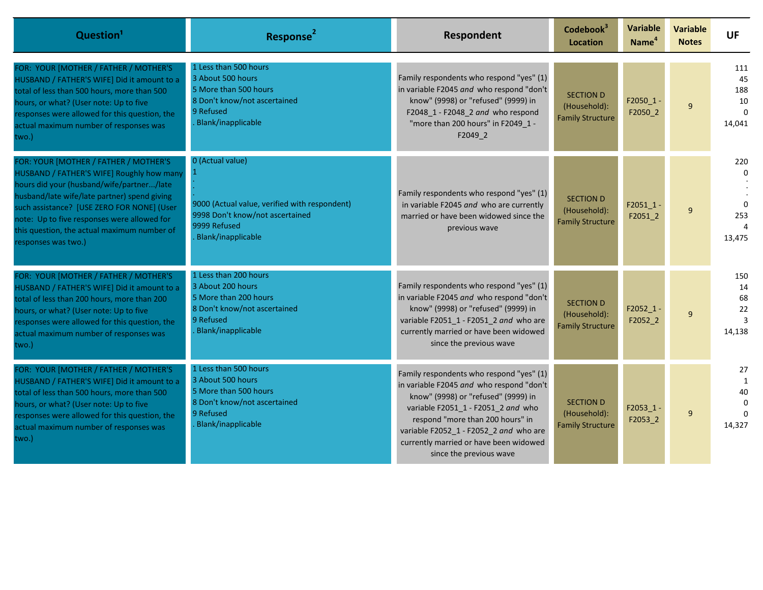| Question <sup>1</sup>                                                                                                                                                                                                                                                                                                                              | Response <sup>2</sup>                                                                                                                      | Respondent                                                                                                                                                                                                                                                                                                           | Codebook <sup>3</sup><br><b>Location</b>                    | Variable<br>Name <sup>4</sup> | <b>Variable</b><br><b>Notes</b> | <b>UF</b>                                    |
|----------------------------------------------------------------------------------------------------------------------------------------------------------------------------------------------------------------------------------------------------------------------------------------------------------------------------------------------------|--------------------------------------------------------------------------------------------------------------------------------------------|----------------------------------------------------------------------------------------------------------------------------------------------------------------------------------------------------------------------------------------------------------------------------------------------------------------------|-------------------------------------------------------------|-------------------------------|---------------------------------|----------------------------------------------|
| FOR: YOUR [MOTHER / FATHER / MOTHER'S<br>HUSBAND / FATHER'S WIFE] Did it amount to a<br>total of less than 500 hours, more than 500<br>hours, or what? (User note: Up to five<br>responses were allowed for this question, the<br>actual maximum number of responses was<br>two.)                                                                  | 1 Less than 500 hours<br>3 About 500 hours<br>5 More than 500 hours<br>8 Don't know/not ascertained<br>9 Refused<br>Blank/inapplicable     | Family respondents who respond "yes" (1)<br>in variable F2045 and who respond "don't<br>know" (9998) or "refused" (9999) in<br>F2048_1 - F2048_2 and who respond<br>"more than 200 hours" in F2049 1 -<br>F2049 2                                                                                                    | <b>SECTION D</b><br>(Household):<br><b>Family Structure</b> | $F2050_1 -$<br>F2050_2        | 9                               | 111<br>45<br>188<br>10<br>$\Omega$<br>14,041 |
| FOR: YOUR [MOTHER / FATHER / MOTHER'S<br>HUSBAND / FATHER'S WIFE] Roughly how many<br>hours did your (husband/wife/partner/late<br>husband/late wife/late partner) spend giving<br>such assistance? [USE ZERO FOR NONE] (User<br>note: Up to five responses were allowed for<br>this question, the actual maximum number of<br>responses was two.) | 0 (Actual value)<br>9000 (Actual value, verified with respondent)<br>9998 Don't know/not ascertained<br>9999 Refused<br>Blank/inapplicable | Family respondents who respond "yes" (1)<br>in variable F2045 and who are currently<br>married or have been widowed since the<br>previous wave                                                                                                                                                                       | <b>SECTION D</b><br>(Household):<br><b>Family Structure</b> | $F2051$ 1 -<br>F20512         | 9                               | 220<br>$\Omega$<br>$\Omega$<br>253<br>13,475 |
| FOR: YOUR [MOTHER / FATHER / MOTHER'S<br>HUSBAND / FATHER'S WIFE] Did it amount to a<br>total of less than 200 hours, more than 200<br>hours, or what? (User note: Up to five<br>responses were allowed for this question, the<br>actual maximum number of responses was<br>two.)                                                                  | 1 Less than 200 hours<br>3 About 200 hours<br>5 More than 200 hours<br>8 Don't know/not ascertained<br>9 Refused<br>Blank/inapplicable     | Family respondents who respond "yes" (1)<br>in variable F2045 and who respond "don't<br>know" (9998) or "refused" (9999) in<br>variable F2051_1 - F2051_2 and who are<br>currently married or have been widowed<br>since the previous wave                                                                           | <b>SECTION D</b><br>(Household):<br><b>Family Structure</b> | $F2052_1 -$<br>F2052_2        | 9                               | 150<br>14<br>68<br>22<br>3<br>14,138         |
| FOR: YOUR [MOTHER / FATHER / MOTHER'S<br>HUSBAND / FATHER'S WIFE] Did it amount to a<br>total of less than 500 hours, more than 500<br>hours, or what? (User note: Up to five<br>responses were allowed for this question, the<br>actual maximum number of responses was<br>two.)                                                                  | 1 Less than 500 hours<br>3 About 500 hours<br>5 More than 500 hours<br>8 Don't know/not ascertained<br>9 Refused<br>Blank/inapplicable     | Family respondents who respond "yes" (1)<br>in variable F2045 and who respond "don't<br>know" (9998) or "refused" (9999) in<br>variable F2051_1 - F2051_2 and who<br>respond "more than 200 hours" in<br>variable F2052 1 - F2052 2 and who are<br>currently married or have been widowed<br>since the previous wave | <b>SECTION D</b><br>(Household):<br><b>Family Structure</b> | $F2053_1 -$<br>F2053_2        | 9                               | 27<br>1<br>40<br>$\Omega$<br>14,327          |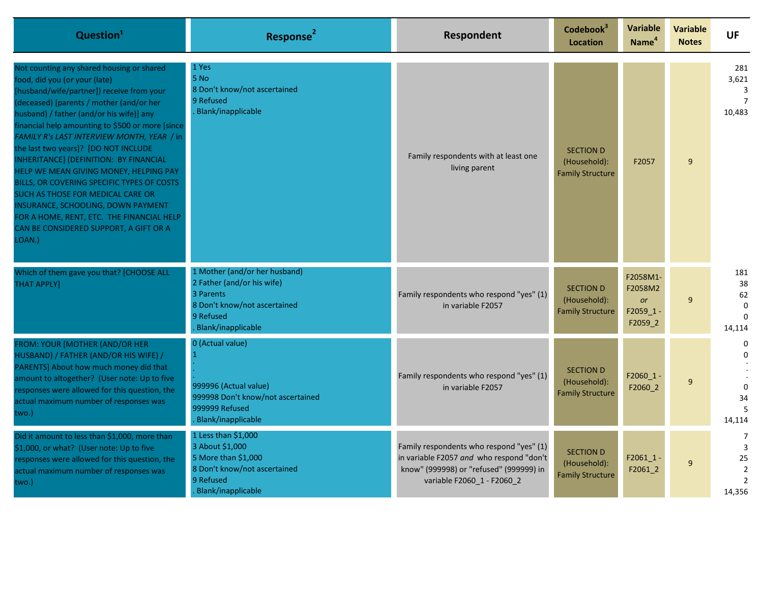| Question <sup>1</sup>                                                                                                                                                                                                                                                                                                                                                                                                                                                                                                                                                                                                                                                    | Response <sup>4</sup>                                                                                                                       | <b>Respondent</b>                                                                                                                                             | Codebook <sup>3</sup><br><b>Location</b>                    | Variable<br>Name <sup>4</sup>                           | <b>Variable</b><br><b>Notes</b> | <b>UF</b>                                                               |
|--------------------------------------------------------------------------------------------------------------------------------------------------------------------------------------------------------------------------------------------------------------------------------------------------------------------------------------------------------------------------------------------------------------------------------------------------------------------------------------------------------------------------------------------------------------------------------------------------------------------------------------------------------------------------|---------------------------------------------------------------------------------------------------------------------------------------------|---------------------------------------------------------------------------------------------------------------------------------------------------------------|-------------------------------------------------------------|---------------------------------------------------------|---------------------------------|-------------------------------------------------------------------------|
| Not counting any shared housing or shared<br>food, did you (or your (late)<br>[husband/wife/partner]) receive from your<br>(deceased) [parents / mother (and/or her<br>husband) / father (and/or his wife)] any<br>financial help amounting to \$500 or more [since]<br>FAMILY R's LAST INTERVIEW MONTH, YEAR / in<br>the last two years]? [DO NOT INCLUDE<br>INHERITANCE] (DEFINITION: BY FINANCIAL<br>HELP WE MEAN GIVING MONEY, HELPING PAY<br>BILLS, OR COVERING SPECIFIC TYPES OF COSTS<br>SUCH AS THOSE FOR MEDICAL CARE OR<br>INSURANCE, SCHOOLING, DOWN PAYMENT<br>FOR A HOME, RENT, ETC. THE FINANCIAL HELP<br>CAN BE CONSIDERED SUPPORT, A GIFT OR A<br>LOAN.) | 1 Yes<br>5 No<br>8 Don't know/not ascertained<br>9 Refused<br>Blank/inapplicable                                                            | Family respondents with at least one<br>living parent                                                                                                         | <b>SECTION D</b><br>(Household):<br><b>Family Structure</b> | F2057                                                   | 9                               | 281<br>3,621<br>3<br>10,483                                             |
| Which of them gave you that? [CHOOSE ALL<br><b>THAT APPLY]</b>                                                                                                                                                                                                                                                                                                                                                                                                                                                                                                                                                                                                           | 1 Mother (and/or her husband)<br>2 Father (and/or his wife)<br>3 Parents<br>8 Don't know/not ascertained<br>9 Refused<br>Blank/inapplicable | Family respondents who respond "yes" (1)<br>in variable F2057                                                                                                 | <b>SECTION D</b><br>(Household):<br><b>Family Structure</b> | F2058M1-<br>F2058M2<br><b>or</b><br>F2059 1-<br>F2059_2 | 9                               | 181<br>38<br>62<br>$\Omega$<br>$\Omega$<br>14,114                       |
| FROM: YOUR [MOTHER (AND/OR HER<br>HUSBAND) / FATHER (AND/OR HIS WIFE) /<br>PARENTS] About how much money did that<br>amount to altogether? (User note: Up to five<br>responses were allowed for this question, the<br>actual maximum number of responses was<br>two.)                                                                                                                                                                                                                                                                                                                                                                                                    | 0 (Actual value)<br>999996 (Actual value)<br>999998 Don't know/not ascertained<br>999999 Refused<br>Blank/inapplicable                      | Family respondents who respond "yes" (1)<br>in variable F2057                                                                                                 | <b>SECTION D</b><br>(Household):<br><b>Family Structure</b> | F2060_1<br>F2060_2                                      | 9                               | $\Omega$<br>$\Omega$<br>34<br>14,114                                    |
| Did it amount to less than \$1,000, more than<br>\$1,000, or what? (User note: Up to five<br>responses were allowed for this question, the<br>actual maximum number of responses was<br>two.)                                                                                                                                                                                                                                                                                                                                                                                                                                                                            | 1 Less than \$1,000<br>3 About \$1,000<br>5 More than \$1,000<br>8 Don't know/not ascertained<br>9 Refused<br>Blank/inapplicable            | Family respondents who respond "yes" (1)<br>in variable F2057 and who respond "don't<br>know" (999998) or "refused" (999999) in<br>variable F2060 1 - F2060 2 | <b>SECTION D</b><br>(Household):<br><b>Family Structure</b> | $F2061_1 -$<br>F2061 2                                  | 9                               | 7<br>$\overline{3}$<br>25<br>$\overline{2}$<br>$\overline{2}$<br>14,356 |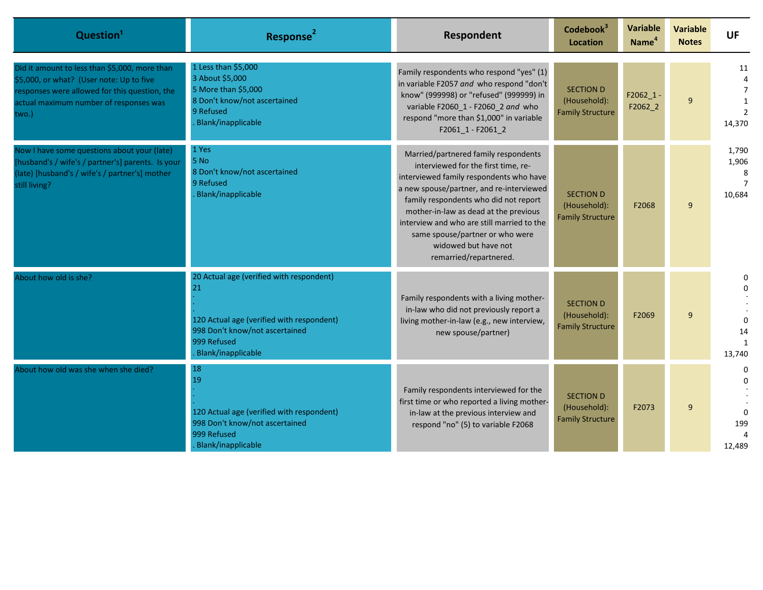| Question <sup>1</sup>                                                                                                                                                                         | Response <sup>2</sup>                                                                                                                                              | Respondent                                                                                                                                                                                                                                                                                                                                                                              | Codebook <sup>3</sup><br>Location                           | <b>Variable</b><br>Name <sup>4</sup> | <b>Variable</b><br><b>Notes</b> | <b>UF</b>                      |
|-----------------------------------------------------------------------------------------------------------------------------------------------------------------------------------------------|--------------------------------------------------------------------------------------------------------------------------------------------------------------------|-----------------------------------------------------------------------------------------------------------------------------------------------------------------------------------------------------------------------------------------------------------------------------------------------------------------------------------------------------------------------------------------|-------------------------------------------------------------|--------------------------------------|---------------------------------|--------------------------------|
| Did it amount to less than \$5,000, more than<br>\$5,000, or what? (User note: Up to five<br>responses were allowed for this question, the<br>actual maximum number of responses was<br>two.) | 1 Less than \$5,000<br>3 About \$5,000<br>5 More than \$5,000<br>8 Don't know/not ascertained<br>9 Refused<br>Blank/inapplicable                                   | Family respondents who respond "yes" (1)<br>in variable F2057 and who respond "don't<br>know" (999998) or "refused" (999999) in<br>variable F2060 1 - F2060 2 and who<br>respond "more than \$1,000" in variable<br>F2061_1 - F2061_2                                                                                                                                                   | <b>SECTION D</b><br>(Household):<br><b>Family Structure</b> | $F2062_1 -$<br>$F2062_2$             | 9                               | 11<br>$\overline{7}$<br>14,370 |
| Now I have some questions about your (late)<br>[husband's / wife's / partner's] parents. Is your<br>(late) [husband's / wife's / partner's] mother<br>still living?                           | 1 Yes<br>5 No<br>8 Don't know/not ascertained<br>9 Refused<br>Blank/inapplicable                                                                                   | Married/partnered family respondents<br>interviewed for the first time, re-<br>interviewed family respondents who have<br>a new spouse/partner, and re-interviewed<br>family respondents who did not report<br>mother-in-law as dead at the previous<br>interview and who are still married to the<br>same spouse/partner or who were<br>widowed but have not<br>remarried/repartnered. | <b>SECTION D</b><br>(Household):<br><b>Family Structure</b> | F2068                                | 9                               | 1,790<br>1,906<br>8<br>10,684  |
| About how old is she?                                                                                                                                                                         | 20 Actual age (verified with respondent)<br>21<br>120 Actual age (verified with respondent)<br>998 Don't know/not ascertained<br>999 Refused<br>Blank/inapplicable | Family respondents with a living mother-<br>in-law who did not previously report a<br>living mother-in-law (e.g., new interview,<br>new spouse/partner)                                                                                                                                                                                                                                 | <b>SECTION D</b><br>(Household):<br><b>Family Structure</b> | F2069                                | 9                               | 0<br>14<br>13,740              |
| About how old was she when she died?                                                                                                                                                          | 18<br>19<br>120 Actual age (verified with respondent)<br>998 Don't know/not ascertained<br>999 Refused<br>Blank/inapplicable                                       | Family respondents interviewed for the<br>first time or who reported a living mother-<br>in-law at the previous interview and<br>respond "no" (5) to variable F2068                                                                                                                                                                                                                     | <b>SECTION D</b><br>(Household):<br><b>Family Structure</b> | F2073                                | 9                               | 0<br>199<br>12,489             |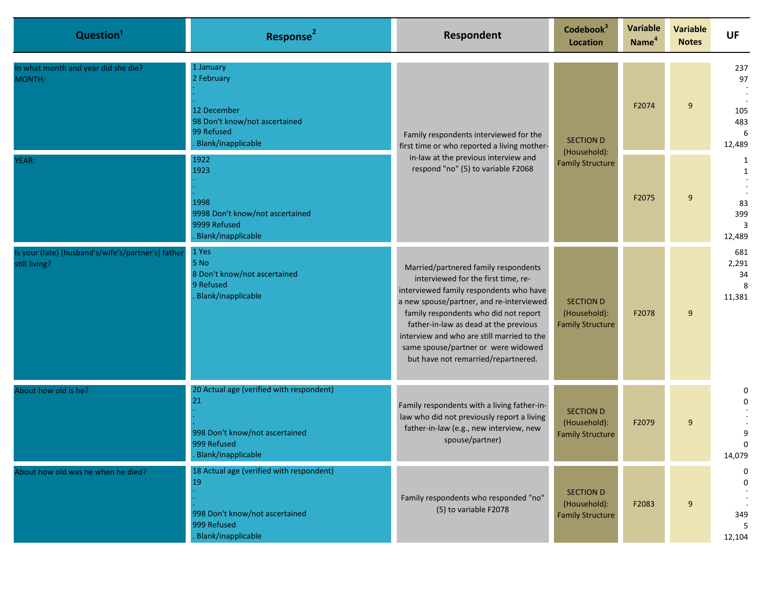| Question <sup>1</sup>                                               | Response <sup>2</sup>                                                                                                 | Respondent                                                                                                                                                                                                                                                                                                                                                                       | Codebook <sup>3</sup><br><b>Location</b>                    | Variable<br>Name <sup>4</sup>           | <b>Variable</b><br><b>Notes</b> | <b>UF</b>                               |   |                                        |
|---------------------------------------------------------------------|-----------------------------------------------------------------------------------------------------------------------|----------------------------------------------------------------------------------------------------------------------------------------------------------------------------------------------------------------------------------------------------------------------------------------------------------------------------------------------------------------------------------|-------------------------------------------------------------|-----------------------------------------|---------------------------------|-----------------------------------------|---|----------------------------------------|
| In what month and year did she die?<br>MONTH:                       | 1 January<br>2 February<br>12 December<br>98 Don't know/not ascertained<br>99 Refused<br><b>Blank/inapplicable</b>    | Family respondents interviewed for the<br>first time or who reported a living mother-<br>in-law at the previous interview and                                                                                                                                                                                                                                                    | <b>SECTION D</b>                                            | (Household):<br><b>Family Structure</b> |                                 | F2074                                   | 9 | 237<br>97<br>105<br>483<br>6<br>12,489 |
| YEAR:                                                               |                                                                                                                       | 1922<br>respond "no" (5) to variable F2068<br>1923<br>1998<br>9998 Don't know/not ascertained<br>9999 Refused<br><b>Blank/inapplicable</b>                                                                                                                                                                                                                                       |                                                             |                                         |                                 | F2075                                   | 9 | 1<br>1<br>83<br>399<br>3<br>12,489     |
| Is your (late) [husband's/wife's/partner's] father<br>still living? | 1 Yes<br>5 No<br>8 Don't know/not ascertained<br>9 Refused<br><b>Blank/inapplicable</b>                               | Married/partnered family respondents<br>interviewed for the first time, re-<br>interviewed family respondents who have<br>a new spouse/partner, and re-interviewed<br>family respondents who did not report<br>father-in-law as dead at the previous<br>interview and who are still married to the<br>same spouse/partner or were widowed<br>but have not remarried/repartnered. | <b>SECTION D</b><br>(Household):<br><b>Family Structure</b> | F2078                                   | 9                               | 681<br>2,291<br>34<br>8<br>11,381       |   |                                        |
| About how old is he?                                                | 20 Actual age (verified with respondent)<br>21<br>998 Don't know/not ascertained<br>999 Refused<br>Blank/inapplicable | Family respondents with a living father-in-<br>law who did not previously report a living<br>father-in-law (e.g., new interview, new<br>spouse/partner)                                                                                                                                                                                                                          | <b>SECTION D</b><br>(Household):<br><b>Family Structure</b> | F2079                                   | 9                               | 0<br>9<br>$\Omega$<br>14,079            |   |                                        |
| About how old was he when he died?                                  | 18 Actual age (verified with respondent)<br>19<br>998 Don't know/not ascertained<br>999 Refused<br>Blank/inapplicable | Family respondents who responded "no"<br>(5) to variable F2078                                                                                                                                                                                                                                                                                                                   | <b>SECTION D</b><br>(Household):<br><b>Family Structure</b> | F2083                                   | 9                               | 0<br>$\mathbf 0$<br>349<br>.5<br>12,104 |   |                                        |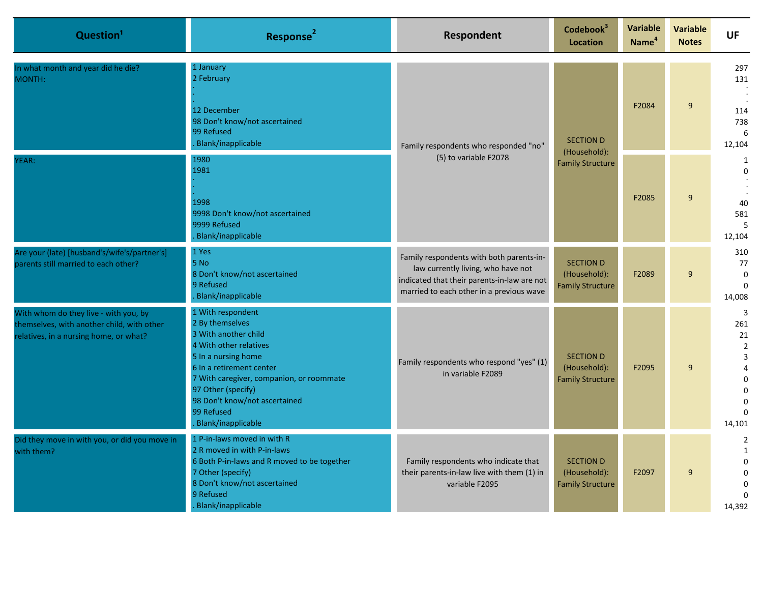| Question <sup>1</sup>                                                                                                         | Response <sup>2</sup>                                                                                                                                                                                                                                                            | Respondent                                                                                                                                                                | Codebook <sup>3</sup><br><b>Location</b>                    | <b>Variable</b><br>Name <sup>4</sup> | <b>Variable</b><br><b>Notes</b> | <b>UF</b>                                                                                |                                         |
|-------------------------------------------------------------------------------------------------------------------------------|----------------------------------------------------------------------------------------------------------------------------------------------------------------------------------------------------------------------------------------------------------------------------------|---------------------------------------------------------------------------------------------------------------------------------------------------------------------------|-------------------------------------------------------------|--------------------------------------|---------------------------------|------------------------------------------------------------------------------------------|-----------------------------------------|
| In what month and year did he die?<br>MONTH:                                                                                  | 1 January<br>2 February<br>12 December<br>98 Don't know/not ascertained<br>99 Refused<br>Blank/inapplicable                                                                                                                                                                      | Family respondents who responded "no"<br>(5) to variable F2078                                                                                                            | <b>SECTION D</b><br>(Household):                            |                                      | F2084                           | 9                                                                                        | 297<br>131<br>114<br>738<br>6<br>12,104 |
| YEAR:                                                                                                                         | 1980<br>1981<br>1998<br>9998 Don't know/not ascertained<br>9999 Refused<br>Blank/inapplicable                                                                                                                                                                                    |                                                                                                                                                                           |                                                             | <b>Family Structure</b>              | F2085                           | 9                                                                                        | 1<br>$\Omega$<br>40<br>581<br>12,104    |
| Are your (late) [husband's/wife's/partner's]<br>parents still married to each other?                                          | 1 Yes<br>5 No<br>8 Don't know/not ascertained<br>9 Refused<br>Blank/inapplicable                                                                                                                                                                                                 | Family respondents with both parents-in-<br>law currently living, who have not<br>indicated that their parents-in-law are not<br>married to each other in a previous wave | <b>SECTION D</b><br>(Household):<br><b>Family Structure</b> | F2089                                | 9                               | 310<br>77<br>$\mathbf 0$<br>14,008                                                       |                                         |
| With whom do they live - with you, by<br>themselves, with another child, with other<br>relatives, in a nursing home, or what? | 1 With respondent<br>2 By themselves<br>3 With another child<br>4 With other relatives<br>5 In a nursing home<br>6 In a retirement center<br>7 With caregiver, companion, or roommate<br>97 Other (specify)<br>98 Don't know/not ascertained<br>99 Refused<br>Blank/inapplicable | Family respondents who respond "yes" (1)<br>in variable F2089                                                                                                             | <b>SECTION D</b><br>(Household):<br><b>Family Structure</b> | F2095                                | 9                               | 3<br>261<br>21<br>$\overline{2}$<br>3<br>4<br>$\Omega$<br>$\Omega$<br>$\Omega$<br>14,101 |                                         |
| Did they move in with you, or did you move in<br>with them?                                                                   | 1 P-in-laws moved in with R<br>2 R moved in with P-in-laws<br>6 Both P-in-laws and R moved to be together<br>7 Other (specify)<br>8 Don't know/not ascertained<br>9 Refused<br>Blank/inapplicable                                                                                | Family respondents who indicate that<br>their parents-in-law live with them (1) in<br>variable F2095                                                                      | <b>SECTION D</b><br>(Household):<br><b>Family Structure</b> | F2097                                | 9                               | $\overline{2}$<br>$\mathbf{1}$<br>$\Omega$<br>$\Omega$<br>$\Omega$<br>14,392             |                                         |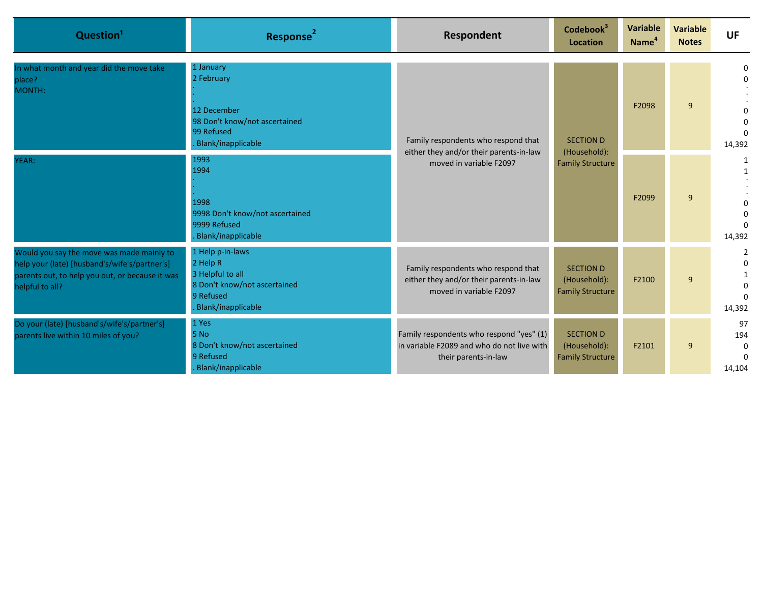| Question <sup>1</sup>                                                                                                                                            | Response <sup>2</sup>                                                                                               | Respondent                                                                                                     | Codebook <sup>3</sup><br>Location                           | Variable<br>Name <sup>4</sup> | <b>Variable</b><br><b>Notes</b> | UF                                             |  |  |  |  |       |   |                         |
|------------------------------------------------------------------------------------------------------------------------------------------------------------------|---------------------------------------------------------------------------------------------------------------------|----------------------------------------------------------------------------------------------------------------|-------------------------------------------------------------|-------------------------------|---------------------------------|------------------------------------------------|--|--|--|--|-------|---|-------------------------|
| In what month and year did the move take<br>place?<br>MONTH:                                                                                                     | 1 January<br>2 February<br>12 December<br>98 Don't know/not ascertained<br>99 Refused<br>Blank/inapplicable         | Family respondents who respond that<br>either they and/or their parents-in-law<br>moved in variable F2097      | <b>SECTION D</b><br>(Household):<br><b>Family Structure</b> |                               |                                 |                                                |  |  |  |  | F2098 | 9 | 0<br>$\Omega$<br>14,392 |
| YEAR:                                                                                                                                                            | 1993<br>1994<br>1998<br>9998 Don't know/not ascertained<br>9999 Refused<br>Blank/inapplicable                       |                                                                                                                |                                                             | F2099                         | 9                               | 1<br>$\Omega$<br>0<br>14,392                   |  |  |  |  |       |   |                         |
| Would you say the move was made mainly to<br>help your (late) [husband's/wife's/partner's]<br>parents out, to help you out, or because it was<br>helpful to all? | 1 Help p-in-laws<br>2 Help R<br>3 Helpful to all<br>8 Don't know/not ascertained<br>9 Refused<br>Blank/inapplicable | Family respondents who respond that<br>either they and/or their parents-in-law<br>moved in variable F2097      | <b>SECTION D</b><br>(Household):<br><b>Family Structure</b> | F2100                         | 9                               | $\Omega$<br>14,392                             |  |  |  |  |       |   |                         |
| Do your (late) [husband's/wife's/partner's]<br>parents live within 10 miles of you?                                                                              | 1 Yes<br>5 No<br>8 Don't know/not ascertained<br>9 Refused<br>Blank/inapplicable                                    | Family respondents who respond "yes" (1)<br>in variable F2089 and who do not live with<br>their parents-in-law | <b>SECTION D</b><br>(Household):<br><b>Family Structure</b> | F2101                         | 9                               | 97<br>194<br>$\mathbf 0$<br>$\Omega$<br>14,104 |  |  |  |  |       |   |                         |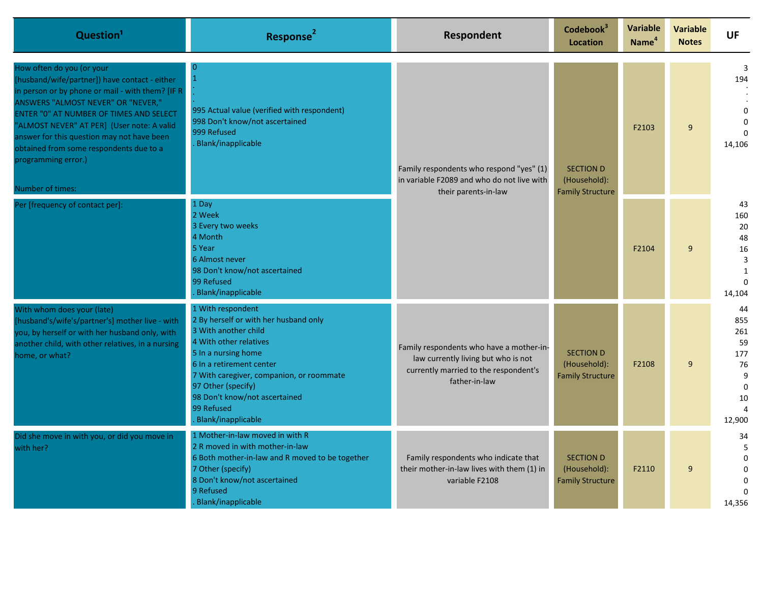| Question <sup>1</sup>                                                                                                                                                                                                                                                                                                                                                                             | Response <sup>2</sup>                                                                                                                                                                                                                                                                                  | <b>Respondent</b>                                                                                                                         | Codebook <sup>3</sup><br>Location                           | <b>Variable</b><br>Name <sup>4</sup> | <b>Variable</b><br><b>Notes</b> | <b>UF</b>                                                                |       |   |                                     |
|---------------------------------------------------------------------------------------------------------------------------------------------------------------------------------------------------------------------------------------------------------------------------------------------------------------------------------------------------------------------------------------------------|--------------------------------------------------------------------------------------------------------------------------------------------------------------------------------------------------------------------------------------------------------------------------------------------------------|-------------------------------------------------------------------------------------------------------------------------------------------|-------------------------------------------------------------|--------------------------------------|---------------------------------|--------------------------------------------------------------------------|-------|---|-------------------------------------|
| How often do you (or your<br>[husband/wife/partner]) have contact - either<br>in person or by phone or mail - with them? [IF R<br>ANSWERS "ALMOST NEVER" OR "NEVER,"<br>ENTER "0" AT NUMBER OF TIMES AND SELECT<br>"ALMOST NEVER" AT PER] (User note: A valid<br>answer for this question may not have been<br>obtained from some respondents due to a<br>programming error.)<br>Number of times: | n<br>$\mathbf{1}$<br>995 Actual value (verified with respondent)<br>998 Don't know/not ascertained<br>999 Refused<br>Blank/inapplicable                                                                                                                                                                | Family respondents who respond "yes" (1)<br>in variable F2089 and who do not live with<br>their parents-in-law                            |                                                             |                                      |                                 | <b>SECTION D</b><br>(Household):<br><b>Family Structure</b>              | F2103 | 9 | 3<br>194<br>O<br>$\Omega$<br>14,106 |
| Per [frequency of contact per]:                                                                                                                                                                                                                                                                                                                                                                   | 1 Day<br>2 Week<br>3 Every two weeks<br>4 Month<br>5 Year<br>6 Almost never<br>98 Don't know/not ascertained<br>99 Refused<br>Blank/inapplicable                                                                                                                                                       |                                                                                                                                           |                                                             | F2104                                | 9                               | 43<br>160<br>20<br>48<br>16<br>3<br>$\mathbf{1}$<br>$\Omega$<br>14,104   |       |   |                                     |
| With whom does your (late)<br>[husband's/wife's/partner's] mother live - with<br>you, by herself or with her husband only, with<br>another child, with other relatives, in a nursing<br>home, or what?                                                                                                                                                                                            | 1 With respondent<br>2 By herself or with her husband only<br>3 With another child<br>4 With other relatives<br>5 In a nursing home<br>6 In a retirement center<br>7 With caregiver, companion, or roommate<br>97 Other (specify)<br>98 Don't know/not ascertained<br>99 Refused<br>Blank/inapplicable | Family respondents who have a mother-in-<br>law currently living but who is not<br>currently married to the respondent's<br>father-in-law | <b>SECTION D</b><br>(Household):<br><b>Family Structure</b> | F2108                                | 9                               | 44<br>855<br>261<br>59<br>177<br>76<br>9<br>$\mathbf{0}$<br>10<br>12,900 |       |   |                                     |
| Did she move in with you, or did you move in<br>with her?                                                                                                                                                                                                                                                                                                                                         | 1 Mother-in-law moved in with R<br>2 R moved in with mother-in-law<br>6 Both mother-in-law and R moved to be together<br>7 Other (specify)<br>8 Don't know/not ascertained<br>9 Refused<br>Blank/inapplicable                                                                                          | Family respondents who indicate that<br>their mother-in-law lives with them (1) in<br>variable F2108                                      | <b>SECTION D</b><br>(Household):<br><b>Family Structure</b> | F2110                                | 9                               | 34<br>5<br>$\Omega$<br>$\Omega$<br>$\Omega$<br>14,356                    |       |   |                                     |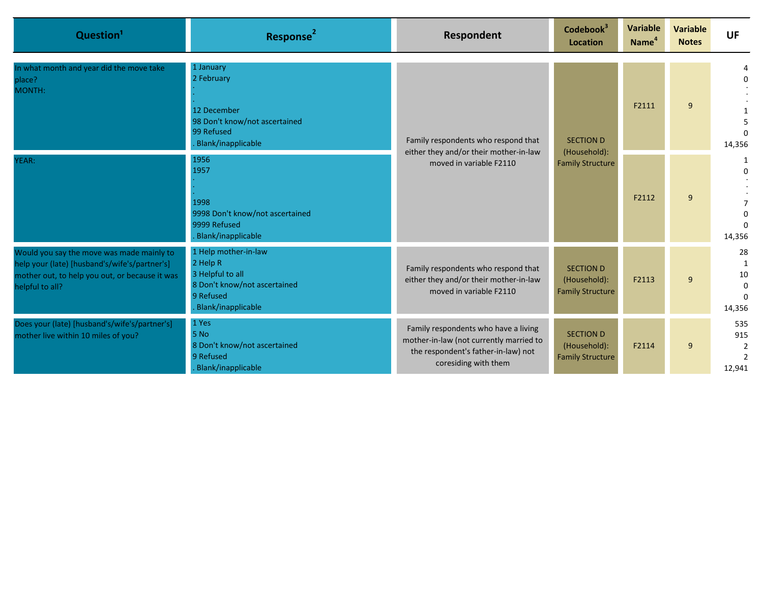| Question <sup>1</sup>                                                                                                                                           | Response <sup>2</sup>                                                                                                   | Respondent                                                                                                                                     | Codebook <sup>3</sup><br>Location                           | Variable<br>Name <sup>4</sup> | <b>Variable</b><br><b>Notes</b> | UF                                         |   |        |
|-----------------------------------------------------------------------------------------------------------------------------------------------------------------|-------------------------------------------------------------------------------------------------------------------------|------------------------------------------------------------------------------------------------------------------------------------------------|-------------------------------------------------------------|-------------------------------|---------------------------------|--------------------------------------------|---|--------|
| In what month and year did the move take<br>place?<br>MONTH:                                                                                                    | 1 January<br>2 February<br>12 December<br>98 Don't know/not ascertained<br>99 Refused<br>Blank/inapplicable             | Family respondents who respond that<br>either they and/or their mother-in-law<br>moved in variable F2110                                       | <b>SECTION D</b><br>(Household):<br><b>Family Structure</b> |                               |                                 | F2111                                      | 9 | 14,356 |
| YEAR:                                                                                                                                                           | 1956<br>1957<br>1998<br>9998 Don't know/not ascertained<br>9999 Refused<br>Blank/inapplicable                           |                                                                                                                                                |                                                             | F2112                         | 9                               | $\Omega$<br>14,356                         |   |        |
| Would you say the move was made mainly to<br>help your (late) [husband's/wife's/partner's]<br>mother out, to help you out, or because it was<br>helpful to all? | 1 Help mother-in-law<br>2 Help R<br>3 Helpful to all<br>8 Don't know/not ascertained<br>9 Refused<br>Blank/inapplicable | Family respondents who respond that<br>either they and/or their mother-in-law<br>moved in variable F2110                                       | <b>SECTION D</b><br>(Household):<br><b>Family Structure</b> | F2113                         | 9                               | 28<br>1<br>$10\,$<br>$\mathbf 0$<br>14,356 |   |        |
| Does your (late) [husband's/wife's/partner's]<br>mother live within 10 miles of you?                                                                            | 1 Yes<br>5 No<br>8 Don't know/not ascertained<br>9 Refused<br>Blank/inapplicable                                        | Family respondents who have a living<br>mother-in-law (not currently married to<br>the respondent's father-in-law) not<br>coresiding with them | <b>SECTION D</b><br>(Household):<br><b>Family Structure</b> | F2114                         | 9                               | 535<br>915<br>2<br>12,941                  |   |        |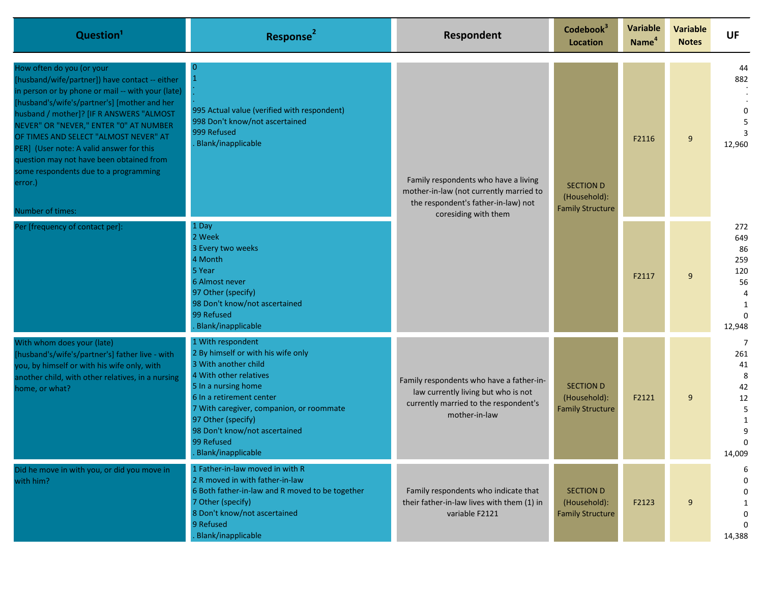| Question <sup>1</sup>                                                                                                                                                                                                                                                                                                                                                                                                                                                           | Response <sup>2</sup>                                                                                                                                                                                                                                                                               | Respondent                                                                                                                                     | Codebook <sup>3</sup><br>Location                           | Variable<br>Name <sup>4</sup> | <b>Variable</b><br><b>Notes</b>                             | <b>UF</b>                                                     |   |                     |
|---------------------------------------------------------------------------------------------------------------------------------------------------------------------------------------------------------------------------------------------------------------------------------------------------------------------------------------------------------------------------------------------------------------------------------------------------------------------------------|-----------------------------------------------------------------------------------------------------------------------------------------------------------------------------------------------------------------------------------------------------------------------------------------------------|------------------------------------------------------------------------------------------------------------------------------------------------|-------------------------------------------------------------|-------------------------------|-------------------------------------------------------------|---------------------------------------------------------------|---|---------------------|
| How often do you (or your<br>[husband/wife/partner]) have contact -- either<br>in person or by phone or mail -- with your (late)<br>[husband's/wife's/partner's] [mother and her<br>husband / mother]? [IF R ANSWERS "ALMOST<br>NEVER" OR "NEVER," ENTER "0" AT NUMBER<br>OF TIMES AND SELECT "ALMOST NEVER" AT<br>PER] (User note: A valid answer for this<br>question may not have been obtained from<br>some respondents due to a programming<br>error.)<br>Number of times: | 0<br>995 Actual value (verified with respondent)<br>998 Don't know/not ascertained<br>999 Refused<br>Blank/inapplicable                                                                                                                                                                             | Family respondents who have a living<br>mother-in-law (not currently married to<br>the respondent's father-in-law) not<br>coresiding with them |                                                             |                               | <b>SECTION D</b><br>(Household):<br><b>Family Structure</b> | F2116                                                         | 9 | 44<br>882<br>12,960 |
| Per [frequency of contact per]:                                                                                                                                                                                                                                                                                                                                                                                                                                                 | 1 Day<br>2 Week<br>3 Every two weeks<br>4 Month<br>5 Year<br>6 Almost never<br>97 Other (specify)<br>98 Don't know/not ascertained<br>99 Refused<br>Blank/inapplicable                                                                                                                              |                                                                                                                                                |                                                             | F2117                         | 9                                                           | 272<br>649<br>86<br>259<br>120<br>56<br>12,948                |   |                     |
| With whom does your (late)<br>[husband's/wife's/partner's] father live - with<br>you, by himself or with his wife only, with<br>another child, with other relatives, in a nursing<br>home, or what?                                                                                                                                                                                                                                                                             | 1 With respondent<br>2 By himself or with his wife only<br>3 With another child<br>4 With other relatives<br>5 In a nursing home<br>6 In a retirement center<br>7 With caregiver, companion, or roommate<br>97 Other (specify)<br>98 Don't know/not ascertained<br>99 Refused<br>Blank/inapplicable | Family respondents who have a father-in-<br>law currently living but who is not<br>currently married to the respondent's<br>mother-in-law      | <b>SECTION D</b><br>(Household):<br><b>Family Structure</b> | F2121                         | 9                                                           | 7<br>261<br>41<br>8<br>42<br>12<br>5<br>1<br>9<br>0<br>14,009 |   |                     |
| Did he move in with you, or did you move in<br>with him?                                                                                                                                                                                                                                                                                                                                                                                                                        | 1 Father-in-law moved in with R<br>2 R moved in with father-in-law<br>6 Both father-in-law and R moved to be together<br>7 Other (specify)<br>8 Don't know/not ascertained<br>9 Refused<br>Blank/inapplicable                                                                                       | Family respondents who indicate that<br>their father-in-law lives with them (1) in<br>variable F2121                                           | <b>SECTION D</b><br>(Household):<br><b>Family Structure</b> | F2123                         | 9                                                           | 6<br>$\Omega$<br>$\Omega$<br>0<br>14,388                      |   |                     |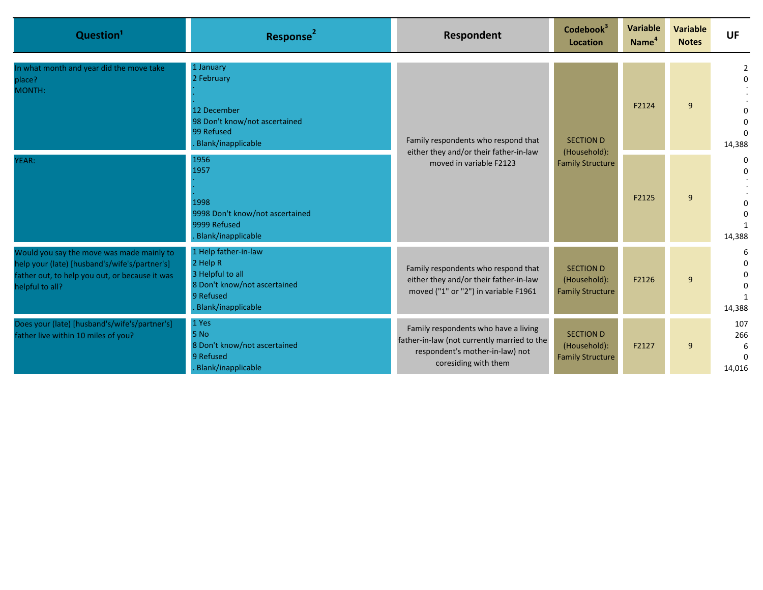| Question <sup>1</sup>                                                                                                                                           | <b>Response</b>                                                                                                         | Respondent                                                                                                                                     | Codebook <sup>3</sup><br>Location                           | <b>Variable</b><br>Name <sup>4</sup> | <b>Variable</b><br><b>Notes</b> | <b>UF</b>                 |
|-----------------------------------------------------------------------------------------------------------------------------------------------------------------|-------------------------------------------------------------------------------------------------------------------------|------------------------------------------------------------------------------------------------------------------------------------------------|-------------------------------------------------------------|--------------------------------------|---------------------------------|---------------------------|
| In what month and year did the move take<br>place?<br>MONTH:                                                                                                    | 1 January<br>2 February<br>12 December<br>98 Don't know/not ascertained<br>99 Refused<br>Blank/inapplicable             | Family respondents who respond that<br>either they and/or their father-in-law<br>moved in variable F2123                                       | <b>SECTION D</b>                                            | F2124                                | 9                               | 2<br>14,388               |
| YEAR:                                                                                                                                                           | 1956<br>1957<br>1998<br>9998 Don't know/not ascertained<br>9999 Refused<br>Blank/inapplicable                           |                                                                                                                                                | (Household):<br><b>Family Structure</b>                     | F2125                                | 9                               | $\Omega$<br>14,388        |
| Would you say the move was made mainly to<br>help your (late) [husband's/wife's/partner's]<br>father out, to help you out, or because it was<br>helpful to all? | 1 Help father-in-law<br>2 Help R<br>3 Helpful to all<br>8 Don't know/not ascertained<br>9 Refused<br>Blank/inapplicable | Family respondents who respond that<br>either they and/or their father-in-law<br>moved ("1" or "2") in variable F1961                          | <b>SECTION D</b><br>(Household):<br><b>Family Structure</b> | F2126                                | 9                               | 6<br>14,388               |
| Does your (late) [husband's/wife's/partner's]<br>father live within 10 miles of you?                                                                            | 1 Yes<br>5 No<br>8 Don't know/not ascertained<br>9 Refused<br>Blank/inapplicable                                        | Family respondents who have a living<br>father-in-law (not currently married to the<br>respondent's mother-in-law) not<br>coresiding with them | <b>SECTION D</b><br>(Household):<br><b>Family Structure</b> | F2127                                | 9                               | 107<br>266<br>6<br>14,016 |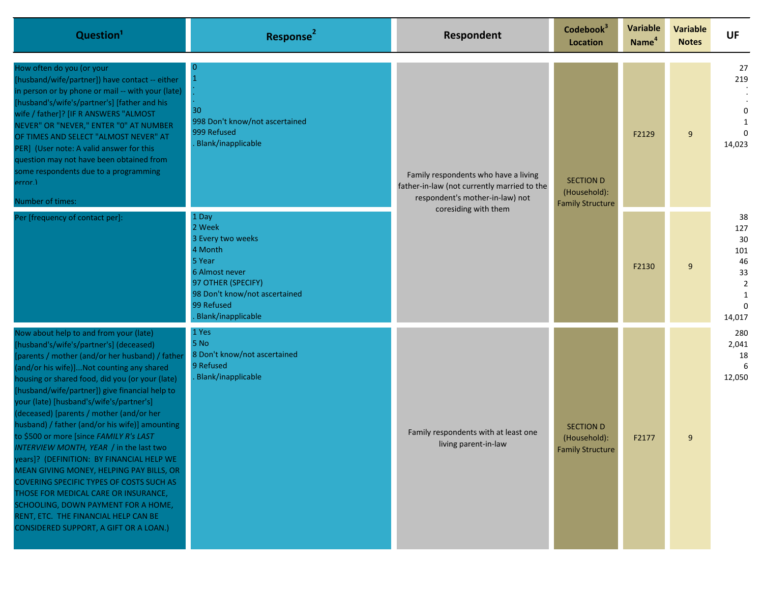| Question <sup>1</sup>                                                                                                                                                                                                                                                                                                                                                                                                                                                                                                                                                                                                                                                                                                                                                                                                        | Response <sup>2</sup>                                                                                                                                                  | Respondent                                                                                                                                     | Codebook <sup>3</sup><br>Location                           | Variable<br>Name <sup>4</sup>                               | <b>Variable</b><br><b>Notes</b> | <b>UF</b>                                                                       |                                      |
|------------------------------------------------------------------------------------------------------------------------------------------------------------------------------------------------------------------------------------------------------------------------------------------------------------------------------------------------------------------------------------------------------------------------------------------------------------------------------------------------------------------------------------------------------------------------------------------------------------------------------------------------------------------------------------------------------------------------------------------------------------------------------------------------------------------------------|------------------------------------------------------------------------------------------------------------------------------------------------------------------------|------------------------------------------------------------------------------------------------------------------------------------------------|-------------------------------------------------------------|-------------------------------------------------------------|---------------------------------|---------------------------------------------------------------------------------|--------------------------------------|
| How often do you (or your<br>[husband/wife/partner]) have contact -- either<br>in person or by phone or mail -- with your (late)<br>[husband's/wife's/partner's] [father and his<br>wife / father]? [IF R ANSWERS "ALMOST<br>NEVER" OR "NEVER," ENTER "0" AT NUMBER<br>OF TIMES AND SELECT "ALMOST NEVER" AT<br>PER] (User note: A valid answer for this<br>question may not have been obtained from<br>some respondents due to a programming<br>error.)<br>Number of times:                                                                                                                                                                                                                                                                                                                                                 | $\Omega$<br>30<br>998 Don't know/not ascertained<br>999 Refused<br>Blank/inapplicable                                                                                  | Family respondents who have a living<br>father-in-law (not currently married to the<br>respondent's mother-in-law) not<br>coresiding with them |                                                             | <b>SECTION D</b><br>(Household):<br><b>Family Structure</b> | F2129                           | 9                                                                               | 27<br>219<br>$\Omega$<br>1<br>14,023 |
| Per [frequency of contact per]:                                                                                                                                                                                                                                                                                                                                                                                                                                                                                                                                                                                                                                                                                                                                                                                              | 1 Day<br>2 Week<br>3 Every two weeks<br>4 Month<br>5 Year<br>6 Almost never<br>97 OTHER (SPECIFY)<br>98 Don't know/not ascertained<br>99 Refused<br>Blank/inapplicable |                                                                                                                                                |                                                             | F2130                                                       | 9                               | 38<br>127<br>30<br>101<br>46<br>33<br>$\overline{2}$<br>1<br>$\Omega$<br>14,017 |                                      |
| Now about help to and from your (late)<br>[husband's/wife's/partner's] (deceased)<br>[parents / mother (and/or her husband) / father<br>(and/or his wife)]Not counting any shared<br>housing or shared food, did you (or your (late)<br>[husband/wife/partner]) give financial help to<br>your (late) [husband's/wife's/partner's]<br>(deceased) [parents / mother (and/or her<br>husband) / father (and/or his wife)] amounting<br>to \$500 or more [since FAMILY R's LAST<br>INTERVIEW MONTH, YEAR / in the last two<br>years]? (DEFINITION: BY FINANCIAL HELP WE<br>MEAN GIVING MONEY, HELPING PAY BILLS, OR<br>COVERING SPECIFIC TYPES OF COSTS SUCH AS<br>THOSE FOR MEDICAL CARE OR INSURANCE,<br>SCHOOLING, DOWN PAYMENT FOR A HOME,<br>RENT, ETC. THE FINANCIAL HELP CAN BE<br>CONSIDERED SUPPORT, A GIFT OR A LOAN.) | 1 Yes<br>5 No<br>8 Don't know/not ascertained<br>9 Refused<br>Blank/inapplicable                                                                                       | Family respondents with at least one<br>living parent-in-law                                                                                   | <b>SECTION D</b><br>(Household):<br><b>Family Structure</b> | F2177                                                       | 9                               | 280<br>2,041<br>18<br>12,050                                                    |                                      |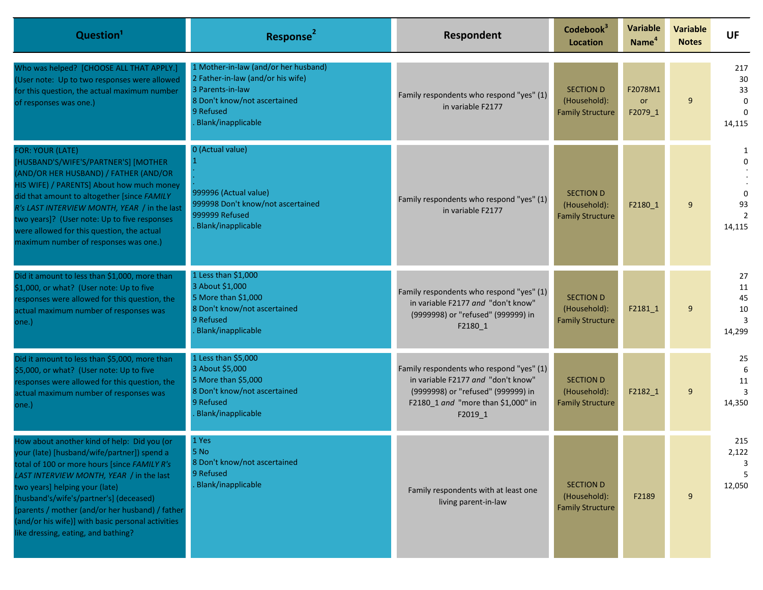| Question <sup>1</sup>                                                                                                                                                                                                                                                                                                                                                                                              | Response <sup>2</sup>                                                                                                                                            | Respondent                                                                                                                                                            | Codebook <sup>3</sup><br><b>Location</b>                    | <b>Variable</b><br>Name <sup>4</sup> | <b>Variable</b><br><b>Notes</b> | <b>UF</b>                                  |
|--------------------------------------------------------------------------------------------------------------------------------------------------------------------------------------------------------------------------------------------------------------------------------------------------------------------------------------------------------------------------------------------------------------------|------------------------------------------------------------------------------------------------------------------------------------------------------------------|-----------------------------------------------------------------------------------------------------------------------------------------------------------------------|-------------------------------------------------------------|--------------------------------------|---------------------------------|--------------------------------------------|
| Who was helped? [CHOOSE ALL THAT APPLY.]<br>(User note: Up to two responses were allowed<br>for this question, the actual maximum number<br>of responses was one.)                                                                                                                                                                                                                                                 | 1 Mother-in-law (and/or her husband)<br>2 Father-in-law (and/or his wife)<br>3 Parents-in-law<br>8 Don't know/not ascertained<br>9 Refused<br>Blank/inapplicable | Family respondents who respond "yes" (1)<br>in variable F2177                                                                                                         | <b>SECTION D</b><br>(Household):<br><b>Family Structure</b> | F2078M1<br>or<br>F2079_1             | 9                               | 217<br>30<br>33<br>0<br>$\Omega$<br>14,115 |
| <b>FOR: YOUR (LATE)</b><br>[HUSBAND'S/WIFE'S/PARTNER'S] [MOTHER<br>(AND/OR HER HUSBAND) / FATHER (AND/OR<br>HIS WIFE) / PARENTS] About how much money<br>did that amount to altogether [since FAMILY<br>R's LAST INTERVIEW MONTH, YEAR / in the last<br>two years]? (User note: Up to five responses<br>were allowed for this question, the actual<br>maximum number of responses was one.)                        | 0 (Actual value)<br>999996 (Actual value)<br>999998 Don't know/not ascertained<br>999999 Refused<br>Blank/inapplicable                                           | Family respondents who respond "yes" (1)<br>in variable F2177                                                                                                         | <b>SECTION D</b><br>(Household):<br><b>Family Structure</b> | F2180 1                              | 9                               | 1<br>$\Omega$<br>$\Omega$<br>93<br>14,115  |
| Did it amount to less than \$1,000, more than<br>\$1,000, or what? (User note: Up to five<br>responses were allowed for this question, the<br>actual maximum number of responses was<br>one.)                                                                                                                                                                                                                      | 1 Less than \$1,000<br>3 About \$1,000<br>5 More than \$1,000<br>8 Don't know/not ascertained<br>9 Refused<br>Blank/inapplicable                                 | Family respondents who respond "yes" (1)<br>in variable F2177 and "don't know"<br>(9999998) or "refused" (999999) in<br>F2180_1                                       | <b>SECTION D</b><br>(Household):<br><b>Family Structure</b> | F2181 1                              | 9                               | 27<br>11<br>45<br>10<br>3<br>14,299        |
| Did it amount to less than \$5,000, more than<br>\$5,000, or what? (User note: Up to five<br>responses were allowed for this question, the<br>actual maximum number of responses was<br>one.)                                                                                                                                                                                                                      | 1 Less than \$5,000<br>3 About \$5,000<br>5 More than \$5,000<br>8 Don't know/not ascertained<br>9 Refused<br>Blank/inapplicable                                 | Family respondents who respond "yes" (1)<br>in variable F2177 and "don't know"<br>(9999998) or "refused" (999999) in<br>F2180_1 and "more than \$1,000" in<br>F2019_1 | <b>SECTION D</b><br>(Household):<br><b>Family Structure</b> | F2182_1                              | 9                               | 25<br>6<br>11<br>14,350                    |
| How about another kind of help: Did you (or<br>your (late) [husband/wife/partner]) spend a<br>total of 100 or more hours [since FAMILY R's<br>LAST INTERVIEW MONTH, YEAR / in the last<br>two years] helping your (late)<br>[husband's/wife's/partner's] (deceased)<br>[parents / mother (and/or her husband) / father<br>(and/or his wife)] with basic personal activities<br>like dressing, eating, and bathing? | 1 Yes<br>5 No<br>8 Don't know/not ascertained<br>9 Refused<br>Blank/inapplicable                                                                                 | Family respondents with at least one<br>living parent-in-law                                                                                                          | <b>SECTION D</b><br>(Household):<br><b>Family Structure</b> | F2189                                | 9                               | 215<br>2,122<br>-5<br>12,050               |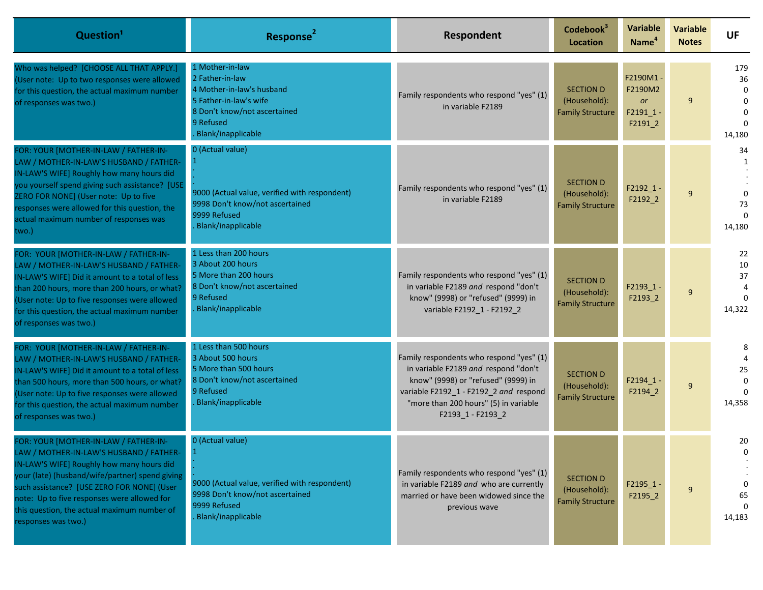| Question <sup>1</sup>                                                                                                                                                                                                                                                                                                                               | Response <sup>2</sup>                                                                                                                                        | Respondent                                                                                                                                                                                                                      | Codebook <sup>3</sup><br>Location                           | <b>Variable</b><br>Name <sup>4</sup>             | <b>Variable</b><br><b>Notes</b> | <b>UF</b>                                        |
|-----------------------------------------------------------------------------------------------------------------------------------------------------------------------------------------------------------------------------------------------------------------------------------------------------------------------------------------------------|--------------------------------------------------------------------------------------------------------------------------------------------------------------|---------------------------------------------------------------------------------------------------------------------------------------------------------------------------------------------------------------------------------|-------------------------------------------------------------|--------------------------------------------------|---------------------------------|--------------------------------------------------|
| Who was helped? [CHOOSE ALL THAT APPLY.]<br>(User note: Up to two responses were allowed<br>for this question, the actual maximum number<br>of responses was two.)                                                                                                                                                                                  | 1 Mother-in-law<br>2 Father-in-law<br>4 Mother-in-law's husband<br>5 Father-in-law's wife<br>8 Don't know/not ascertained<br>9 Refused<br>Blank/inapplicable | Family respondents who respond "yes" (1)<br>in variable F2189                                                                                                                                                                   | <b>SECTION D</b><br>(Household):<br><b>Family Structure</b> | F2190M1-<br>F2190M2<br>or<br>F2191 1-<br>F2191_2 | 9                               | 179<br>36<br>0<br>$\Omega$<br>$\Omega$<br>14,180 |
| FOR: YOUR [MOTHER-IN-LAW / FATHER-IN-<br>LAW / MOTHER-IN-LAW'S HUSBAND / FATHER-<br>IN-LAW'S WIFE] Roughly how many hours did<br>you yourself spend giving such assistance? [USE<br>ZERO FOR NONE] (User note: Up to five<br>responses were allowed for this question, the<br>actual maximum number of responses was<br>two.)                       | 0 (Actual value)<br>9000 (Actual value, verified with respondent)<br>9998 Don't know/not ascertained<br>9999 Refused<br><b>Blank/inapplicable</b>            | Family respondents who respond "yes" (1)<br>in variable F2189                                                                                                                                                                   | <b>SECTION D</b><br>(Household):<br><b>Family Structure</b> | $F2192_1 -$<br>F2192_2                           | 9                               | 34<br>$\Omega$<br>73<br>14,180                   |
| FOR: YOUR [MOTHER-IN-LAW / FATHER-IN-<br>LAW / MOTHER-IN-LAW'S HUSBAND / FATHER-<br>IN-LAW'S WIFE] Did it amount to a total of less<br>than 200 hours, more than 200 hours, or what?<br>(User note: Up to five responses were allowed<br>for this question, the actual maximum number<br>of responses was two.)                                     | 1 Less than 200 hours<br>3 About 200 hours<br>5 More than 200 hours<br>8 Don't know/not ascertained<br>9 Refused<br><b>Blank/inapplicable</b>                | Family respondents who respond "yes" (1)<br>in variable F2189 and respond "don't<br>know" (9998) or "refused" (9999) in<br>variable F2192_1 - F2192_2                                                                           | <b>SECTION D</b><br>(Household):<br><b>Family Structure</b> | $F2193_1$<br>F2193_2                             | 9                               | 22<br>10<br>37<br>14,322                         |
| FOR: YOUR [MOTHER-IN-LAW / FATHER-IN-<br>LAW / MOTHER-IN-LAW'S HUSBAND / FATHER-<br>IN-LAW'S WIFE] Did it amount to a total of less<br>than 500 hours, more than 500 hours, or what?<br>(User note: Up to five responses were allowed<br>for this question, the actual maximum number<br>of responses was two.)                                     | 1 Less than 500 hours<br>3 About 500 hours<br>5 More than 500 hours<br>8 Don't know/not ascertained<br>9 Refused<br><b>Blank/inapplicable</b>                | Family respondents who respond "yes" (1)<br>in variable F2189 and respond "don't<br>know" (9998) or "refused" (9999) in<br>variable F2192_1 - F2192_2 and respond<br>"more than 200 hours" (5) in variable<br>F2193_1 - F2193_2 | <b>SECTION D</b><br>(Household):<br><b>Family Structure</b> | $F2194_1 -$<br>F2194_2                           | 9                               | 8<br>25<br>$\Omega$<br>14,358                    |
| FOR: YOUR [MOTHER-IN-LAW / FATHER-IN-<br>LAW / MOTHER-IN-LAW'S HUSBAND / FATHER-<br>IN-LAW'S WIFE] Roughly how many hours did<br>your (late) (husband/wife/partner) spend giving<br>such assistance? [USE ZERO FOR NONE] (User<br>note: Up to five responses were allowed for<br>this question, the actual maximum number of<br>responses was two.) | 0 (Actual value)<br>9000 (Actual value, verified with respondent)<br>9998 Don't know/not ascertained<br>9999 Refused<br><b>Blank/inapplicable</b>            | Family respondents who respond "yes" (1)<br>in variable F2189 and who are currently<br>married or have been widowed since the<br>previous wave                                                                                  | <b>SECTION D</b><br>(Household):<br><b>Family Structure</b> | $F2195_1 -$<br>F2195_2                           | 9                               | 20<br>65<br>14,183                               |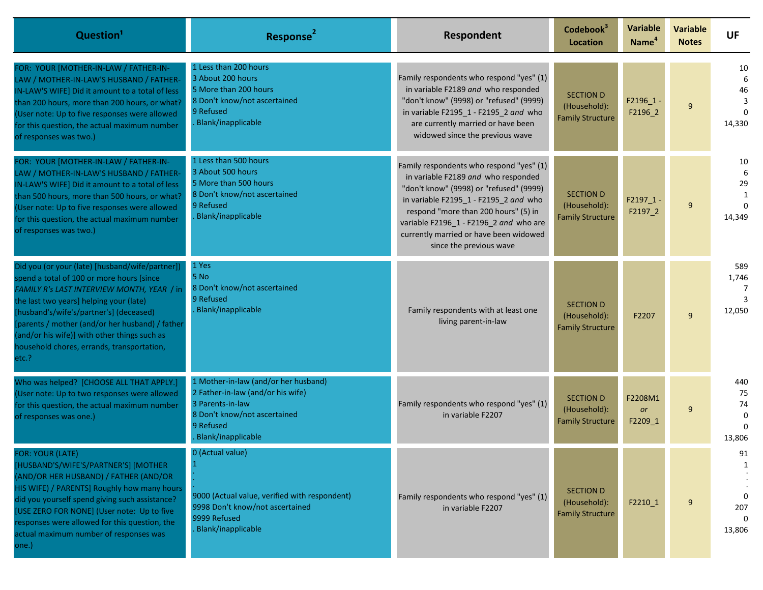| Question <sup>1</sup>                                                                                                                                                                                                                                                                                                                                                                      | Response <sup>2</sup>                                                                                                                                            | Respondent                                                                                                                                                                                                                                                                                                                 | Codebook <sup>3</sup><br><b>Location</b>                    | <b>Variable</b><br>Name <sup>4</sup> | <b>Variable</b><br><b>Notes</b> | <b>UF</b>                                |
|--------------------------------------------------------------------------------------------------------------------------------------------------------------------------------------------------------------------------------------------------------------------------------------------------------------------------------------------------------------------------------------------|------------------------------------------------------------------------------------------------------------------------------------------------------------------|----------------------------------------------------------------------------------------------------------------------------------------------------------------------------------------------------------------------------------------------------------------------------------------------------------------------------|-------------------------------------------------------------|--------------------------------------|---------------------------------|------------------------------------------|
| FOR: YOUR [MOTHER-IN-LAW / FATHER-IN-<br>LAW / MOTHER-IN-LAW'S HUSBAND / FATHER-<br>IN-LAW'S WIFE] Did it amount to a total of less<br>than 200 hours, more than 200 hours, or what?<br>(User note: Up to five responses were allowed<br>for this question, the actual maximum number<br>of responses was two.)                                                                            | 1 Less than 200 hours<br>3 About 200 hours<br>5 More than 200 hours<br>8 Don't know/not ascertained<br>9 Refused<br><b>Blank/inapplicable</b>                    | Family respondents who respond "yes" (1)<br>in variable F2189 and who responded<br>"don't know" (9998) or "refused" (9999)<br>in variable F2195_1 - F2195_2 and who<br>are currently married or have been<br>widowed since the previous wave                                                                               | <b>SECTION D</b><br>(Household):<br><b>Family Structure</b> | F2196_1<br>F2196_2                   | 9                               | 10<br>6<br>46<br>3<br>14,330             |
| FOR: YOUR [MOTHER-IN-LAW / FATHER-IN-<br>LAW / MOTHER-IN-LAW'S HUSBAND / FATHER-<br>IN-LAW'S WIFE] Did it amount to a total of less<br>than 500 hours, more than 500 hours, or what?<br>(User note: Up to five responses were allowed<br>for this question, the actual maximum number<br>of responses was two.)                                                                            | 1 Less than 500 hours<br>3 About 500 hours<br>5 More than 500 hours<br>8 Don't know/not ascertained<br>9 Refused<br><b>Blank/inapplicable</b>                    | Family respondents who respond "yes" (1)<br>in variable F2189 and who responded<br>"don't know" (9998) or "refused" (9999)<br>in variable F2195_1 - F2195_2 and who<br>respond "more than 200 hours" (5) in<br>variable F2196 1 - F2196 2 and who are<br>currently married or have been widowed<br>since the previous wave | <b>SECTION D</b><br>(Household):<br><b>Family Structure</b> | $F2197_1$ -<br>F2197_2               | 9                               | 10<br>6<br>29<br>1<br>$\Omega$<br>14,349 |
| Did you (or your (late) [husband/wife/partner])<br>spend a total of 100 or more hours [since<br>FAMILY R's LAST INTERVIEW MONTH, YEAR / in<br>the last two years] helping your (late)<br>[husband's/wife's/partner's] (deceased)<br>[parents / mother (and/or her husband) / father<br>(and/or his wife)] with other things such as<br>nousehold chores, errands, transportation,<br>etc.? | 1 Yes<br>5 No<br>8 Don't know/not ascertained<br>9 Refused<br><b>Blank/inapplicable</b>                                                                          | Family respondents with at least one<br>living parent-in-law                                                                                                                                                                                                                                                               | <b>SECTION D</b><br>(Household):<br><b>Family Structure</b> | F2207                                | 9                               | 589<br>1,746<br>7<br>12,050              |
| Who was helped? [CHOOSE ALL THAT APPLY.]<br>(User note: Up to two responses were allowed<br>for this question, the actual maximum number<br>of responses was one.)                                                                                                                                                                                                                         | 1 Mother-in-law (and/or her husband)<br>2 Father-in-law (and/or his wife)<br>3 Parents-in-law<br>8 Don't know/not ascertained<br>9 Refused<br>Blank/inapplicable | Family respondents who respond "yes" (1)<br>in variable F2207                                                                                                                                                                                                                                                              | <b>SECTION D</b><br>(Household):<br><b>Family Structure</b> | F2208M1<br><b>or</b><br>F2209_1      | 9                               | 440<br>75<br>74<br>$\Omega$<br>13,806    |
| <b>FOR: YOUR (LATE)</b><br>[HUSBAND'S/WIFE'S/PARTNER'S] [MOTHER<br>(AND/OR HER HUSBAND) / FATHER (AND/OR<br>HIS WIFE) / PARENTS] Roughly how many hours<br>did you yourself spend giving such assistance?<br>[USE ZERO FOR NONE] (User note: Up to five<br>responses were allowed for this question, the<br>actual maximum number of responses was<br>one.)                                | 0 (Actual value)<br>9000 (Actual value, verified with respondent)<br>9998 Don't know/not ascertained<br>9999 Refused<br>Blank/inapplicable                       | Family respondents who respond "yes" (1)<br>in variable F2207                                                                                                                                                                                                                                                              | <b>SECTION D</b><br>(Household):<br><b>Family Structure</b> | F2210_1                              | 9                               | 91<br>1<br>$\Omega$<br>207<br>13,806     |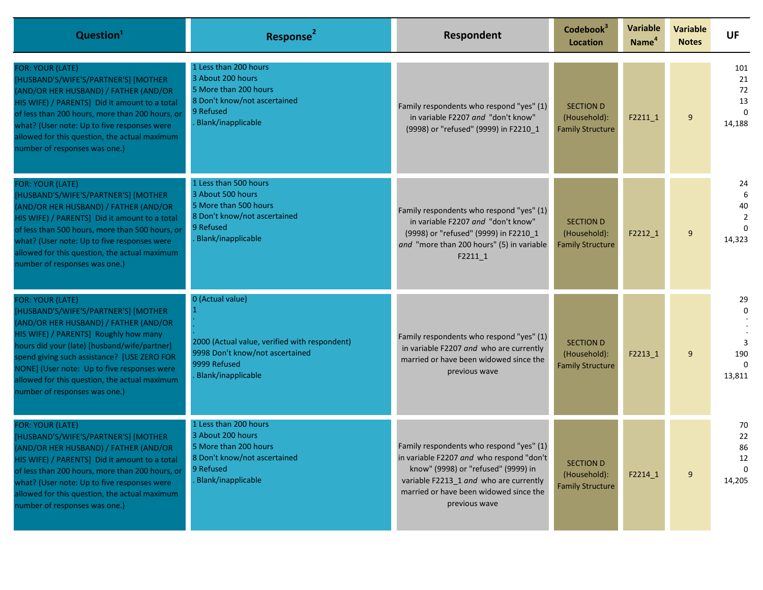| Question <sup>1</sup>                                                                                                                                                                                                                                                                                                                                                      | Response <sup>2</sup>                                                                                                                             | Respondent                                                                                                                                                                                                                       | Codebook <sup>3</sup><br><b>Location</b>                    | Variable<br>Name <sup>4</sup> | <b>Variable</b><br><b>Notes</b> | <b>UF</b>                                   |
|----------------------------------------------------------------------------------------------------------------------------------------------------------------------------------------------------------------------------------------------------------------------------------------------------------------------------------------------------------------------------|---------------------------------------------------------------------------------------------------------------------------------------------------|----------------------------------------------------------------------------------------------------------------------------------------------------------------------------------------------------------------------------------|-------------------------------------------------------------|-------------------------------|---------------------------------|---------------------------------------------|
| <b>FOR: YOUR (LATE)</b><br>[HUSBAND'S/WIFE'S/PARTNER'S] [MOTHER<br>(AND/OR HER HUSBAND) / FATHER (AND/OR<br>HIS WIFE) / PARENTS] Did it amount to a total<br>of less than 200 hours, more than 200 hours, or<br>what? (User note: Up to five responses were<br>allowed for this question, the actual maximum<br>number of responses was one.)                              | 1 Less than 200 hours<br>3 About 200 hours<br>5 More than 200 hours<br>8 Don't know/not ascertained<br>9 Refused<br>Blank/inapplicable            | Family respondents who respond "yes" (1)<br>in variable F2207 and "don't know"<br>(9998) or "refused" (9999) in F2210 1                                                                                                          | <b>SECTION D</b><br>(Household):<br><b>Family Structure</b> | $F2211_1$                     | 9                               | 101<br>21<br>72<br>13<br>$\Omega$<br>14,188 |
| FOR: YOUR (LATE)<br>[HUSBAND'S/WIFE'S/PARTNER'S] [MOTHER<br>(AND/OR HER HUSBAND) / FATHER (AND/OR<br>HIS WIFE) / PARENTS] Did it amount to a total<br>of less than 500 hours, more than 500 hours, or<br>what? (User note: Up to five responses were<br>allowed for this question, the actual maximum<br>number of responses was one.)                                     | 1 Less than 500 hours<br>3 About 500 hours<br>5 More than 500 hours<br>8 Don't know/not ascertained<br>9 Refused<br>Blank/inapplicable            | Family respondents who respond "yes" (1)<br>in variable F2207 and "don't know"<br>(9998) or "refused" (9999) in F2210_1<br>and "more than 200 hours" (5) in variable<br>$F2211_1$                                                | <b>SECTION D</b><br>(Household):<br><b>Family Structure</b> | F2212_1                       | 9                               | 24<br>6<br>40<br>$\overline{2}$<br>14,323   |
| FOR: YOUR (LATE)<br>[HUSBAND'S/WIFE'S/PARTNER'S] [MOTHER<br>(AND/OR HER HUSBAND) / FATHER (AND/OR<br>HIS WIFE) / PARENTS] Roughly how many<br>hours did your (late) [husband/wife/partner]<br>spend giving such assistance? [USE ZERO FOR<br>NONE] (User note: Up to five responses were<br>allowed for this question, the actual maximum<br>number of responses was one.) | 0 (Actual value)<br>2000 (Actual value, verified with respondent)<br>9998 Don't know/not ascertained<br>9999 Refused<br><b>Blank/inapplicable</b> | Family respondents who respond "yes" (1)<br>in variable F2207 and who are currently<br>married or have been widowed since the<br>previous wave                                                                                   | <b>SECTION D</b><br>(Household):<br><b>Family Structure</b> | F2213 1                       | 9                               | 29<br>190<br>$\Omega$<br>13,811             |
| FOR: YOUR (LATE)<br>[HUSBAND'S/WIFE'S/PARTNER'S] [MOTHER<br>(AND/OR HER HUSBAND) / FATHER (AND/OR<br>HIS WIFE) / PARENTS] Did it amount to a total<br>of less than 200 hours, more than 200 hours, or<br>what? (User note: Up to five responses were<br>allowed for this question, the actual maximum<br>number of responses was one.)                                     | 1 Less than 200 hours<br>3 About 200 hours<br>5 More than 200 hours<br>8 Don't know/not ascertained<br>9 Refused<br><b>Blank/inapplicable</b>     | Family respondents who respond "yes" (1)<br>in variable F2207 and who respond "don't<br>know" (9998) or "refused" (9999) in<br>variable F2213 1 and who are currently<br>married or have been widowed since the<br>previous wave | <b>SECTION D</b><br>(Household):<br><b>Family Structure</b> | F2214_1                       | 9                               | 70<br>22<br>86<br>12<br>$\Omega$<br>14,205  |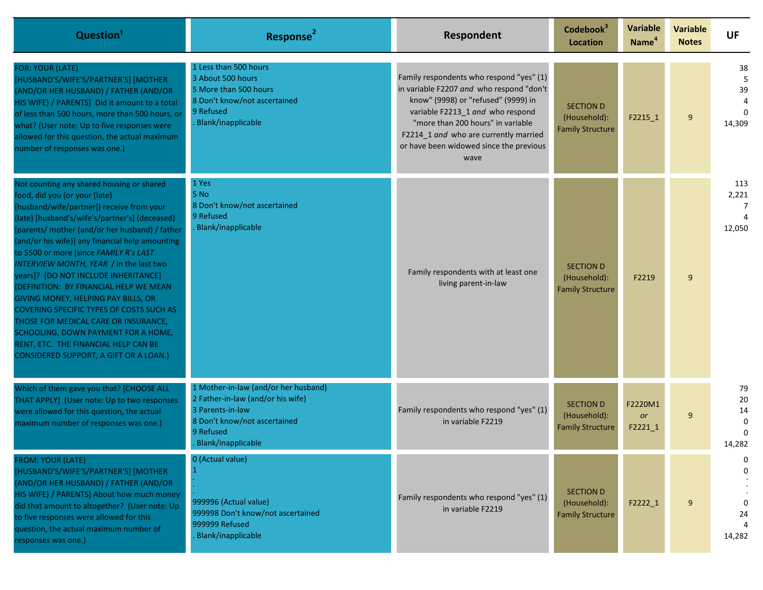| Question <sup>1</sup>                                                                                                                                                                                                                                                                                                                                                                                                                                                                                                                                                                                                                                                                                      | Response <sup>2</sup>                                                                                                                                            | Respondent                                                                                                                                                                                                                                                                                       | Codebook <sup>3</sup><br>Location                           | <b>Variable</b><br>Name <sup>4</sup> | <b>Variable</b><br><b>Notes</b> | <b>UF</b>                            |
|------------------------------------------------------------------------------------------------------------------------------------------------------------------------------------------------------------------------------------------------------------------------------------------------------------------------------------------------------------------------------------------------------------------------------------------------------------------------------------------------------------------------------------------------------------------------------------------------------------------------------------------------------------------------------------------------------------|------------------------------------------------------------------------------------------------------------------------------------------------------------------|--------------------------------------------------------------------------------------------------------------------------------------------------------------------------------------------------------------------------------------------------------------------------------------------------|-------------------------------------------------------------|--------------------------------------|---------------------------------|--------------------------------------|
| <b>FOR: YOUR (LATE)</b><br>[HUSBAND'S/WIFE'S/PARTNER'S] [MOTHER<br>(AND/OR HER HUSBAND) / FATHER (AND/OR<br>HIS WIFE) / PARENTS] Did it amount to a total<br>of less than 500 hours, more than 500 hours, or<br>what? (User note: Up to five responses were<br>allowed for this question, the actual maximum<br>number of responses was one.)                                                                                                                                                                                                                                                                                                                                                              | 1 Less than 500 hours<br>3 About 500 hours<br>5 More than 500 hours<br>8 Don't know/not ascertained<br>9 Refused<br>Blank/inapplicable                           | Family respondents who respond "yes" (1)<br>in variable F2207 and who respond "don't<br>know" (9998) or "refused" (9999) in<br>variable F2213_1 and who respond<br>"more than 200 hours" in variable<br>F2214 1 and who are currently married<br>or have been widowed since the previous<br>wave | <b>SECTION D</b><br>(Household):<br><b>Family Structure</b> | F2215_1                              | 9                               | 38<br>5<br>39<br>$\Omega$<br>14,309  |
| Not counting any shared housing or shared<br>food, did you (or your (late)<br>[husband/wife/partner]) receive from your<br>(late) [husband's/wife's/partner's] (deceased)<br>[parents/ mother (and/or her husband) / father<br>(and/or his wife)] any financial help amounting<br>to \$500 or more [since FAMILY R's LAST<br>INTERVIEW MONTH, YEAR / in the last two<br>years]? [DO NOT INCLUDE INHERITANCE]<br>(DEFINITION: BY FINANCIAL HELP WE MEAN<br>GIVING MONEY, HELPING PAY BILLS, OR<br>COVERING SPECIFIC TYPES OF COSTS SUCH AS<br>THOSE FOR MEDICAL CARE OR INSURANCE,<br>SCHOOLING, DOWN PAYMENT FOR A HOME,<br>RENT, ETC. THE FINANCIAL HELP CAN BE<br>CONSIDERED SUPPORT, A GIFT OR A LOAN.) | 1 Yes<br>5 No<br>8 Don't know/not ascertained<br>9 Refused<br>Blank/inapplicable                                                                                 | Family respondents with at least one<br>living parent-in-law                                                                                                                                                                                                                                     | <b>SECTION D</b><br>(Household):<br><b>Family Structure</b> | F2219                                | 9                               | 113<br>2,221<br>-7<br>12,050         |
| Which of them gave you that? [CHOOSE ALL<br>THAT APPLY] (User note: Up to two responses<br>were allowed for this question, the actual<br>maximum number of responses was one.)                                                                                                                                                                                                                                                                                                                                                                                                                                                                                                                             | 1 Mother-in-law (and/or her husband)<br>2 Father-in-law (and/or his wife)<br>3 Parents-in-law<br>8 Don't know/not ascertained<br>9 Refused<br>Blank/inapplicable | Family respondents who respond "yes" (1)<br>in variable F2219                                                                                                                                                                                                                                    | <b>SECTION D</b><br>(Household):<br><b>Family Structure</b> | F2220M1<br><b>or</b><br>$F2221_1$    | 9                               | 79<br>20<br>14<br>$\Omega$<br>14,282 |
| FROM: YOUR (LATE)<br>[HUSBAND'S/WIFE'S/PARTNER'S] [MOTHER<br>(AND/OR HER HUSBAND) / FATHER (AND/OR<br>HIS WIFE) / PARENTS] About how much money<br>did that amount to altogether? (User note: Up<br>to five responses were allowed for this<br>question, the actual maximum number of<br>responses was one.)                                                                                                                                                                                                                                                                                                                                                                                               | 0 (Actual value)<br>999996 (Actual value)<br>999998 Don't know/not ascertained<br>999999 Refused<br>Blank/inapplicable                                           | Family respondents who respond "yes" (1)<br>in variable F2219                                                                                                                                                                                                                                    | <b>SECTION D</b><br>(Household):<br><b>Family Structure</b> | F2222_1                              | 9                               | 0<br>0<br>24<br>4<br>14,282          |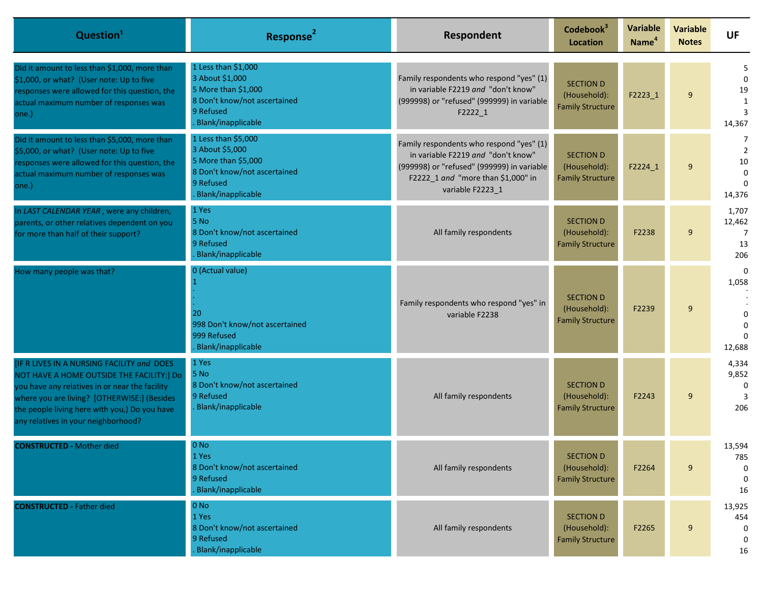| Question <sup>1</sup>                                                                                                                                                                                                                                                            | Response <sup>2</sup>                                                                                                            | Respondent                                                                                                                                                                             | Codebook <sup>3</sup><br>Location                           | <b>Variable</b><br>Name <sup>4</sup> | <b>Variable</b><br><b>Notes</b> | <b>UF</b>                                                   |
|----------------------------------------------------------------------------------------------------------------------------------------------------------------------------------------------------------------------------------------------------------------------------------|----------------------------------------------------------------------------------------------------------------------------------|----------------------------------------------------------------------------------------------------------------------------------------------------------------------------------------|-------------------------------------------------------------|--------------------------------------|---------------------------------|-------------------------------------------------------------|
| Did it amount to less than \$1,000, more than<br>\$1,000, or what? (User note: Up to five<br>responses were allowed for this question, the<br>actual maximum number of responses was<br>one.)                                                                                    | 1 Less than \$1,000<br>3 About \$1,000<br>5 More than \$1,000<br>8 Don't know/not ascertained<br>9 Refused<br>Blank/inapplicable | Family respondents who respond "yes" (1)<br>in variable F2219 and "don't know"<br>(999998) or "refused" (999999) in variable<br>F2222_1                                                | <b>SECTION D</b><br>(Household):<br><b>Family Structure</b> | F2223 1                              | 9                               | -5<br>$\Omega$<br>19<br>1<br>3<br>14,367                    |
| Did it amount to less than \$5,000, more than<br>\$5,000, or what? (User note: Up to five<br>responses were allowed for this question, the<br>actual maximum number of responses was<br>one.)                                                                                    | 1 Less than \$5,000<br>3 About \$5,000<br>5 More than \$5,000<br>8 Don't know/not ascertained<br>9 Refused<br>Blank/inapplicable | Family respondents who respond "yes" (1)<br>in variable F2219 and "don't know"<br>(999998) or "refused" (999999) in variable<br>F2222_1 and "more than \$1,000" in<br>variable F2223_1 | <b>SECTION D</b><br>(Household):<br><b>Family Structure</b> | F2224_1                              | 9                               | 7<br>$\overline{2}$<br>10<br>$\Omega$<br>$\Omega$<br>14,376 |
| In LAST CALENDAR YEAR, were any children,<br>parents, or other relatives dependent on you<br>for more than half of their support?                                                                                                                                                | 1 Yes<br>5 No<br>8 Don't know/not ascertained<br>9 Refused<br>Blank/inapplicable                                                 | All family respondents                                                                                                                                                                 | <b>SECTION D</b><br>(Household):<br><b>Family Structure</b> | F2238                                | 9                               | 1,707<br>12,462<br>7<br>13<br>206                           |
| How many people was that?                                                                                                                                                                                                                                                        | 0 (Actual value)<br>20<br>998 Don't know/not ascertained<br>999 Refused<br>Blank/inapplicable                                    | Family respondents who respond "yes" in<br>variable F2238                                                                                                                              | <b>SECTION D</b><br>(Household):<br><b>Family Structure</b> | F2239                                | 9                               | $\Omega$<br>1,058<br>$\Omega$<br>$\Omega$<br>12,688         |
| [IF R LIVES IN A NURSING FACILITY and DOES<br>NOT HAVE A HOME OUTSIDE THE FACILITY:] Do<br>you have any relatives in or near the facility<br>where you are living? [OTHERWISE:] (Besides<br>the people living here with you,) Do you have<br>any relatives in your neighborhood? | 1 Yes<br>5 No<br>8 Don't know/not ascertained<br>9 Refused<br>Blank/inapplicable                                                 | All family respondents                                                                                                                                                                 | <b>SECTION D</b><br>(Household):<br><b>Family Structure</b> | F2243                                | 9                               | 4,334<br>9,852<br>0<br>3<br>206                             |
| <b>CONSTRUCTED - Mother died</b>                                                                                                                                                                                                                                                 | $0$ No<br>1 Yes<br>8 Don't know/not ascertained<br>9 Refused<br>Blank/inapplicable                                               | All family respondents                                                                                                                                                                 | <b>SECTION D</b><br>(Household):<br><b>Family Structure</b> | F2264                                | 9                               | 13,594<br>785<br>0<br>0<br>16                               |
| <b>CONSTRUCTED - Father died</b>                                                                                                                                                                                                                                                 | $0$ No<br>1 Yes<br>8 Don't know/not ascertained<br>9 Refused<br>Blank/inapplicable                                               | All family respondents                                                                                                                                                                 | <b>SECTION D</b><br>(Household):<br><b>Family Structure</b> | F2265                                | 9                               | 13,925<br>454<br>$\mathbf{0}$<br>0<br>16                    |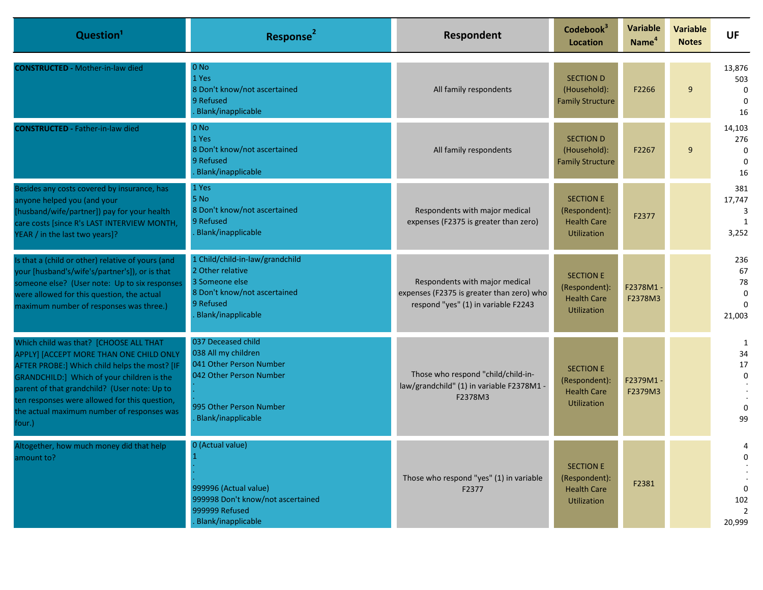| Question <sup>1</sup>                                                                                                                                                                                                                                                                                                                     | Response <sup>2</sup>                                                                                                                            | Respondent                                                                                                         | Codebook <sup>3</sup><br>Location                                             | Variable<br>Name <sup>4</sup> | <b>Variable</b><br><b>Notes</b> | <b>UF</b>                                            |
|-------------------------------------------------------------------------------------------------------------------------------------------------------------------------------------------------------------------------------------------------------------------------------------------------------------------------------------------|--------------------------------------------------------------------------------------------------------------------------------------------------|--------------------------------------------------------------------------------------------------------------------|-------------------------------------------------------------------------------|-------------------------------|---------------------------------|------------------------------------------------------|
| <b>CONSTRUCTED - Mother-in-law died</b>                                                                                                                                                                                                                                                                                                   | $0$ No<br>1 Yes<br>8 Don't know/not ascertained<br>9 Refused<br>Blank/inapplicable                                                               | All family respondents                                                                                             | <b>SECTION D</b><br>(Household):<br><b>Family Structure</b>                   | F2266                         | 9                               | 13,876<br>503<br>$\Omega$<br>$\Omega$<br>16          |
| <b>CONSTRUCTED - Father-in-law died</b>                                                                                                                                                                                                                                                                                                   | $0$ No<br>1 Yes<br>8 Don't know/not ascertained<br>9 Refused<br>Blank/inapplicable                                                               | All family respondents                                                                                             | <b>SECTION D</b><br>(Household):<br><b>Family Structure</b>                   | F2267                         | 9                               | 14,103<br>276<br>$\mathbf 0$<br>$\Omega$<br>16       |
| Besides any costs covered by insurance, has<br>anyone helped you (and your<br>[husband/wife/partner]) pay for your health<br>care costs [since R's LAST INTERVIEW MONTH,<br>YEAR / in the last two years]?                                                                                                                                | 1 Yes<br>5 No<br>8 Don't know/not ascertained<br>9 Refused<br>Blank/inapplicable                                                                 | Respondents with major medical<br>expenses (F2375 is greater than zero)                                            | <b>SECTION E</b><br>(Respondent):<br><b>Health Care</b><br><b>Utilization</b> | F2377                         |                                 | 381<br>17,747<br>3<br>1<br>3,252                     |
| Is that a (child or other) relative of yours (and<br>your [husband's/wife's/partner's]), or is that<br>someone else? (User note: Up to six responses<br>were allowed for this question, the actual<br>maximum number of responses was three.)                                                                                             | 1 Child/child-in-law/grandchild<br>2 Other relative<br>3 Someone else<br>8 Don't know/not ascertained<br>9 Refused<br>Blank/inapplicable         | Respondents with major medical<br>expenses (F2375 is greater than zero) who<br>respond "yes" (1) in variable F2243 | <b>SECTION E</b><br>(Respondent):<br><b>Health Care</b><br><b>Utilization</b> | F2378M1-<br>F2378M3           |                                 | 236<br>67<br>78<br>$\mathbf 0$<br>$\Omega$<br>21,003 |
| Which child was that? [CHOOSE ALL THAT<br>APPLY] [ACCEPT MORE THAN ONE CHILD ONLY<br>AFTER PROBE:] Which child helps the most? [IF<br>GRANDCHILD:] Which of your children is the<br>parent of that grandchild? (User note: Up to<br>ten responses were allowed for this question,<br>the actual maximum number of responses was<br>four.) | 037 Deceased child<br>038 All my children<br>041 Other Person Number<br>042 Other Person Number<br>995 Other Person Number<br>Blank/inapplicable | Those who respond "child/child-in-<br>law/grandchild" (1) in variable F2378M1 -<br>F2378M3                         | <b>SECTION E</b><br>(Respondent):<br><b>Health Care</b><br><b>Utilization</b> | F2379M1-<br>F2379M3           |                                 | 1<br>34<br>$17\,$<br>$\mathbf 0$<br>$\Omega$<br>99   |
| Altogether, how much money did that help<br>amount to?                                                                                                                                                                                                                                                                                    | 0 (Actual value)<br>999996 (Actual value)<br>999998 Don't know/not ascertained<br>999999 Refused<br>Blank/inapplicable                           | Those who respond "yes" (1) in variable<br>F2377                                                                   | <b>SECTION E</b><br>(Respondent):<br><b>Health Care</b><br>Utilization        | F2381                         |                                 | 4<br>0<br>0<br>102<br>$\overline{2}$<br>20,999       |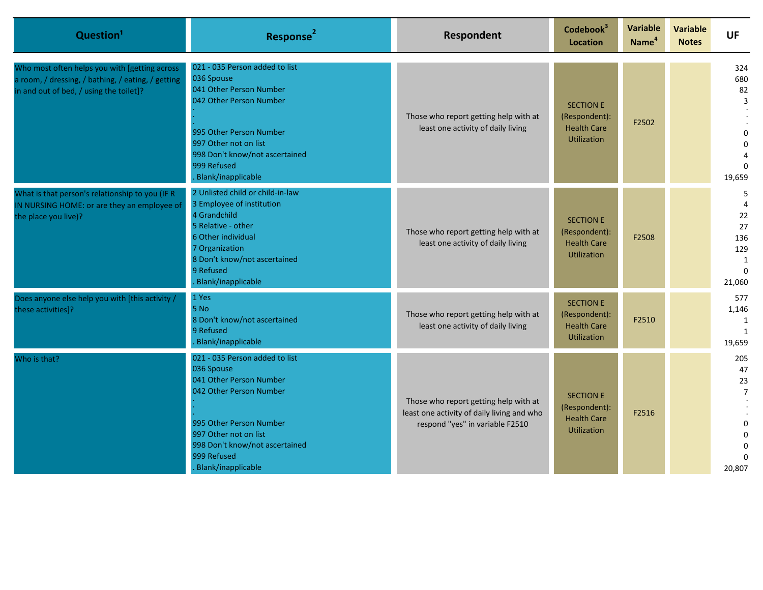| Question <sup>1</sup>                                                                                                                          | Response <sup>2</sup>                                                                                                                                                                                                         | Respondent                                                                                                             | Codebook <sup>3</sup><br><b>Location</b>                                      | Variable<br>Name <sup>4</sup> | Variable<br><b>Notes</b> | <b>UF</b>                                                           |
|------------------------------------------------------------------------------------------------------------------------------------------------|-------------------------------------------------------------------------------------------------------------------------------------------------------------------------------------------------------------------------------|------------------------------------------------------------------------------------------------------------------------|-------------------------------------------------------------------------------|-------------------------------|--------------------------|---------------------------------------------------------------------|
| Who most often helps you with [getting across<br>a room, / dressing, / bathing, / eating, / getting<br>in and out of bed, / using the toilet]? | 021 - 035 Person added to list<br>036 Spouse<br>041 Other Person Number<br>042 Other Person Number<br>995 Other Person Number<br>997 Other not on list<br>998 Don't know/not ascertained<br>999 Refused<br>Blank/inapplicable | Those who report getting help with at<br>least one activity of daily living                                            | <b>SECTION E</b><br>(Respondent):<br><b>Health Care</b><br><b>Utilization</b> | F2502                         |                          | 324<br>680<br>82<br>3<br>$\Omega$<br>$\Omega$<br>$\Omega$<br>19,659 |
| What is that person's relationship to you (IF R<br>IN NURSING HOME: or are they an employee of<br>the place you live)?                         | 2 Unlisted child or child-in-law<br>3 Employee of institution<br>4 Grandchild<br>5 Relative - other<br>6 Other individual<br>7 Organization<br>8 Don't know/not ascertained<br>9 Refused<br>Blank/inapplicable                | Those who report getting help with at<br>least one activity of daily living                                            | <b>SECTION E</b><br>(Respondent):<br><b>Health Care</b><br><b>Utilization</b> | F2508                         |                          | 5<br>22<br>27<br>136<br>129<br>1<br>$\Omega$<br>21,060              |
| Does anyone else help you with [this activity /<br>these activities]?                                                                          | 1 Yes<br>5 No<br>8 Don't know/not ascertained<br>9 Refused<br>Blank/inapplicable                                                                                                                                              | Those who report getting help with at<br>least one activity of daily living                                            | <b>SECTION E</b><br>(Respondent):<br><b>Health Care</b><br><b>Utilization</b> | F2510                         |                          | 577<br>1,146<br>1<br>1<br>19,659                                    |
| Who is that?                                                                                                                                   | 021 - 035 Person added to list<br>036 Spouse<br>041 Other Person Number<br>042 Other Person Number<br>995 Other Person Number<br>997 Other not on list<br>998 Don't know/not ascertained<br>999 Refused<br>Blank/inapplicable | Those who report getting help with at<br>least one activity of daily living and who<br>respond "yes" in variable F2510 | <b>SECTION E</b><br>(Respondent):<br><b>Health Care</b><br><b>Utilization</b> | F2516                         |                          | 205<br>47<br>23<br>$\overline{7}$<br>$\Omega$<br>20,807             |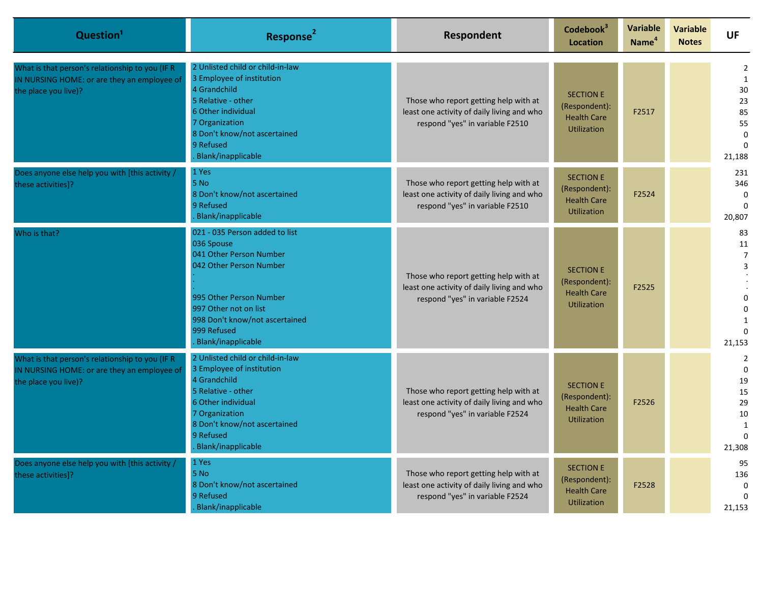| Question <sup>1</sup>                                                                                                  | Response <sup>2</sup>                                                                                                                                                                                                         | Respondent                                                                                                             | Codebook <sup>3</sup><br>Location                                             | <b>Variable</b><br>Name <sup>4</sup> | <b>Variable</b><br><b>Notes</b> | <b>UF</b>                                                                                |
|------------------------------------------------------------------------------------------------------------------------|-------------------------------------------------------------------------------------------------------------------------------------------------------------------------------------------------------------------------------|------------------------------------------------------------------------------------------------------------------------|-------------------------------------------------------------------------------|--------------------------------------|---------------------------------|------------------------------------------------------------------------------------------|
| What is that person's relationship to you (IF R<br>IN NURSING HOME: or are they an employee of<br>the place you live)? | 2 Unlisted child or child-in-law<br>3 Employee of institution<br>4 Grandchild<br>5 Relative - other<br>6 Other individual<br>7 Organization<br>8 Don't know/not ascertained<br>9 Refused<br>Blank/inapplicable                | Those who report getting help with at<br>least one activity of daily living and who<br>respond "yes" in variable F2510 | <b>SECTION E</b><br>(Respondent):<br><b>Health Care</b><br><b>Utilization</b> | F2517                                |                                 | 2<br>$\mathbf{1}$<br>30<br>23<br>85<br>55<br>$\Omega$<br>$\Omega$<br>21,188              |
| Does anyone else help you with [this activity /<br>these activities]?                                                  | 1 Yes<br>5 No<br>8 Don't know/not ascertained<br>9 Refused<br>Blank/inapplicable                                                                                                                                              | Those who report getting help with at<br>least one activity of daily living and who<br>respond "yes" in variable F2510 | <b>SECTION E</b><br>(Respondent):<br><b>Health Care</b><br><b>Utilization</b> | F2524                                |                                 | 231<br>346<br>0<br>20,807                                                                |
| Who is that?                                                                                                           | 021 - 035 Person added to list<br>036 Spouse<br>041 Other Person Number<br>042 Other Person Number<br>995 Other Person Number<br>997 Other not on list<br>998 Don't know/not ascertained<br>999 Refused<br>Blank/inapplicable | Those who report getting help with at<br>least one activity of daily living and who<br>respond "yes" in variable F2524 | <b>SECTION E</b><br>(Respondent):<br><b>Health Care</b><br><b>Utilization</b> | F2525                                |                                 | 83<br>11<br>$\overline{7}$<br>3<br>$\Omega$<br>$\Omega$<br>21,153                        |
| What is that person's relationship to you (IF R<br>IN NURSING HOME: or are they an employee of<br>the place you live)? | 2 Unlisted child or child-in-law<br>3 Employee of institution<br>4 Grandchild<br>5 Relative - other<br>6 Other individual<br>7 Organization<br>8 Don't know/not ascertained<br>9 Refused<br>Blank/inapplicable                | Those who report getting help with at<br>least one activity of daily living and who<br>respond "yes" in variable F2524 | <b>SECTION E</b><br>(Respondent):<br><b>Health Care</b><br><b>Utilization</b> | F2526                                |                                 | $\overline{2}$<br>$\Omega$<br>19<br>15<br>29<br>10<br>$\mathbf{1}$<br>$\Omega$<br>21,308 |
| Does anyone else help you with [this activity /<br>these activities]?                                                  | 1 Yes<br>5 No<br>8 Don't know/not ascertained<br>9 Refused<br>Blank/inapplicable                                                                                                                                              | Those who report getting help with at<br>least one activity of daily living and who<br>respond "yes" in variable F2524 | <b>SECTION E</b><br>(Respondent):<br><b>Health Care</b><br><b>Utilization</b> | F2528                                |                                 | 95<br>136<br>$\Omega$<br>21,153                                                          |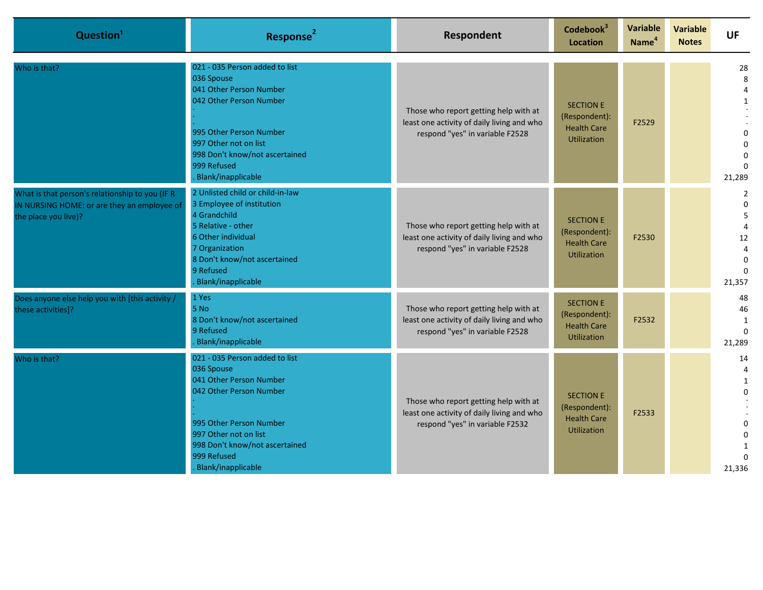| Question <sup>1</sup>                                                                                                  | Response <sup>2</sup>                                                                                                                                                                                                         | Respondent                                                                                                             | Codebook <sup>3</sup><br><b>Location</b>                                      | Variable<br>Name <sup>4</sup> | Variable<br><b>Notes</b> | <b>UF</b>                                                            |
|------------------------------------------------------------------------------------------------------------------------|-------------------------------------------------------------------------------------------------------------------------------------------------------------------------------------------------------------------------------|------------------------------------------------------------------------------------------------------------------------|-------------------------------------------------------------------------------|-------------------------------|--------------------------|----------------------------------------------------------------------|
| Who is that?                                                                                                           | 021 - 035 Person added to list<br>036 Spouse<br>041 Other Person Number<br>042 Other Person Number<br>995 Other Person Number<br>997 Other not on list<br>998 Don't know/not ascertained<br>999 Refused<br>Blank/inapplicable | Those who report getting help with at<br>least one activity of daily living and who<br>respond "yes" in variable F2528 | <b>SECTION E</b><br>(Respondent):<br><b>Health Care</b><br><b>Utilization</b> | F2529                         |                          | 28<br>8<br>4<br>$\Omega$<br>$\Omega$<br>21,289                       |
| What is that person's relationship to you (IF R<br>IN NURSING HOME: or are they an employee of<br>the place you live)? | 2 Unlisted child or child-in-law<br>3 Employee of institution<br>4 Grandchild<br>5 Relative - other<br>6 Other individual<br>7 Organization<br>8 Don't know/not ascertained<br>9 Refused<br>Blank/inapplicable                | Those who report getting help with at<br>least one activity of daily living and who<br>respond "yes" in variable F2528 | <b>SECTION E</b><br>(Respondent):<br><b>Health Care</b><br><b>Utilization</b> | F2530                         |                          | $\overline{2}$<br>$\Omega$<br>5<br>12<br>4<br>$\mathbf{0}$<br>21,357 |
| Does anyone else help you with [this activity /<br>these activities]?                                                  | 1 Yes<br>5 No<br>8 Don't know/not ascertained<br>9 Refused<br>Blank/inapplicable                                                                                                                                              | Those who report getting help with at<br>least one activity of daily living and who<br>respond "yes" in variable F2528 | <b>SECTION E</b><br>(Respondent):<br><b>Health Care</b><br>Utilization        | F2532                         |                          | 48<br>46<br>$\mathbf{1}$<br>$\Omega$<br>21,289                       |
| Who is that?                                                                                                           | 021 - 035 Person added to list<br>036 Spouse<br>041 Other Person Number<br>042 Other Person Number<br>995 Other Person Number<br>997 Other not on list<br>998 Don't know/not ascertained<br>999 Refused<br>Blank/inapplicable | Those who report getting help with at<br>least one activity of daily living and who<br>respond "yes" in variable F2532 | <b>SECTION E</b><br>(Respondent):<br><b>Health Care</b><br><b>Utilization</b> | F2533                         |                          | 14<br>$\mathbf{1}$<br>$\Omega$<br>$\Omega$<br>$\mathbf{1}$<br>21,336 |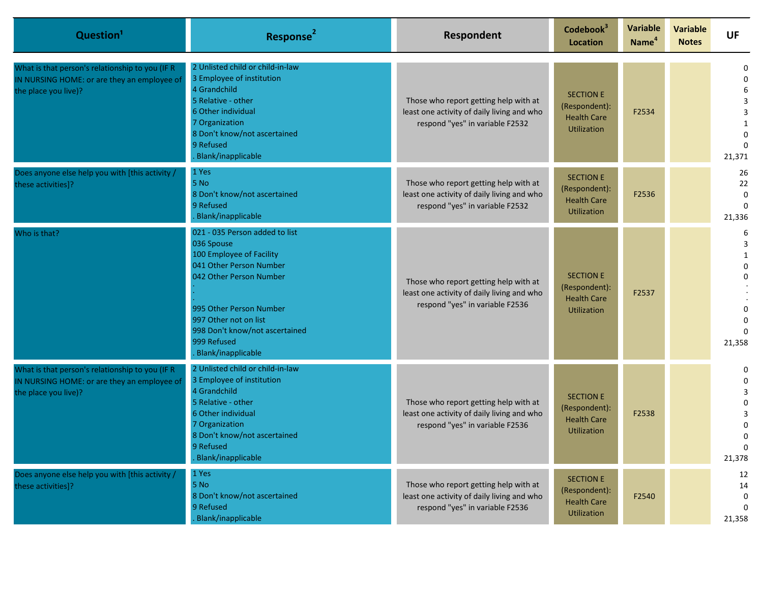| Question <sup>1</sup>                                                                                                  | Response <sup>2</sup>                                                                                                                                                                                                                                     | Respondent                                                                                                             | Codebook <sup>3</sup><br>Location                                             | Variable<br>Name <sup>4</sup> | <b>Variable</b><br><b>Notes</b> | <b>UF</b>                                                 |
|------------------------------------------------------------------------------------------------------------------------|-----------------------------------------------------------------------------------------------------------------------------------------------------------------------------------------------------------------------------------------------------------|------------------------------------------------------------------------------------------------------------------------|-------------------------------------------------------------------------------|-------------------------------|---------------------------------|-----------------------------------------------------------|
| What is that person's relationship to you (IF R<br>IN NURSING HOME: or are they an employee of<br>the place you live)? | 2 Unlisted child or child-in-law<br>3 Employee of institution<br>4 Grandchild<br>5 Relative - other<br>6 Other individual<br>7 Organization<br>8 Don't know/not ascertained<br>9 Refused<br>Blank/inapplicable                                            | Those who report getting help with at<br>least one activity of daily living and who<br>respond "yes" in variable F2532 | <b>SECTION E</b><br>(Respondent):<br><b>Health Care</b><br><b>Utilization</b> | F2534                         |                                 | 0<br>3<br>3<br>1<br>21,371                                |
| Does anyone else help you with [this activity /<br>these activities]?                                                  | 1 Yes<br>5 No<br>8 Don't know/not ascertained<br>9 Refused<br>Blank/inapplicable                                                                                                                                                                          | Those who report getting help with at<br>least one activity of daily living and who<br>respond "yes" in variable F2532 | <b>SECTION E</b><br>(Respondent):<br><b>Health Care</b><br><b>Utilization</b> | F2536                         |                                 | 26<br>22<br>$\Omega$<br>21,336                            |
| Who is that?                                                                                                           | 021 - 035 Person added to list<br>036 Spouse<br>100 Employee of Facility<br>041 Other Person Number<br>042 Other Person Number<br>995 Other Person Number<br>997 Other not on list<br>998 Don't know/not ascertained<br>999 Refused<br>Blank/inapplicable | Those who report getting help with at<br>least one activity of daily living and who<br>respond "yes" in variable F2536 | <b>SECTION E</b><br>(Respondent):<br><b>Health Care</b><br><b>Utilization</b> | F2537                         |                                 | 6<br>3<br>1<br>0<br>0<br>21,358                           |
| What is that person's relationship to you (IF R<br>IN NURSING HOME: or are they an employee of<br>the place you live)? | 2 Unlisted child or child-in-law<br>3 Employee of institution<br>4 Grandchild<br>5 Relative - other<br>6 Other individual<br>7 Organization<br>8 Don't know/not ascertained<br>9 Refused<br>Blank/inapplicable                                            | Those who report getting help with at<br>least one activity of daily living and who<br>respond "yes" in variable F2536 | <b>SECTION E</b><br>(Respondent):<br><b>Health Care</b><br><b>Utilization</b> | F2538                         |                                 | 0<br>$\Omega$<br>$\Omega$<br>3<br>0<br>$\Omega$<br>21,378 |
| Does anyone else help you with [this activity /<br>these activities]?                                                  | 1 Yes<br>$5$ No<br>8 Don't know/not ascertained<br>9 Refused<br>Blank/inapplicable                                                                                                                                                                        | Those who report getting help with at<br>least one activity of daily living and who<br>respond "yes" in variable F2536 | <b>SECTION E</b><br>(Respondent):<br><b>Health Care</b><br>Utilization        | F2540                         |                                 | 12<br>14<br>0<br>21,358                                   |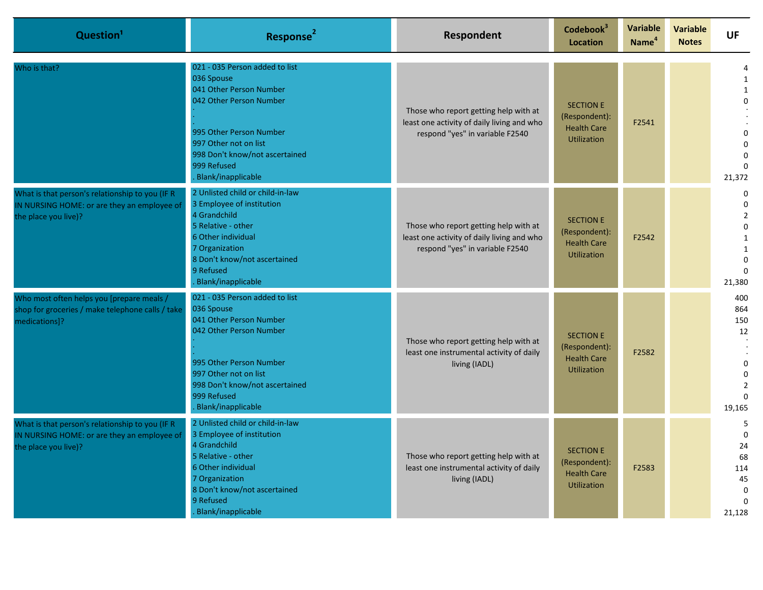| Question <sup>1</sup>                                                                                                  | Response <sup>2</sup>                                                                                                                                                                                                         | Respondent                                                                                                             | Codebook <sup>3</sup><br><b>Location</b>                                      | Variable<br>Name <sup>4</sup> | <b>Variable</b><br><b>Notes</b> | <b>UF</b>                                                                                         |
|------------------------------------------------------------------------------------------------------------------------|-------------------------------------------------------------------------------------------------------------------------------------------------------------------------------------------------------------------------------|------------------------------------------------------------------------------------------------------------------------|-------------------------------------------------------------------------------|-------------------------------|---------------------------------|---------------------------------------------------------------------------------------------------|
| Who is that?                                                                                                           | 021 - 035 Person added to list<br>036 Spouse<br>041 Other Person Number<br>042 Other Person Number<br>995 Other Person Number<br>997 Other not on list<br>998 Don't know/not ascertained<br>999 Refused<br>Blank/inapplicable | Those who report getting help with at<br>least one activity of daily living and who<br>respond "yes" in variable F2540 | <b>SECTION E</b><br>(Respondent):<br><b>Health Care</b><br><b>Utilization</b> | F2541                         |                                 | 1<br>$\mathbf{1}$<br>$\Omega$<br>$\Omega$<br>$\Omega$<br>21,372                                   |
| What is that person's relationship to you (IF R<br>IN NURSING HOME: or are they an employee of<br>the place you live)? | 2 Unlisted child or child-in-law<br>3 Employee of institution<br>4 Grandchild<br>5 Relative - other<br>6 Other individual<br>7 Organization<br>8 Don't know/not ascertained<br>9 Refused<br>Blank/inapplicable                | Those who report getting help with at<br>least one activity of daily living and who<br>respond "yes" in variable F2540 | <b>SECTION E</b><br>(Respondent):<br><b>Health Care</b><br><b>Utilization</b> | F2542                         |                                 | 0<br>$\Omega$<br>$\overline{2}$<br>$\Omega$<br>$\mathbf{1}$<br>$\mathbf{1}$<br>$\Omega$<br>21,380 |
| Who most often helps you [prepare meals /<br>shop for groceries / make telephone calls / take<br>medications]?         | 021 - 035 Person added to list<br>036 Spouse<br>041 Other Person Number<br>042 Other Person Number<br>995 Other Person Number<br>997 Other not on list<br>998 Don't know/not ascertained<br>999 Refused<br>Blank/inapplicable | Those who report getting help with at<br>least one instrumental activity of daily<br>living (IADL)                     | <b>SECTION E</b><br>(Respondent):<br><b>Health Care</b><br><b>Utilization</b> | F2582                         |                                 | 400<br>864<br>150<br>12<br>$\Omega$<br>$\Omega$<br>$\Omega$<br>19,165                             |
| What is that person's relationship to you (IF R<br>IN NURSING HOME: or are they an employee of<br>the place you live)? | 2 Unlisted child or child-in-law<br>3 Employee of institution<br>4 Grandchild<br>5 Relative - other<br>6 Other individual<br>7 Organization<br>8 Don't know/not ascertained<br>9 Refused<br>Blank/inapplicable                | Those who report getting help with at<br>least one instrumental activity of daily<br>living (IADL)                     | <b>SECTION E</b><br>(Respondent):<br><b>Health Care</b><br><b>Utilization</b> | F2583                         |                                 | 5<br>$\Omega$<br>24<br>68<br>114<br>45<br>$\mathbf 0$<br>$\Omega$<br>21,128                       |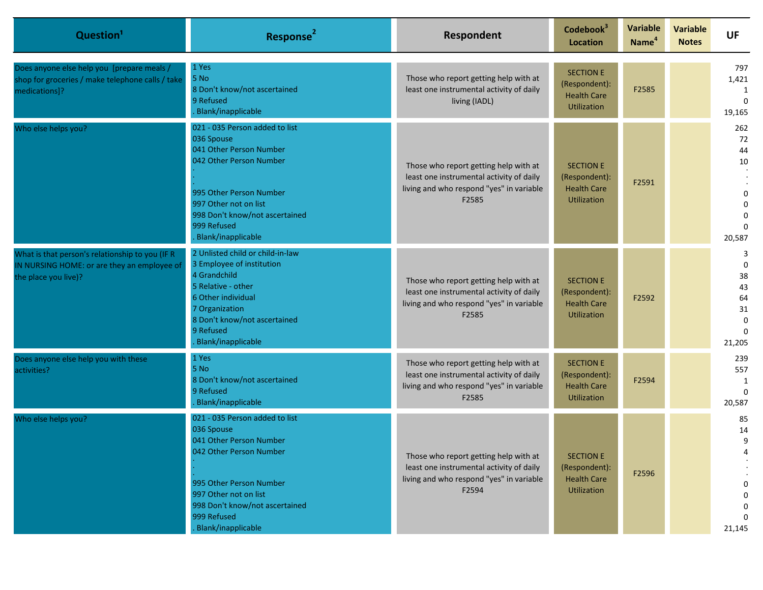| Question <sup>1</sup>                                                                                                  | Response <sup>2</sup>                                                                                                                                                                                                         | Respondent                                                                                                                             | Codebook <sup>3</sup><br><b>Location</b>                                      | <b>Variable</b><br>Name <sup>4</sup> | <b>Variable</b><br><b>Notes</b> | <b>UF</b>                                                   |
|------------------------------------------------------------------------------------------------------------------------|-------------------------------------------------------------------------------------------------------------------------------------------------------------------------------------------------------------------------------|----------------------------------------------------------------------------------------------------------------------------------------|-------------------------------------------------------------------------------|--------------------------------------|---------------------------------|-------------------------------------------------------------|
| Does anyone else help you [prepare meals /<br>shop for groceries / make telephone calls / take<br>medications]?        | 1 Yes<br>5 No<br>8 Don't know/not ascertained<br>9 Refused<br>Blank/inapplicable                                                                                                                                              | Those who report getting help with at<br>least one instrumental activity of daily<br>living (IADL)                                     | <b>SECTION E</b><br>(Respondent):<br><b>Health Care</b><br><b>Utilization</b> | F2585                                |                                 | 797<br>1,421<br>19,165                                      |
| Who else helps you?                                                                                                    | 021 - 035 Person added to list<br>036 Spouse<br>041 Other Person Number<br>042 Other Person Number<br>995 Other Person Number<br>997 Other not on list<br>998 Don't know/not ascertained<br>999 Refused<br>Blank/inapplicable | Those who report getting help with at<br>least one instrumental activity of daily<br>living and who respond "yes" in variable<br>F2585 | <b>SECTION E</b><br>(Respondent):<br><b>Health Care</b><br><b>Utilization</b> | F2591                                |                                 | 262<br>72<br>44<br>$10\,$<br>$\Omega$<br>20,587             |
| What is that person's relationship to you (IF R<br>IN NURSING HOME: or are they an employee of<br>the place you live)? | 2 Unlisted child or child-in-law<br>3 Employee of institution<br>4 Grandchild<br>5 Relative - other<br>6 Other individual<br>7 Organization<br>8 Don't know/not ascertained<br>9 Refused<br>Blank/inapplicable                | Those who report getting help with at<br>least one instrumental activity of daily<br>living and who respond "yes" in variable<br>F2585 | <b>SECTION E</b><br>(Respondent):<br><b>Health Care</b><br><b>Utilization</b> | F2592                                |                                 | 3<br>$\Omega$<br>38<br>43<br>64<br>31<br>$\Omega$<br>21,205 |
| Does anyone else help you with these<br>activities?                                                                    | 1 Yes<br>5 No<br>8 Don't know/not ascertained<br>9 Refused<br>Blank/inapplicable                                                                                                                                              | Those who report getting help with at<br>least one instrumental activity of daily<br>living and who respond "yes" in variable<br>F2585 | <b>SECTION E</b><br>(Respondent):<br><b>Health Care</b><br><b>Utilization</b> | F2594                                |                                 | 239<br>557<br>1<br>20,587                                   |
| Who else helps you?                                                                                                    | 021 - 035 Person added to list<br>036 Spouse<br>041 Other Person Number<br>042 Other Person Number<br>995 Other Person Number<br>997 Other not on list<br>998 Don't know/not ascertained<br>999 Refused<br>Blank/inapplicable | Those who report getting help with at<br>least one instrumental activity of daily<br>living and who respond "yes" in variable<br>F2594 | <b>SECTION E</b><br>(Respondent):<br><b>Health Care</b><br>Utilization        | F2596                                |                                 | 85<br>14<br>9<br>21,145                                     |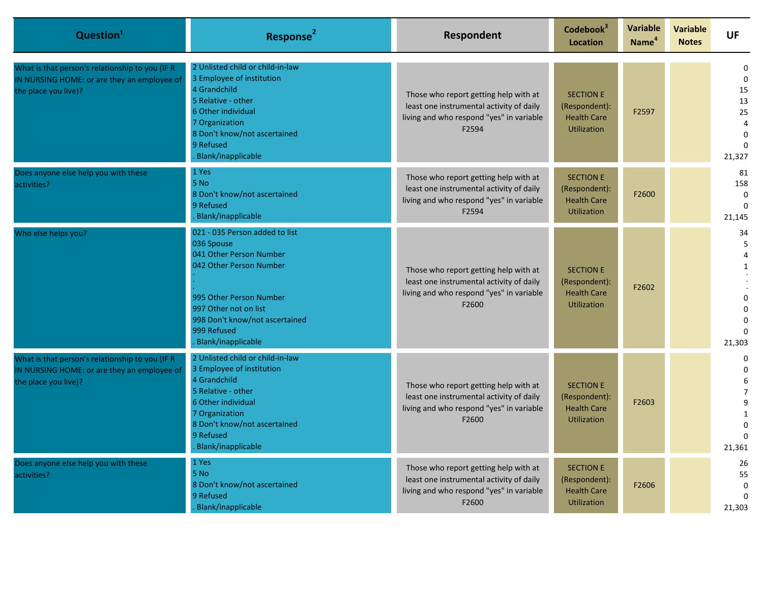| Question <sup>1</sup>                                                                                                  | Response <sup>2</sup>                                                                                                                                                                                                         | Respondent                                                                                                                             | Codebook <sup>3</sup><br><b>Location</b>                                      | <b>Variable</b><br>Name <sup>4</sup> | <b>Variable</b><br><b>Notes</b> | <b>UF</b>                                                             |
|------------------------------------------------------------------------------------------------------------------------|-------------------------------------------------------------------------------------------------------------------------------------------------------------------------------------------------------------------------------|----------------------------------------------------------------------------------------------------------------------------------------|-------------------------------------------------------------------------------|--------------------------------------|---------------------------------|-----------------------------------------------------------------------|
| What is that person's relationship to you (IF R<br>IN NURSING HOME: or are they an employee of<br>the place you live)? | 2 Unlisted child or child-in-law<br>3 Employee of institution<br>4 Grandchild<br>5 Relative - other<br>6 Other individual<br>7 Organization<br>8 Don't know/not ascertained<br>9 Refused<br>Blank/inapplicable                | Those who report getting help with at<br>least one instrumental activity of daily<br>living and who respond "yes" in variable<br>F2594 | <b>SECTION E</b><br>(Respondent):<br><b>Health Care</b><br><b>Utilization</b> | F2597                                |                                 | $\mathbf 0$<br>15<br>13<br>25<br>$\overline{4}$<br>$\Omega$<br>21,327 |
| Does anyone else help you with these<br>activities?                                                                    | 1 Yes<br>5 No<br>8 Don't know/not ascertained<br>9 Refused<br>Blank/inapplicable                                                                                                                                              | Those who report getting help with at<br>least one instrumental activity of daily<br>living and who respond "yes" in variable<br>F2594 | <b>SECTION E</b><br>(Respondent):<br><b>Health Care</b><br><b>Utilization</b> | F2600                                |                                 | 81<br>158<br>$\Omega$<br>21,145                                       |
| Who else helps you?                                                                                                    | 021 - 035 Person added to list<br>036 Spouse<br>041 Other Person Number<br>042 Other Person Number<br>995 Other Person Number<br>997 Other not on list<br>998 Don't know/not ascertained<br>999 Refused<br>Blank/inapplicable | Those who report getting help with at<br>least one instrumental activity of daily<br>living and who respond "yes" in variable<br>F2600 | <b>SECTION E</b><br>(Respondent):<br><b>Health Care</b><br><b>Utilization</b> | F2602                                |                                 | 34<br>5<br>4<br>$\mathbf{1}$<br>$\Omega$<br>21,303                    |
| What is that person's relationship to you (IF R<br>IN NURSING HOME: or are they an employee of<br>the place you live)? | 2 Unlisted child or child-in-law<br>3 Employee of institution<br>4 Grandchild<br>5 Relative - other<br><b>6 Other individual</b><br>7 Organization<br>8 Don't know/not ascertained<br>9 Refused<br>Blank/inapplicable         | Those who report getting help with at<br>least one instrumental activity of daily<br>living and who respond "yes" in variable<br>F2600 | <b>SECTION E</b><br>(Respondent):<br><b>Health Care</b><br><b>Utilization</b> | F2603                                |                                 | $\Omega$<br>$\Omega$<br>6<br>$\overline{7}$<br>9<br>1<br>21,361       |
| Does anyone else help you with these<br>activities?                                                                    | 1 Yes<br>5 No<br>8 Don't know/not ascertained<br>9 Refused<br>Blank/inapplicable                                                                                                                                              | Those who report getting help with at<br>least one instrumental activity of daily<br>living and who respond "yes" in variable<br>F2600 | <b>SECTION E</b><br>(Respondent):<br><b>Health Care</b><br><b>Utilization</b> | F2606                                |                                 | 26<br>55<br>$\Omega$<br>21,303                                        |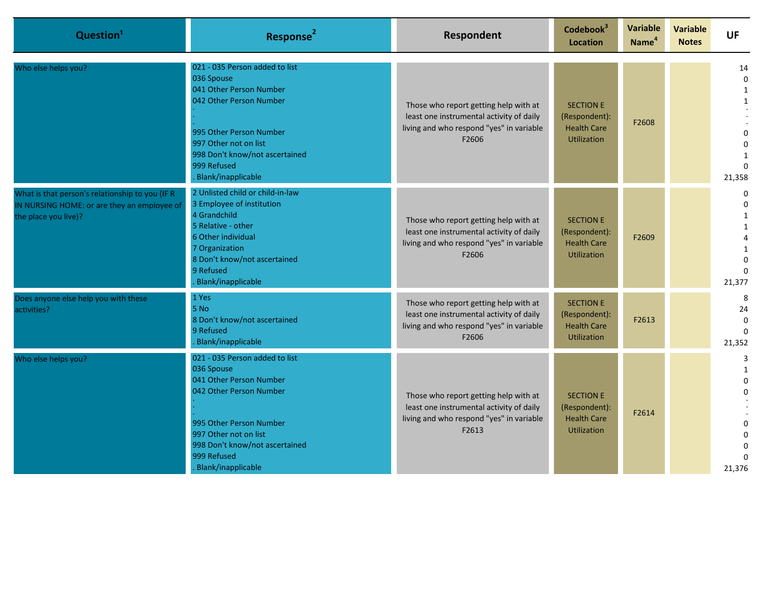| Question <sup>1</sup>                                                                                                  | Response <sup>2</sup>                                                                                                                                                                                                         | Respondent                                                                                                                             | Codebook <sup>3</sup><br><b>Location</b>                                      | Variable<br>Name <sup>4</sup> | Variable<br><b>Notes</b> | <b>UF</b>                                                           |
|------------------------------------------------------------------------------------------------------------------------|-------------------------------------------------------------------------------------------------------------------------------------------------------------------------------------------------------------------------------|----------------------------------------------------------------------------------------------------------------------------------------|-------------------------------------------------------------------------------|-------------------------------|--------------------------|---------------------------------------------------------------------|
| Who else helps you?                                                                                                    | 021 - 035 Person added to list<br>036 Spouse<br>041 Other Person Number<br>042 Other Person Number<br>995 Other Person Number<br>997 Other not on list<br>998 Don't know/not ascertained<br>999 Refused<br>Blank/inapplicable | Those who report getting help with at<br>least one instrumental activity of daily<br>living and who respond "yes" in variable<br>F2606 | <b>SECTION E</b><br>(Respondent):<br><b>Health Care</b><br><b>Utilization</b> | F2608                         |                          | 14<br>$\mathbf 0$<br>$\mathbf{1}$<br>$\Omega$<br>$\Omega$<br>21,358 |
| What is that person's relationship to you (IF R<br>IN NURSING HOME: or are they an employee of<br>the place you live)? | 2 Unlisted child or child-in-law<br>3 Employee of institution<br>4 Grandchild<br>5 Relative - other<br>6 Other individual<br>7 Organization<br>8 Don't know/not ascertained<br>9 Refused<br>Blank/inapplicable                | Those who report getting help with at<br>least one instrumental activity of daily<br>living and who respond "yes" in variable<br>F2606 | <b>SECTION E</b><br>(Respondent):<br><b>Health Care</b><br><b>Utilization</b> | F2609                         |                          | $\mathbf 0$<br>$\Omega$<br>$\mathbf{1}$<br>$\Omega$<br>21,377       |
| Does anyone else help you with these<br>activities?                                                                    | 1 Yes<br>5 No<br>8 Don't know/not ascertained<br>9 Refused<br>Blank/inapplicable                                                                                                                                              | Those who report getting help with at<br>least one instrumental activity of daily<br>living and who respond "yes" in variable<br>F2606 | <b>SECTION E</b><br>(Respondent):<br><b>Health Care</b><br><b>Utilization</b> | F2613                         |                          | 8<br>24<br>$\Omega$<br>21,352                                       |
| Who else helps you?                                                                                                    | 021 - 035 Person added to list<br>036 Spouse<br>041 Other Person Number<br>042 Other Person Number<br>995 Other Person Number<br>997 Other not on list<br>998 Don't know/not ascertained<br>999 Refused<br>Blank/inapplicable | Those who report getting help with at<br>least one instrumental activity of daily<br>living and who respond "yes" in variable<br>F2613 | <b>SECTION E</b><br>(Respondent):<br><b>Health Care</b><br><b>Utilization</b> | F2614                         |                          | 3<br>$\mathbf{1}$<br>$\Omega$<br>$\Omega$<br>21,376                 |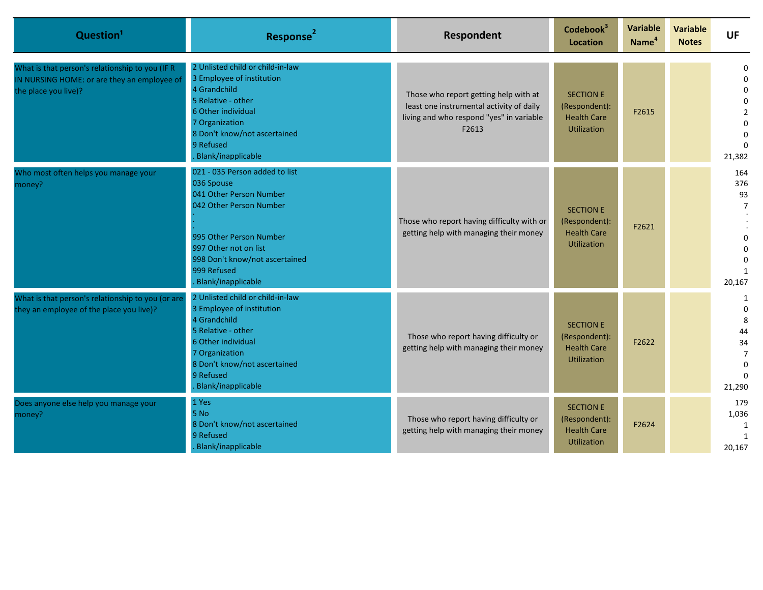| Question <sup>1</sup>                                                                                                  | Response <sup>2</sup>                                                                                                                                                                                                         | Respondent                                                                                                                             | Codebook <sup>3</sup><br>Location                                             | Variable<br>Name <sup>4</sup> | <b>Variable</b><br><b>Notes</b> | <b>UF</b>                                                                                        |
|------------------------------------------------------------------------------------------------------------------------|-------------------------------------------------------------------------------------------------------------------------------------------------------------------------------------------------------------------------------|----------------------------------------------------------------------------------------------------------------------------------------|-------------------------------------------------------------------------------|-------------------------------|---------------------------------|--------------------------------------------------------------------------------------------------|
| What is that person's relationship to you (IF R<br>IN NURSING HOME: or are they an employee of<br>the place you live)? | 2 Unlisted child or child-in-law<br>3 Employee of institution<br>4 Grandchild<br>5 Relative - other<br>6 Other individual<br>7 Organization<br>8 Don't know/not ascertained<br>9 Refused<br>Blank/inapplicable                | Those who report getting help with at<br>least one instrumental activity of daily<br>living and who respond "yes" in variable<br>F2613 | <b>SECTION E</b><br>(Respondent):<br><b>Health Care</b><br>Utilization        | F2615                         |                                 | <sup>0</sup><br><sup>0</sup><br><sup>0</sup><br>$\overline{2}$<br>$\Omega$<br>$\Omega$<br>21,382 |
| Who most often helps you manage your<br>money?                                                                         | 021 - 035 Person added to list<br>036 Spouse<br>041 Other Person Number<br>042 Other Person Number<br>995 Other Person Number<br>997 Other not on list<br>998 Don't know/not ascertained<br>999 Refused<br>Blank/inapplicable | Those who report having difficulty with or<br>getting help with managing their money                                                   | <b>SECTION E</b><br>(Respondent):<br><b>Health Care</b><br><b>Utilization</b> | F2621                         |                                 | 164<br>376<br>93<br>$\overline{7}$<br>20,167                                                     |
| What is that person's relationship to you (or are<br>they an employee of the place you live)?                          | 2 Unlisted child or child-in-law<br>3 Employee of institution<br>4 Grandchild<br>5 Relative - other<br>6 Other individual<br>7 Organization<br>8 Don't know/not ascertained<br>9 Refused<br>Blank/inapplicable                | Those who report having difficulty or<br>getting help with managing their money                                                        | <b>SECTION E</b><br>(Respondent):<br><b>Health Care</b><br><b>Utilization</b> | F2622                         |                                 | 1<br>$\Omega$<br>8<br>44<br>34<br>$\overline{7}$<br>$\Omega$<br>21,290                           |
| Does anyone else help you manage your<br>money?                                                                        | 1 Yes<br>5 No<br>8 Don't know/not ascertained<br>9 Refused<br>Blank/inapplicable                                                                                                                                              | Those who report having difficulty or<br>getting help with managing their money                                                        | <b>SECTION E</b><br>(Respondent):<br><b>Health Care</b><br><b>Utilization</b> | F2624                         |                                 | 179<br>1,036<br>1<br>20,167                                                                      |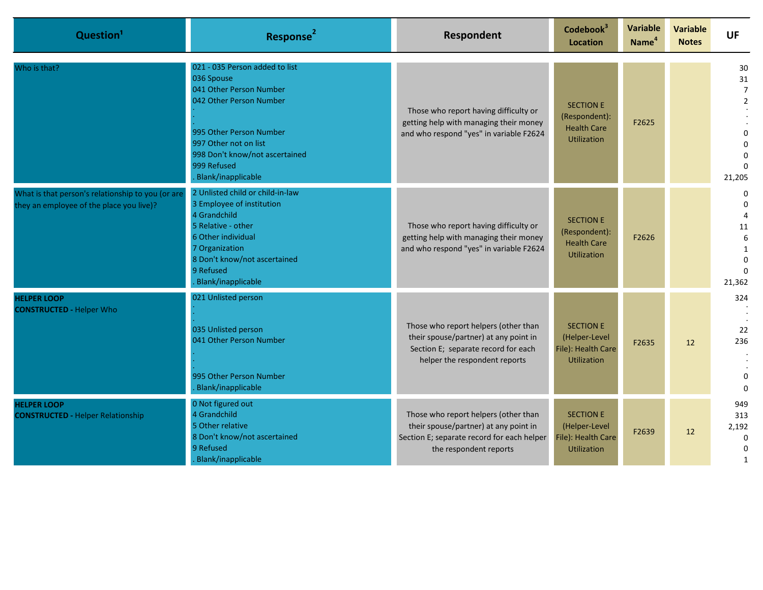| Question <sup>1</sup>                                                                         | Response <sup>2</sup>                                                                                                                                                                                                         | Respondent                                                                                                                                            | Codebook <sup>3</sup><br><b>Location</b>                                      | <b>Variable</b><br>Name <sup>4</sup> | <b>Variable</b><br><b>Notes</b> | <b>UF</b>                                                               |
|-----------------------------------------------------------------------------------------------|-------------------------------------------------------------------------------------------------------------------------------------------------------------------------------------------------------------------------------|-------------------------------------------------------------------------------------------------------------------------------------------------------|-------------------------------------------------------------------------------|--------------------------------------|---------------------------------|-------------------------------------------------------------------------|
| Who is that?                                                                                  | 021 - 035 Person added to list<br>036 Spouse<br>041 Other Person Number<br>042 Other Person Number<br>995 Other Person Number<br>997 Other not on list<br>998 Don't know/not ascertained<br>999 Refused<br>Blank/inapplicable | Those who report having difficulty or<br>getting help with managing their money<br>and who respond "yes" in variable F2624                            | <b>SECTION E</b><br>(Respondent):<br><b>Health Care</b><br><b>Utilization</b> | F2625                                |                                 | 30<br>31<br>$\overline{7}$<br>$\overline{2}$<br>$\Omega$<br>21,205      |
| What is that person's relationship to you (or are<br>they an employee of the place you live)? | 2 Unlisted child or child-in-law<br>3 Employee of institution<br>4 Grandchild<br>5 Relative - other<br>6 Other individual<br>7 Organization<br>8 Don't know/not ascertained<br>9 Refused<br>Blank/inapplicable                | Those who report having difficulty or<br>getting help with managing their money<br>and who respond "yes" in variable F2624                            | <b>SECTION E</b><br>(Respondent):<br><b>Health Care</b><br><b>Utilization</b> | F2626                                |                                 | $\Omega$<br>$\Omega$<br>$\overline{4}$<br>11<br>6<br>$\Omega$<br>21,362 |
| <b>HELPER LOOP</b><br><b>CONSTRUCTED - Helper Who</b>                                         | 021 Unlisted person<br>035 Unlisted person<br>041 Other Person Number<br>995 Other Person Number<br>Blank/inapplicable                                                                                                        | Those who report helpers (other than<br>their spouse/partner) at any point in<br>Section E; separate record for each<br>helper the respondent reports | <b>SECTION E</b><br>(Helper-Level<br>File): Health Care<br><b>Utilization</b> | F2635                                | 12                              | 324<br>22<br>236<br>$\Omega$<br>$\Omega$                                |
| <b>HELPER LOOP</b><br><b>CONSTRUCTED - Helper Relationship</b>                                | 0 Not figured out<br>4 Grandchild<br>5 Other relative<br>8 Don't know/not ascertained<br>9 Refused<br>Blank/inapplicable                                                                                                      | Those who report helpers (other than<br>their spouse/partner) at any point in<br>Section E; separate record for each helper<br>the respondent reports | <b>SECTION E</b><br>(Helper-Level<br>File): Health Care<br><b>Utilization</b> | F2639                                | 12                              | 949<br>313<br>2,192<br>$\mathbf 0$<br>$\Omega$<br>1                     |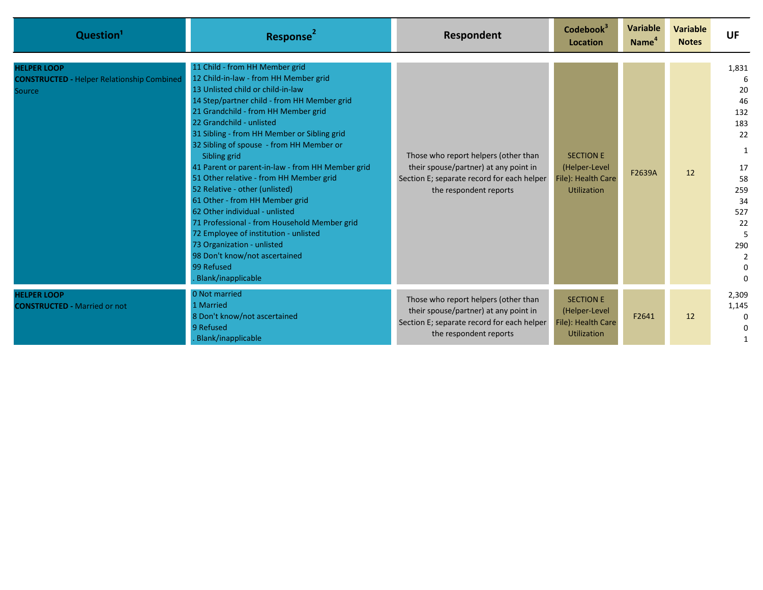| Question <sup>1</sup>                                                             | Response <sup>2</sup>                                                                                                                                                                                                                                                                                                                                                                                                                                                                                                                                                                                                                                                                                                                             | Respondent                                                                                                                                            | Codebook <sup>3</sup><br>Location                                             | <b>Variable</b><br>Name <sup>4</sup> | <b>Variable</b><br><b>Notes</b> | <b>UF</b>                                                                                                                              |
|-----------------------------------------------------------------------------------|---------------------------------------------------------------------------------------------------------------------------------------------------------------------------------------------------------------------------------------------------------------------------------------------------------------------------------------------------------------------------------------------------------------------------------------------------------------------------------------------------------------------------------------------------------------------------------------------------------------------------------------------------------------------------------------------------------------------------------------------------|-------------------------------------------------------------------------------------------------------------------------------------------------------|-------------------------------------------------------------------------------|--------------------------------------|---------------------------------|----------------------------------------------------------------------------------------------------------------------------------------|
| <b>HELPER LOOP</b><br><b>CONSTRUCTED - Helper Relationship Combined</b><br>Source | 11 Child - from HH Member grid<br>12 Child-in-law - from HH Member grid<br>13 Unlisted child or child-in-law<br>14 Step/partner child - from HH Member grid<br>21 Grandchild - from HH Member grid<br>22 Grandchild - unlisted<br>31 Sibling - from HH Member or Sibling grid<br>32 Sibling of spouse - from HH Member or<br>Sibling grid<br>41 Parent or parent-in-law - from HH Member grid<br>51 Other relative - from HH Member grid<br>52 Relative - other (unlisted)<br>61 Other - from HH Member grid<br>62 Other individual - unlisted<br>71 Professional - from Household Member grid<br>72 Employee of institution - unlisted<br>73 Organization - unlisted<br>98 Don't know/not ascertained<br>99 Refused<br><b>Blank/inapplicable</b> | Those who report helpers (other than<br>their spouse/partner) at any point in<br>Section E; separate record for each helper<br>the respondent reports | <b>SECTION E</b><br>(Helper-Level<br>File): Health Care<br><b>Utilization</b> | F2639A                               | 12                              | 1,831<br>20<br>46<br>132<br>183<br>22<br>1<br>17<br>58<br>259<br>34<br>527<br>22<br>5<br>290<br>$\overline{2}$<br>$\Omega$<br>$\Omega$ |
| <b>HELPER LOOP</b><br><b>CONSTRUCTED - Married or not</b>                         | 0 Not married<br>1 Married<br>8 Don't know/not ascertained<br>9 Refused<br><b>Blank/inapplicable</b>                                                                                                                                                                                                                                                                                                                                                                                                                                                                                                                                                                                                                                              | Those who report helpers (other than<br>their spouse/partner) at any point in<br>Section E; separate record for each helper<br>the respondent reports | <b>SECTION E</b><br>(Helper-Level<br>File): Health Care<br><b>Utilization</b> | F2641                                | 12                              | 2,309<br>1,145<br>$\Omega$                                                                                                             |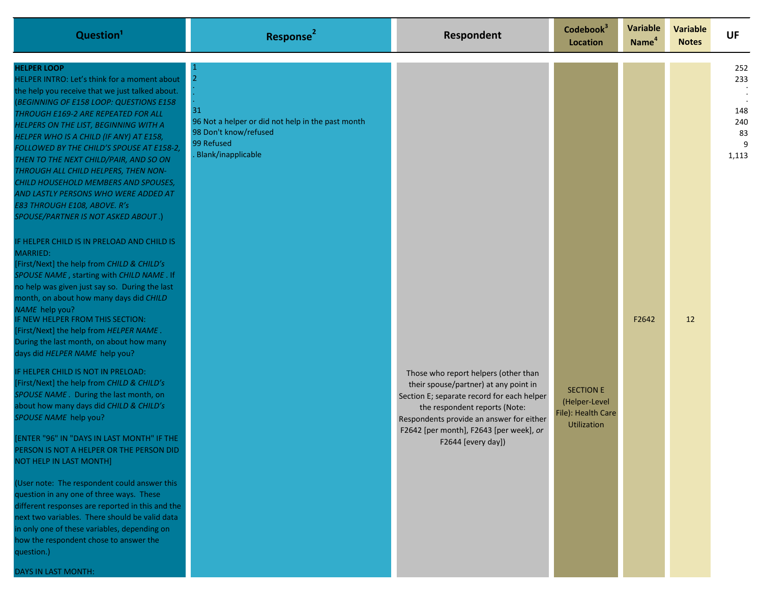| Question <sup>1</sup>                                                                                                                                                                                                                                                                                                                                                                                                                                                                                                                                                                                                                                                                     | Response <sup>2</sup>                                                                                                     | Respondent                                                                                                                                                                                                                                                                | Codebook <sup>3</sup><br>Location                                             | Variable<br>Name <sup>4</sup> | <b>Variable</b><br><b>Notes</b> | <b>UF</b>                                    |
|-------------------------------------------------------------------------------------------------------------------------------------------------------------------------------------------------------------------------------------------------------------------------------------------------------------------------------------------------------------------------------------------------------------------------------------------------------------------------------------------------------------------------------------------------------------------------------------------------------------------------------------------------------------------------------------------|---------------------------------------------------------------------------------------------------------------------------|---------------------------------------------------------------------------------------------------------------------------------------------------------------------------------------------------------------------------------------------------------------------------|-------------------------------------------------------------------------------|-------------------------------|---------------------------------|----------------------------------------------|
| <b>HELPER LOOP</b><br>HELPER INTRO: Let's think for a moment about<br>the help you receive that we just talked about.<br>(BEGINNING OF E158 LOOP: QUESTIONS E158<br>THROUGH E169-2 ARE REPEATED FOR ALL<br>HELPERS ON THE LIST, BEGINNING WITH A<br>HELPER WHO IS A CHILD (IF ANY) AT E158,<br>FOLLOWED BY THE CHILD'S SPOUSE AT E158-2,<br>THEN TO THE NEXT CHILD/PAIR, AND SO ON<br>THROUGH ALL CHILD HELPERS, THEN NON-<br>CHILD HOUSEHOLD MEMBERS AND SPOUSES,<br>AND LASTLY PERSONS WHO WERE ADDED AT<br>E83 THROUGH E108, ABOVE. R's<br>SPOUSE/PARTNER IS NOT ASKED ABOUT.)<br>IF HELPER CHILD IS IN PRELOAD AND CHILD IS<br>MARRIED:<br>[First/Next] the help from CHILD & CHILD's | 2<br>31<br>96 Not a helper or did not help in the past month<br>98 Don't know/refused<br>99 Refused<br>Blank/inapplicable |                                                                                                                                                                                                                                                                           |                                                                               |                               |                                 | 252<br>233<br>148<br>240<br>83<br>9<br>1,113 |
| SPOUSE NAME, starting with CHILD NAME. If<br>no help was given just say so. During the last<br>month, on about how many days did CHILD<br>NAME help you?<br>IF NEW HELPER FROM THIS SECTION:<br>[First/Next] the help from HELPER NAME.<br>During the last month, on about how many<br>days did HELPER NAME help you?                                                                                                                                                                                                                                                                                                                                                                     |                                                                                                                           |                                                                                                                                                                                                                                                                           |                                                                               | F2642                         | 12                              |                                              |
| IF HELPER CHILD IS NOT IN PRELOAD:<br>[First/Next] the help from CHILD & CHILD's<br>SPOUSE NAME. During the last month, on<br>about how many days did CHILD & CHILD's<br>SPOUSE NAME help you?<br>[ENTER "96" IN "DAYS IN LAST MONTH" IF THE<br>PERSON IS NOT A HELPER OR THE PERSON DID<br>NOT HELP IN LAST MONTH]                                                                                                                                                                                                                                                                                                                                                                       |                                                                                                                           | Those who report helpers (other than<br>their spouse/partner) at any point in<br>Section E; separate record for each helper<br>the respondent reports (Note:<br>Respondents provide an answer for either<br>F2642 [per month], F2643 [per week], or<br>F2644 [every day]) | <b>SECTION E</b><br>(Helper-Level<br>File): Health Care<br><b>Utilization</b> |                               |                                 |                                              |
| (User note: The respondent could answer this<br>question in any one of three ways. These<br>different responses are reported in this and the<br>next two variables. There should be valid data<br>in only one of these variables, depending on<br>how the respondent chose to answer the<br>question.)<br>DAYS IN LAST MONTH:                                                                                                                                                                                                                                                                                                                                                             |                                                                                                                           |                                                                                                                                                                                                                                                                           |                                                                               |                               |                                 |                                              |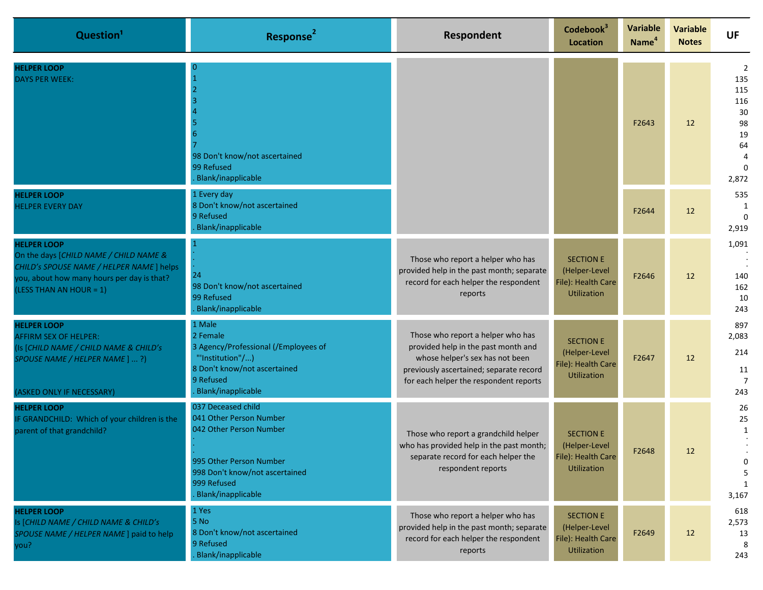| Question <sup>1</sup>                                                                                                                                                              | <b>Response</b>                                                                                                                                                            | Respondent                                                                                                                                                                                       | Codebook <sup>3</sup><br><b>Location</b>                                      | Variable<br>Name <sup>4</sup> | <b>Variable</b><br><b>Notes</b> | <b>UF</b>                                                    |
|------------------------------------------------------------------------------------------------------------------------------------------------------------------------------------|----------------------------------------------------------------------------------------------------------------------------------------------------------------------------|--------------------------------------------------------------------------------------------------------------------------------------------------------------------------------------------------|-------------------------------------------------------------------------------|-------------------------------|---------------------------------|--------------------------------------------------------------|
| <b>HELPER LOOP</b><br><b>DAYS PER WEEK:</b>                                                                                                                                        | 98 Don't know/not ascertained<br>99 Refused<br>Blank/inapplicable                                                                                                          |                                                                                                                                                                                                  |                                                                               | F2643                         | 12                              | 2<br>135<br>115<br>116<br>30<br>98<br>19<br>64<br>4<br>2,872 |
| <b>HELPER LOOP</b><br><b>HELPER EVERY DAY</b>                                                                                                                                      | 1 Every day<br>8 Don't know/not ascertained<br>9 Refused<br>Blank/inapplicable                                                                                             |                                                                                                                                                                                                  |                                                                               | F2644                         | 12                              | 535<br>1<br>2,919                                            |
| <b>HELPER LOOP</b><br>On the days [CHILD NAME / CHILD NAME &<br>CHILD's SPOUSE NAME / HELPER NAME ] helps<br>you, about how many hours per day is that?<br>(LESS THAN AN HOUR = 1) | 24<br>98 Don't know/not ascertained<br>99 Refused<br>Blank/inapplicable                                                                                                    | Those who report a helper who has<br>provided help in the past month; separate<br>record for each helper the respondent<br>reports                                                               | <b>SECTION E</b><br>(Helper-Level<br>File): Health Care<br><b>Utilization</b> | F2646                         | 12                              | 1,091<br>140<br>162<br>10<br>243                             |
| <b>HELPER LOOP</b><br><b>AFFIRM SEX OF HELPER:</b><br>(Is [CHILD NAME / CHILD NAME & CHILD's<br>SPOUSE NAME / HELPER NAME ] ?)<br>(ASKED ONLY IF NECESSARY)                        | 1 Male<br>2 Female<br>3 Agency/Professional (/Employees of<br>"'Institution"/)<br>8 Don't know/not ascertained<br>9 Refused<br>Blank/inapplicable                          | Those who report a helper who has<br>provided help in the past month and<br>whose helper's sex has not been<br>previously ascertained; separate record<br>for each helper the respondent reports | <b>SECTION E</b><br>(Helper-Level<br>File): Health Care<br><b>Utilization</b> | F2647                         | 12                              | 897<br>2,083<br>214<br>11<br>$\overline{7}$<br>243           |
| <b>HELPER LOOP</b><br>IF GRANDCHILD: Which of your children is the<br>parent of that grandchild?                                                                                   | 037 Deceased child<br>041 Other Person Number<br>042 Other Person Number<br>995 Other Person Number<br>998 Don't know/not ascertained<br>999 Refused<br>Blank/inapplicable | Those who report a grandchild helper<br>who has provided help in the past month;<br>separate record for each helper the<br>respondent reports                                                    | <b>SECTION E</b><br>(Helper-Level<br>File): Health Care<br><b>Utilization</b> | F2648                         | 12                              | 26<br>25<br>1<br>0<br>5<br>3,167                             |
| <b>HELPER LOOP</b><br>Is [CHILD NAME / CHILD NAME & CHILD's<br>SPOUSE NAME / HELPER NAME ] paid to help<br>you?                                                                    | 1 Yes<br>5 No<br>8 Don't know/not ascertained<br>9 Refused<br>Blank/inapplicable                                                                                           | Those who report a helper who has<br>provided help in the past month; separate<br>record for each helper the respondent<br>reports                                                               | <b>SECTION E</b><br>(Helper-Level<br>File): Health Care<br><b>Utilization</b> | F2649                         | 12                              | 618<br>2,573<br>13<br>8<br>243                               |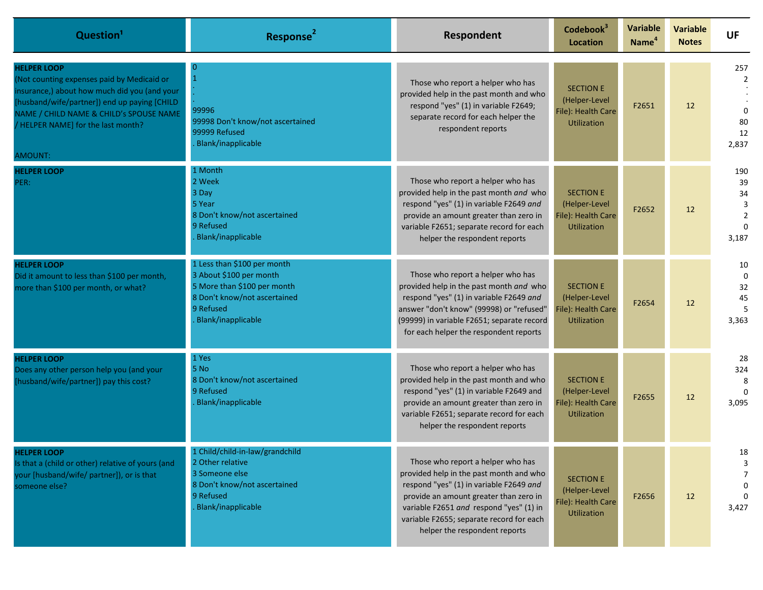| Question <sup>1</sup>                                                                                                                                                                                                                                        | Response <sup>2</sup>                                                                                                                                    | <b>Respondent</b>                                                                                                                                                                                                                                                                         | Codebook <sup>3</sup><br>Location                                             | <b>Variable</b><br>Name <sup>4</sup> | <b>Variable</b><br><b>Notes</b> | <b>UF</b>                                       |
|--------------------------------------------------------------------------------------------------------------------------------------------------------------------------------------------------------------------------------------------------------------|----------------------------------------------------------------------------------------------------------------------------------------------------------|-------------------------------------------------------------------------------------------------------------------------------------------------------------------------------------------------------------------------------------------------------------------------------------------|-------------------------------------------------------------------------------|--------------------------------------|---------------------------------|-------------------------------------------------|
| <b>HELPER LOOP</b><br>(Not counting expenses paid by Medicaid or<br>insurance,) about how much did you (and your<br>[husband/wife/partner]) end up paying [CHILD<br>NAME / CHILD NAME & CHILD's SPOUSE NAME<br>/ HELPER NAME] for the last month?<br>AMOUNT: | 99996<br>99998 Don't know/not ascertained<br>99999 Refused<br>Blank/inapplicable                                                                         | Those who report a helper who has<br>provided help in the past month and who<br>respond "yes" (1) in variable F2649;<br>separate record for each helper the<br>respondent reports                                                                                                         | <b>SECTION E</b><br>(Helper-Level<br>File): Health Care<br><b>Utilization</b> | F2651                                | 12                              | 257<br>2<br>$\Omega$<br>80<br>12<br>2,837       |
| <b>HELPER LOOP</b><br>PER:                                                                                                                                                                                                                                   | 1 Month<br>2 Week<br>3 Day<br>5 Year<br>8 Don't know/not ascertained<br>9 Refused<br>Blank/inapplicable                                                  | Those who report a helper who has<br>provided help in the past month and who<br>respond "yes" (1) in variable F2649 and<br>provide an amount greater than zero in<br>variable F2651; separate record for each<br>helper the respondent reports                                            | <b>SECTION E</b><br>(Helper-Level<br>File): Health Care<br><b>Utilization</b> | F2652                                | 12                              | 190<br>39<br>34<br>3<br>$\overline{2}$<br>3,187 |
| <b>HELPER LOOP</b><br>Did it amount to less than \$100 per month,<br>more than \$100 per month, or what?                                                                                                                                                     | 1 Less than \$100 per month<br>3 About \$100 per month<br>5 More than \$100 per month<br>8 Don't know/not ascertained<br>9 Refused<br>Blank/inapplicable | Those who report a helper who has<br>provided help in the past month and who<br>respond "yes" (1) in variable F2649 and<br>answer "don't know" (99998) or "refused"<br>(99999) in variable F2651; separate record<br>for each helper the respondent reports                               | <b>SECTION E</b><br>(Helper-Level<br>File): Health Care<br><b>Utilization</b> | F2654                                | 12                              | 10<br>$\mathbf 0$<br>32<br>45<br>5<br>3,363     |
| <b>HELPER LOOP</b><br>Does any other person help you (and your<br>[husband/wife/partner]) pay this cost?                                                                                                                                                     | 1 Yes<br>5 No<br>8 Don't know/not ascertained<br>9 Refused<br>Blank/inapplicable                                                                         | Those who report a helper who has<br>provided help in the past month and who<br>respond "yes" (1) in variable F2649 and<br>provide an amount greater than zero in<br>variable F2651; separate record for each<br>helper the respondent reports                                            | <b>SECTION E</b><br>(Helper-Level<br>File): Health Care<br><b>Utilization</b> | F2655                                | 12                              | 28<br>324<br>8<br>$\Omega$<br>3,095             |
| <b>HELPER LOOP</b><br>Is that a (child or other) relative of yours (and<br>your [husband/wife/ partner]), or is that<br>someone else?                                                                                                                        | 1 Child/child-in-law/grandchild<br>2 Other relative<br>3 Someone else<br>8 Don't know/not ascertained<br>9 Refused<br>Blank/inapplicable                 | Those who report a helper who has<br>provided help in the past month and who<br>respond "yes" (1) in variable F2649 and<br>provide an amount greater than zero in<br>variable F2651 and respond "yes" (1) in<br>variable F2655; separate record for each<br>helper the respondent reports | <b>SECTION E</b><br>(Helper-Level<br>File): Health Care<br>Utilization        | F2656                                | 12                              | 18<br>3<br>3,427                                |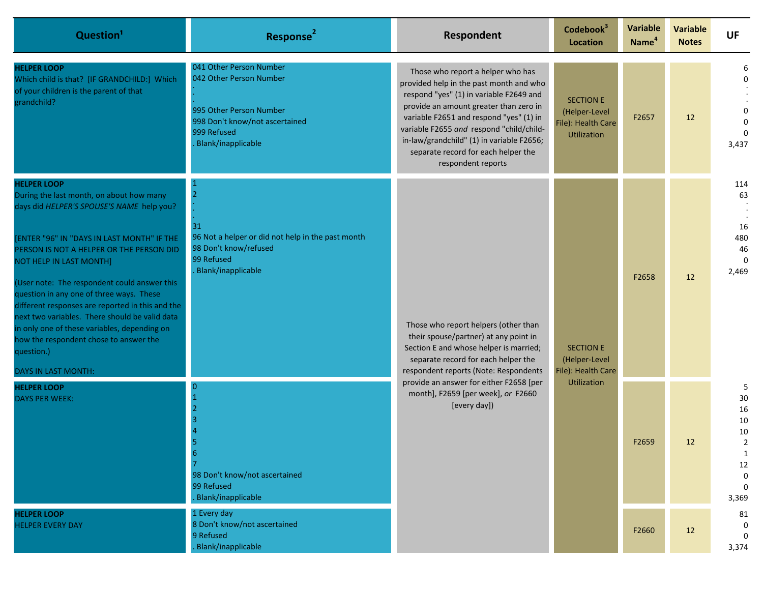| Question <sup>1</sup>                                                                                                                                                                                                                                                                                                                                                                                                                                                                                                                                             | Response <sup>2</sup>                                                                                                                                | Respondent                                                                                                                                                                                                                                                                                                                                                         | Codebook <sup>3</sup><br>Location                                      | <b>Variable</b><br>Name <sup>4</sup> | <b>Variable</b><br><b>Notes</b> | <b>UF</b>                                         |
|-------------------------------------------------------------------------------------------------------------------------------------------------------------------------------------------------------------------------------------------------------------------------------------------------------------------------------------------------------------------------------------------------------------------------------------------------------------------------------------------------------------------------------------------------------------------|------------------------------------------------------------------------------------------------------------------------------------------------------|--------------------------------------------------------------------------------------------------------------------------------------------------------------------------------------------------------------------------------------------------------------------------------------------------------------------------------------------------------------------|------------------------------------------------------------------------|--------------------------------------|---------------------------------|---------------------------------------------------|
| <b>HELPER LOOP</b><br>Which child is that? [IF GRANDCHILD:] Which<br>of your children is the parent of that<br>grandchild?                                                                                                                                                                                                                                                                                                                                                                                                                                        | 041 Other Person Number<br>042 Other Person Number<br>995 Other Person Number<br>998 Don't know/not ascertained<br>999 Refused<br>Blank/inapplicable | Those who report a helper who has<br>provided help in the past month and who<br>respond "yes" (1) in variable F2649 and<br>provide an amount greater than zero in<br>variable F2651 and respond "yes" (1) in<br>variable F2655 and respond "child/child-<br>in-law/grandchild" (1) in variable F2656;<br>separate record for each helper the<br>respondent reports | <b>SECTION E</b><br>(Helper-Level<br>File): Health Care<br>Utilization | F2657                                | 12                              | 3,437                                             |
| <b>HELPER LOOP</b><br>During the last month, on about how many<br>days did HELPER'S SPOUSE'S NAME help you?<br>[ENTER "96" IN "DAYS IN LAST MONTH" IF THE<br>PERSON IS NOT A HELPER OR THE PERSON DID<br>NOT HELP IN LAST MONTH]<br>(User note: The respondent could answer this<br>question in any one of three ways. These<br>different responses are reported in this and the<br>next two variables. There should be valid data<br>in only one of these variables, depending on<br>how the respondent chose to answer the<br>question.)<br>DAYS IN LAST MONTH: | 31<br>96 Not a helper or did not help in the past month<br>98 Don't know/refused<br>99 Refused<br>Blank/inapplicable                                 | Those who report helpers (other than<br>their spouse/partner) at any point in<br>Section E and whose helper is married;<br>separate record for each helper the<br>respondent reports (Note: Respondents<br>provide an answer for either F2658 [per<br>month], F2659 [per week], or F2660<br>[every day])                                                           | <b>SECTION E</b><br>(Helper-Level                                      | F2658                                | 12                              | 114<br>63<br>16<br>480<br>46<br>$\Omega$<br>2,469 |
| <b>HELPER LOOP</b><br><b>DAYS PER WEEK:</b><br><b>HELPER LOOP</b><br><b>HELPER EVERY DAY</b>                                                                                                                                                                                                                                                                                                                                                                                                                                                                      | 98 Don't know/not ascertained<br>99 Refused<br>Blank/inapplicable<br>1 Every day<br>8 Don't know/not ascertained<br>9 Refused                        |                                                                                                                                                                                                                                                                                                                                                                    |                                                                        | <b>Utilization</b>                   | F2659<br>F2660                  | 12<br>12                                          |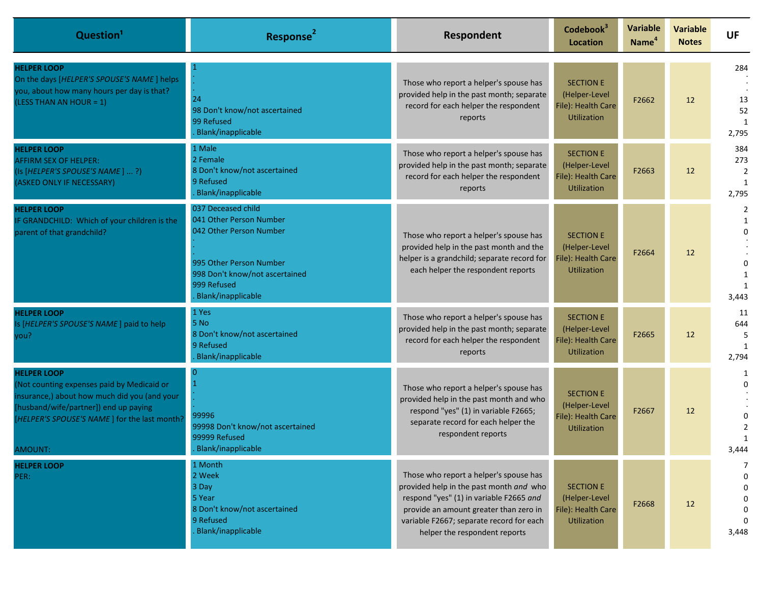| Question <sup>1</sup>                                                                                                                                                                                                | <b>Response</b>                                                                                                                                                            | Respondent                                                                                                                                                                                                                                          | Codebook <sup>3</sup><br><b>Location</b>                                      | <b>Variable</b><br>Name <sup>4</sup> | <b>Variable</b><br><b>Notes</b> | <b>UF</b>                                  |
|----------------------------------------------------------------------------------------------------------------------------------------------------------------------------------------------------------------------|----------------------------------------------------------------------------------------------------------------------------------------------------------------------------|-----------------------------------------------------------------------------------------------------------------------------------------------------------------------------------------------------------------------------------------------------|-------------------------------------------------------------------------------|--------------------------------------|---------------------------------|--------------------------------------------|
| <b>HELPER LOOP</b><br>On the days [HELPER'S SPOUSE'S NAME] helps<br>you, about how many hours per day is that?<br>(LESS THAN AN HOUR = 1)                                                                            | 24<br>98 Don't know/not ascertained<br>99 Refused<br>Blank/inapplicable                                                                                                    | Those who report a helper's spouse has<br>provided help in the past month; separate<br>record for each helper the respondent<br>reports                                                                                                             | <b>SECTION E</b><br>(Helper-Level<br>File): Health Care<br><b>Utilization</b> | F2662                                | 12                              | 284<br>13<br>52<br>2,795                   |
| <b>HELPER LOOP</b><br><b>AFFIRM SEX OF HELPER:</b><br>(Is [HELPER'S SPOUSE'S NAME] ?)<br>(ASKED ONLY IF NECESSARY)                                                                                                   | 1 Male<br>2 Female<br>8 Don't know/not ascertained<br>9 Refused<br>Blank/inapplicable                                                                                      | Those who report a helper's spouse has<br>provided help in the past month; separate<br>record for each helper the respondent<br>reports                                                                                                             | <b>SECTION E</b><br>(Helper-Level<br>File): Health Care<br><b>Utilization</b> | F2663                                | 12                              | 384<br>273<br>$\overline{2}$<br>1<br>2,795 |
| <b>HELPER LOOP</b><br>IF GRANDCHILD: Which of your children is the<br>parent of that grandchild?                                                                                                                     | 037 Deceased child<br>041 Other Person Number<br>042 Other Person Number<br>995 Other Person Number<br>998 Don't know/not ascertained<br>999 Refused<br>Blank/inapplicable | Those who report a helper's spouse has<br>provided help in the past month and the<br>helper is a grandchild; separate record for<br>each helper the respondent reports                                                                              | <b>SECTION E</b><br>(Helper-Level<br>File): Health Care<br><b>Utilization</b> | F2664                                | 12                              | 2<br>$\Omega$<br>1<br>3,443                |
| <b>HELPER LOOP</b><br>Is [HELPER'S SPOUSE'S NAME] paid to help<br>you?                                                                                                                                               | 1 Yes<br>5 No<br>8 Don't know/not ascertained<br>9 Refused<br>Blank/inapplicable                                                                                           | Those who report a helper's spouse has<br>provided help in the past month; separate<br>record for each helper the respondent<br>reports                                                                                                             | <b>SECTION E</b><br>(Helper-Level<br>File): Health Care<br><b>Utilization</b> | F2665                                | 12                              | 11<br>644<br>-5<br>1<br>2,794              |
| <b>HELPER LOOP</b><br>(Not counting expenses paid by Medicaid or<br>insurance,) about how much did you (and your<br>[husband/wife/partner]) end up paying<br>[HELPER'S SPOUSE'S NAME] for the last month?<br>AMOUNT: | 99996<br>99998 Don't know/not ascertained<br>99999 Refused<br>Blank/inapplicable                                                                                           | Those who report a helper's spouse has<br>provided help in the past month and who<br>respond "yes" (1) in variable F2665;<br>separate record for each helper the<br>respondent reports                                                              | <b>SECTION E</b><br>(Helper-Level<br>File): Health Care<br><b>Utilization</b> | F2667                                | 12                              | $\overline{2}$<br>$\mathbf{1}$<br>3,444    |
| <b>HELPER LOOP</b><br>PER:                                                                                                                                                                                           | 1 Month<br>2 Week<br>3 Day<br>5 Year<br>8 Don't know/not ascertained<br>9 Refused<br>Blank/inapplicable                                                                    | Those who report a helper's spouse has<br>provided help in the past month and who<br>respond "yes" (1) in variable F2665 and<br>provide an amount greater than zero in<br>variable F2667; separate record for each<br>helper the respondent reports | <b>SECTION E</b><br>(Helper-Level<br>File): Health Care<br><b>Utilization</b> | F2668                                | 12                              | 7<br>0<br>0<br>$\Omega$<br>0<br>3,448      |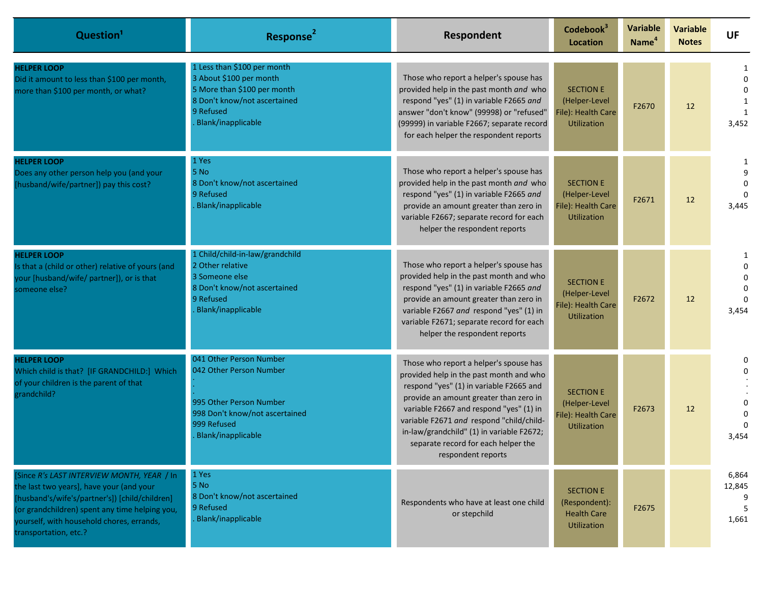| Question <sup>1</sup>                                                                                                                                                                                                                                            | <b>Response</b>                                                                                                                                          | Respondent                                                                                                                                                                                                                                                                                                                                                              | Codebook <sup>3</sup><br>Location                                             | <b>Variable</b><br>Name <sup>4</sup> | <b>Variable</b><br><b>Notes</b> | <b>UF</b>                           |
|------------------------------------------------------------------------------------------------------------------------------------------------------------------------------------------------------------------------------------------------------------------|----------------------------------------------------------------------------------------------------------------------------------------------------------|-------------------------------------------------------------------------------------------------------------------------------------------------------------------------------------------------------------------------------------------------------------------------------------------------------------------------------------------------------------------------|-------------------------------------------------------------------------------|--------------------------------------|---------------------------------|-------------------------------------|
| <b>HELPER LOOP</b><br>Did it amount to less than \$100 per month,<br>more than \$100 per month, or what?                                                                                                                                                         | 1 Less than \$100 per month<br>3 About \$100 per month<br>5 More than \$100 per month<br>8 Don't know/not ascertained<br>9 Refused<br>Blank/inapplicable | Those who report a helper's spouse has<br>provided help in the past month and who<br>respond "yes" (1) in variable F2665 and<br>answer "don't know" (99998) or "refused"<br>(99999) in variable F2667; separate record<br>for each helper the respondent reports                                                                                                        | <b>SECTION E</b><br>(Helper-Level<br>File): Health Care<br><b>Utilization</b> | F2670                                | 12                              | 1<br>$\Omega$<br>3,452              |
| <b>HELPER LOOP</b><br>Does any other person help you (and your<br>[husband/wife/partner]) pay this cost?                                                                                                                                                         | 1 Yes<br>5 No<br>8 Don't know/not ascertained<br>9 Refused<br>Blank/inapplicable                                                                         | Those who report a helper's spouse has<br>provided help in the past month and who<br>respond "yes" (1) in variable F2665 and<br>provide an amount greater than zero in<br>variable F2667; separate record for each<br>helper the respondent reports                                                                                                                     | <b>SECTION E</b><br>(Helper-Level<br>File): Health Care<br><b>Utilization</b> | F2671                                | 12                              | 1<br>3,445                          |
| <b>HELPER LOOP</b><br>Is that a (child or other) relative of yours (and<br>your [husband/wife/ partner]), or is that<br>someone else?                                                                                                                            | 1 Child/child-in-law/grandchild<br>2 Other relative<br>3 Someone else<br>8 Don't know/not ascertained<br>9 Refused<br>Blank/inapplicable                 | Those who report a helper's spouse has<br>provided help in the past month and who<br>respond "yes" (1) in variable F2665 and<br>provide an amount greater than zero in<br>variable F2667 and respond "yes" (1) in<br>variable F2671; separate record for each<br>helper the respondent reports                                                                          | <b>SECTION E</b><br>(Helper-Level<br>File): Health Care<br><b>Utilization</b> | F2672                                | 12                              | $\Omega$<br>3,454                   |
| <b>HELPER LOOP</b><br>Which child is that? [IF GRANDCHILD:] Which<br>of your children is the parent of that<br>grandchild?                                                                                                                                       | 041 Other Person Number<br>042 Other Person Number<br>995 Other Person Number<br>998 Don't know/not ascertained<br>999 Refused<br>Blank/inapplicable     | Those who report a helper's spouse has<br>provided help in the past month and who<br>respond "yes" (1) in variable F2665 and<br>provide an amount greater than zero in<br>variable F2667 and respond "yes" (1) in<br>variable F2671 and respond "child/child-<br>in-law/grandchild" (1) in variable F2672;<br>separate record for each helper the<br>respondent reports | <b>SECTION E</b><br>(Helper-Level<br>File): Health Care<br><b>Utilization</b> | F2673                                | 12                              | 0<br>$\Omega$<br>3,454              |
| [Since R's LAST INTERVIEW MONTH, YEAR / In<br>the last two years], have your (and your<br>[husband's/wife's/partner's]) [child/children]<br>(or grandchildren) spent any time helping you,<br>yourself, with household chores, errands,<br>transportation, etc.? | 1 Yes<br>5 No<br>8 Don't know/not ascertained<br>9 Refused<br>Blank/inapplicable                                                                         | Respondents who have at least one child<br>or stepchild                                                                                                                                                                                                                                                                                                                 | <b>SECTION E</b><br>(Respondent):<br><b>Health Care</b><br><b>Utilization</b> | F2675                                |                                 | 6,864<br>12,845<br>9<br>-5<br>1,661 |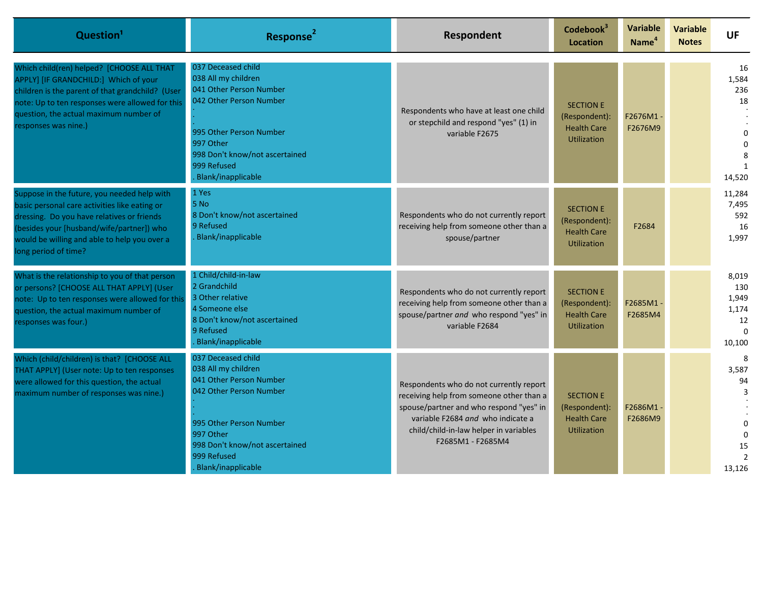| Question <sup>1</sup>                                                                                                                                                                                                                                           | Response <sup>2</sup>                                                                                                                                                                                          | Respondent                                                                                                                                                                                                                         | Codebook <sup>3</sup><br><b>Location</b>                                      | Variable<br>Name <sup>4</sup> | <b>Variable</b><br><b>Notes</b> | UF                                                         |
|-----------------------------------------------------------------------------------------------------------------------------------------------------------------------------------------------------------------------------------------------------------------|----------------------------------------------------------------------------------------------------------------------------------------------------------------------------------------------------------------|------------------------------------------------------------------------------------------------------------------------------------------------------------------------------------------------------------------------------------|-------------------------------------------------------------------------------|-------------------------------|---------------------------------|------------------------------------------------------------|
| Which child(ren) helped? [CHOOSE ALL THAT<br>APPLY] [IF GRANDCHILD:] Which of your<br>children is the parent of that grandchild? (User<br>note: Up to ten responses were allowed for this<br>question, the actual maximum number of<br>responses was nine.)     | 037 Deceased child<br>038 All my children<br>041 Other Person Number<br>042 Other Person Number<br>995 Other Person Number<br>997 Other<br>998 Don't know/not ascertained<br>999 Refused<br>Blank/inapplicable | Respondents who have at least one child<br>or stepchild and respond "yes" (1) in<br>variable F2675                                                                                                                                 | <b>SECTION E</b><br>(Respondent):<br><b>Health Care</b><br><b>Utilization</b> | F2676M1<br>F2676M9            |                                 | 16<br>1,584<br>236<br>18<br>$\Omega$<br>$\Omega$<br>14,520 |
| Suppose in the future, you needed help with<br>basic personal care activities like eating or<br>dressing. Do you have relatives or friends<br>(besides your [husband/wife/partner]) who<br>would be willing and able to help you over a<br>long period of time? | 1 Yes<br>5 No<br>8 Don't know/not ascertained<br>9 Refused<br>Blank/inapplicable                                                                                                                               | Respondents who do not currently report<br>receiving help from someone other than a<br>spouse/partner                                                                                                                              | <b>SECTION E</b><br>(Respondent):<br><b>Health Care</b><br><b>Utilization</b> | F2684                         |                                 | 11,284<br>7,495<br>592<br>16<br>1,997                      |
| What is the relationship to you of that person<br>or persons? [CHOOSE ALL THAT APPLY] (User<br>note: Up to ten responses were allowed for this<br>question, the actual maximum number of<br>responses was four.)                                                | 1 Child/child-in-law<br>2 Grandchild<br>3 Other relative<br>4 Someone else<br>8 Don't know/not ascertained<br>9 Refused<br>Blank/inapplicable                                                                  | Respondents who do not currently report<br>receiving help from someone other than a<br>spouse/partner and who respond "yes" in<br>variable F2684                                                                                   | <b>SECTION E</b><br>(Respondent):<br><b>Health Care</b><br><b>Utilization</b> | F2685M1-<br>F2685M4           |                                 | 8,019<br>130<br>1,949<br>1,174<br>12<br>$\Omega$<br>10,100 |
| Which (child/children) is that? [CHOOSE ALL<br>THAT APPLY] (User note: Up to ten responses<br>were allowed for this question, the actual<br>maximum number of responses was nine.)                                                                              | 037 Deceased child<br>038 All my children<br>041 Other Person Number<br>042 Other Person Number<br>995 Other Person Number<br>997 Other<br>998 Don't know/not ascertained<br>999 Refused<br>Blank/inapplicable | Respondents who do not currently report<br>receiving help from someone other than a<br>spouse/partner and who respond "yes" in<br>variable F2684 and who indicate a<br>child/child-in-law helper in variables<br>F2685M1 - F2685M4 | <b>SECTION E</b><br>(Respondent):<br><b>Health Care</b><br><b>Utilization</b> | F2686M1<br>F2686M9            |                                 | 8<br>3,587<br>94<br>$\Omega$<br>15<br>13,126               |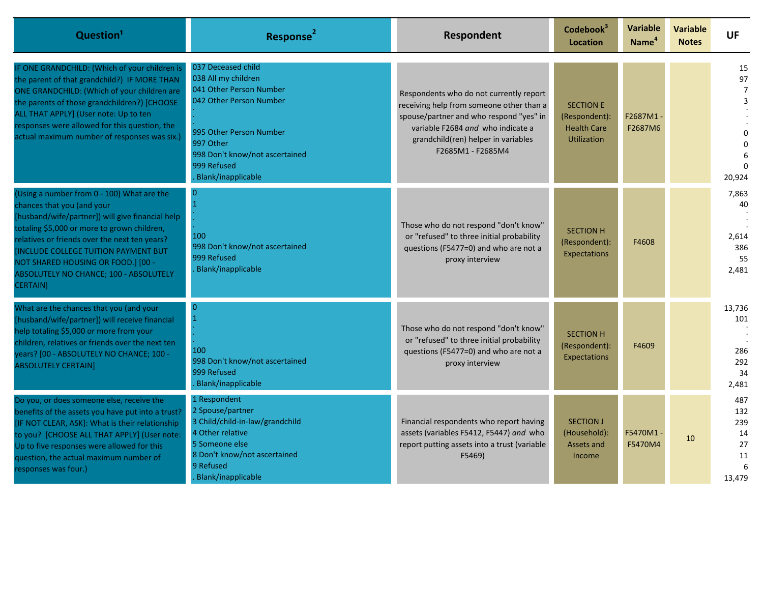| Question <sup>1</sup>                                                                                                                                                                                                                                                                                                                                                                 | Response <sup>2</sup>                                                                                                                                                                                          | Respondent                                                                                                                                                                                                                      | Codebook <sup>3</sup><br>Location                                             | Variable<br>Name <sup>4</sup> | <b>Variable</b><br><b>Notes</b> | <b>UF</b>                                          |
|---------------------------------------------------------------------------------------------------------------------------------------------------------------------------------------------------------------------------------------------------------------------------------------------------------------------------------------------------------------------------------------|----------------------------------------------------------------------------------------------------------------------------------------------------------------------------------------------------------------|---------------------------------------------------------------------------------------------------------------------------------------------------------------------------------------------------------------------------------|-------------------------------------------------------------------------------|-------------------------------|---------------------------------|----------------------------------------------------|
| IF ONE GRANDCHILD: (Which of your children is<br>the parent of that grandchild?) IF MORE THAN<br>ONE GRANDCHILD: (Which of your children are<br>the parents of those grandchildren?) [CHOOSE<br>ALL THAT APPLY] (User note: Up to ten<br>responses were allowed for this question, the<br>actual maximum number of responses was six.)                                                | 037 Deceased child<br>038 All my children<br>041 Other Person Number<br>042 Other Person Number<br>995 Other Person Number<br>997 Other<br>998 Don't know/not ascertained<br>999 Refused<br>Blank/inapplicable | Respondents who do not currently report<br>receiving help from someone other than a<br>spouse/partner and who respond "yes" in<br>variable F2684 and who indicate a<br>grandchild(ren) helper in variables<br>F2685M1 - F2685M4 | <b>SECTION E</b><br>(Respondent):<br><b>Health Care</b><br><b>Utilization</b> | F2687M1-<br>F2687M6           |                                 | 15<br>97<br>20,924                                 |
| (Using a number from 0 - 100) What are the<br>chances that you (and your<br>[husband/wife/partner]) will give financial help<br>totaling \$5,000 or more to grown children,<br>relatives or friends over the next ten years?<br><b>INCLUDE COLLEGE TUITION PAYMENT BUT</b><br>NOT SHARED HOUSING OR FOOD.] [00 -<br><b>ABSOLUTELY NO CHANCE; 100 - ABSOLUTELY</b><br><b>CERTAIN</b> ] | 100<br>998 Don't know/not ascertained<br>999 Refused<br>Blank/inapplicable                                                                                                                                     | Those who do not respond "don't know"<br>or "refused" to three initial probability<br>questions (F5477=0) and who are not a<br>proxy interview                                                                                  | <b>SECTION H</b><br>(Respondent):<br>Expectations                             | F4608                         |                                 | 7,863<br>40<br>2,614<br>386<br>55<br>2,481         |
| What are the chances that you (and your<br>[husband/wife/partner]) will receive financial<br>help totaling \$5,000 or more from your<br>children, relatives or friends over the next ten<br>years? [00 - ABSOLUTELY NO CHANCE; 100 -<br><b>ABSOLUTELY CERTAIN]</b>                                                                                                                    | $\Omega$<br>100<br>998 Don't know/not ascertained<br>999 Refused<br><b>Blank/inapplicable</b>                                                                                                                  | Those who do not respond "don't know"<br>or "refused" to three initial probability<br>questions (F5477=0) and who are not a<br>proxy interview                                                                                  | <b>SECTION H</b><br>(Respondent):<br>Expectations                             | F4609                         |                                 | 13,736<br>101<br>286<br>292<br>34<br>2,481         |
| Do you, or does someone else, receive the<br>benefits of the assets you have put into a trust?<br>[IF NOT CLEAR, ASK]: What is their relationship<br>to you? [CHOOSE ALL THAT APPLY] (User note:<br>Up to five responses were allowed for this<br>question, the actual maximum number of<br>responses was four.)                                                                      | 1 Respondent<br>2 Spouse/partner<br>3 Child/child-in-law/grandchild<br>4 Other relative<br>5 Someone else<br>8 Don't know/not ascertained<br>9 Refused<br>Blank/inapplicable                                   | Financial respondents who report having<br>assets (variables F5412, F5447) and who<br>report putting assets into a trust (variable<br>F5469)                                                                                    | <b>SECTION J</b><br>(Household):<br>Assets and<br><b>Income</b>               | F5470M1-<br>F5470M4           | 10                              | 487<br>132<br>239<br>14<br>27<br>11<br>6<br>13,479 |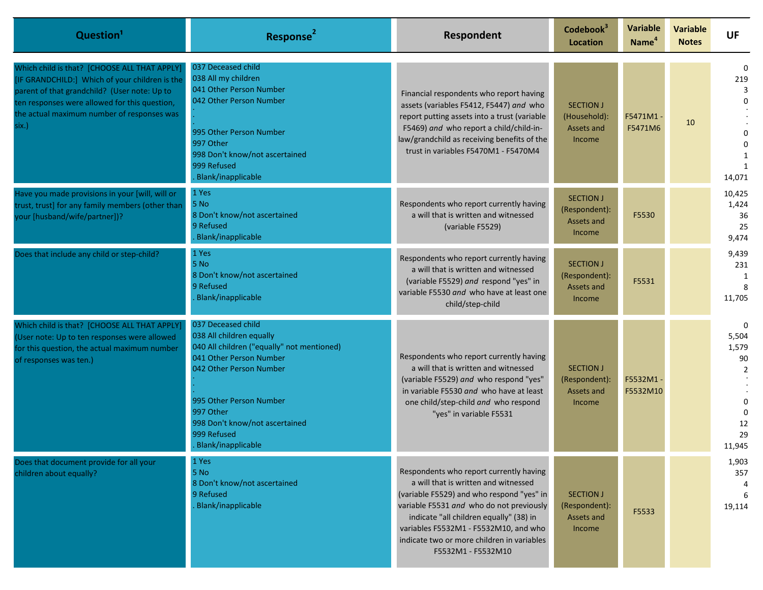| Question <sup>1</sup>                                                                                                                                                                                                                                  | Response <sup>2</sup>                                                                                                                                                                                                                                                    | Respondent                                                                                                                                                                                                                                                                                                                       | Codebook <sup>3</sup><br>Location                         | <b>Variable</b><br>Name <sup>4</sup> | <b>Variable</b><br><b>Notes</b> | <b>UF</b>                                                                                 |
|--------------------------------------------------------------------------------------------------------------------------------------------------------------------------------------------------------------------------------------------------------|--------------------------------------------------------------------------------------------------------------------------------------------------------------------------------------------------------------------------------------------------------------------------|----------------------------------------------------------------------------------------------------------------------------------------------------------------------------------------------------------------------------------------------------------------------------------------------------------------------------------|-----------------------------------------------------------|--------------------------------------|---------------------------------|-------------------------------------------------------------------------------------------|
| Which child is that? [CHOOSE ALL THAT APPLY]<br>[IF GRANDCHILD:] Which of your children is the<br>parent of that grandchild? (User note: Up to<br>ten responses were allowed for this question,<br>the actual maximum number of responses was<br>six.) | 037 Deceased child<br>038 All my children<br>041 Other Person Number<br>042 Other Person Number<br>995 Other Person Number<br>997 Other<br>998 Don't know/not ascertained<br>999 Refused<br>Blank/inapplicable                                                           | Financial respondents who report having<br>assets (variables F5412, F5447) and who<br>report putting assets into a trust (variable<br>F5469) and who report a child/child-in-<br>law/grandchild as receiving benefits of the<br>trust in variables F5470M1 - F5470M4                                                             | <b>SECTION J</b><br>(Household):<br>Assets and<br>Income  | F5471M1-<br>F5471M6                  | 10                              | $\Omega$<br>219<br>3<br>∩<br>14,071                                                       |
| Have you made provisions in your [will, will or<br>trust, trust] for any family members (other than<br>your [husband/wife/partner])?                                                                                                                   | 1 Yes<br>5 No<br>8 Don't know/not ascertained<br>9 Refused<br>Blank/inapplicable                                                                                                                                                                                         | Respondents who report currently having<br>a will that is written and witnessed<br>(variable F5529)                                                                                                                                                                                                                              | <b>SECTION J</b><br>(Respondent):<br>Assets and<br>Income | F5530                                |                                 | 10,425<br>1,424<br>36<br>25<br>9,474                                                      |
| Does that include any child or step-child?                                                                                                                                                                                                             | 1 Yes<br>5 No<br>8 Don't know/not ascertained<br>9 Refused<br><b>Blank/inapplicable</b>                                                                                                                                                                                  | Respondents who report currently having<br>a will that is written and witnessed<br>(variable F5529) and respond "yes" in<br>variable F5530 and who have at least one<br>child/step-child                                                                                                                                         | <b>SECTION J</b><br>(Respondent):<br>Assets and<br>Income | F5531                                |                                 | 9,439<br>231<br>1<br>8<br>11,705                                                          |
| Which child is that? [CHOOSE ALL THAT APPLY]<br>(User note: Up to ten responses were allowed<br>for this question, the actual maximum number<br>of responses was ten.)                                                                                 | 037 Deceased child<br>038 All children equally<br>040 All children ("equally" not mentioned)<br>041 Other Person Number<br>042 Other Person Number<br>995 Other Person Number<br>997 Other<br>998 Don't know/not ascertained<br>999 Refused<br><b>Blank/inapplicable</b> | Respondents who report currently having<br>a will that is written and witnessed<br>(variable F5529) and who respond "yes"<br>in variable F5530 and who have at least<br>one child/step-child and who respond<br>"yes" in variable F5531                                                                                          | <b>SECTION J</b><br>(Respondent):<br>Assets and<br>Income | F5532M1-<br>F5532M10                 |                                 | 0<br>5,504<br>1,579<br>90<br>$\overline{2}$<br>$\Omega$<br>$\Omega$<br>12<br>29<br>11,945 |
| Does that document provide for all your<br>children about equally?                                                                                                                                                                                     | 1 Yes<br>5 No<br>8 Don't know/not ascertained<br>9 Refused<br>Blank/inapplicable                                                                                                                                                                                         | Respondents who report currently having<br>a will that is written and witnessed<br>(variable F5529) and who respond "yes" in<br>variable F5531 and who do not previously<br>indicate "all children equally" (38) in<br>variables F5532M1 - F5532M10, and who<br>indicate two or more children in variables<br>F5532M1 - F5532M10 | <b>SECTION J</b><br>(Respondent):<br>Assets and<br>Income | F5533                                |                                 | 1,903<br>357<br>6<br>19,114                                                               |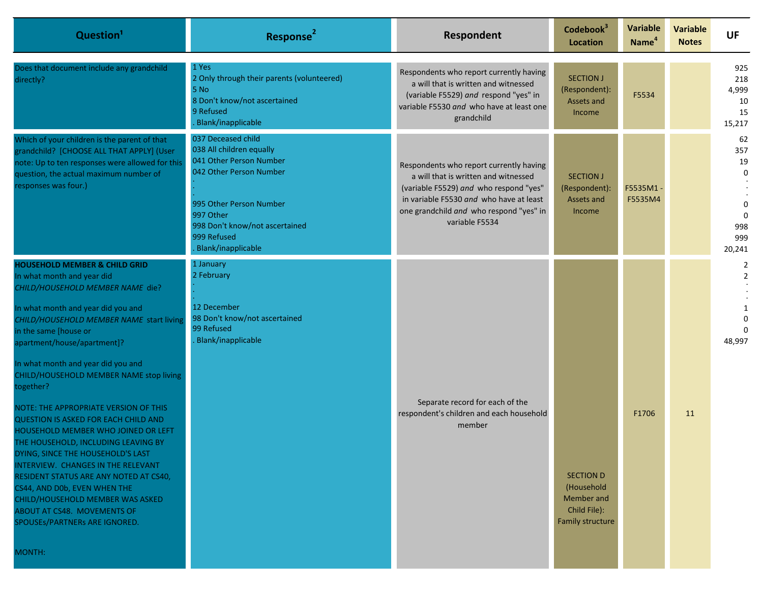| Question <sup>1</sup>                                                                                                                                                                                                                                                                                                                                                                                                                                                                                                                                                                                                                                                                                                                                                                       | Response <sup>2</sup>                                                                                                                                                                                               | Respondent                                                                                                                                                                                                                        | Codebook <sup>3</sup><br>Location                                                | <b>Variable</b><br>Name <sup>4</sup> | Variable<br><b>Notes</b> | <b>UF</b>                                                                          |
|---------------------------------------------------------------------------------------------------------------------------------------------------------------------------------------------------------------------------------------------------------------------------------------------------------------------------------------------------------------------------------------------------------------------------------------------------------------------------------------------------------------------------------------------------------------------------------------------------------------------------------------------------------------------------------------------------------------------------------------------------------------------------------------------|---------------------------------------------------------------------------------------------------------------------------------------------------------------------------------------------------------------------|-----------------------------------------------------------------------------------------------------------------------------------------------------------------------------------------------------------------------------------|----------------------------------------------------------------------------------|--------------------------------------|--------------------------|------------------------------------------------------------------------------------|
| Does that document include any grandchild<br>directly?                                                                                                                                                                                                                                                                                                                                                                                                                                                                                                                                                                                                                                                                                                                                      | 1 Yes<br>2 Only through their parents (volunteered)<br>5 No<br>8 Don't know/not ascertained<br>9 Refused<br>Blank/inapplicable                                                                                      | Respondents who report currently having<br>a will that is written and witnessed<br>(variable F5529) and respond "yes" in<br>variable F5530 and who have at least one<br>grandchild                                                | <b>SECTION J</b><br>(Respondent):<br>Assets and<br>Income                        | F5534                                |                          | 925<br>218<br>4,999<br>10<br>15<br>15,217                                          |
| Which of your children is the parent of that<br>grandchild? [CHOOSE ALL THAT APPLY] (User<br>note: Up to ten responses were allowed for this<br>question, the actual maximum number of<br>responses was four.)                                                                                                                                                                                                                                                                                                                                                                                                                                                                                                                                                                              | 037 Deceased child<br>038 All children equally<br>041 Other Person Number<br>042 Other Person Number<br>995 Other Person Number<br>997 Other<br>998 Don't know/not ascertained<br>999 Refused<br>Blank/inapplicable | Respondents who report currently having<br>a will that is written and witnessed<br>(variable F5529) and who respond "yes"<br>in variable F5530 and who have at least<br>one grandchild and who respond "yes" in<br>variable F5534 | <b>SECTION J</b><br>(Respondent):<br>Assets and<br>Income                        | F5535M1<br>F5535M4                   |                          | 62<br>357<br>19<br>$\mathbf{0}$<br>$\mathbf 0$<br>$\Omega$<br>998<br>999<br>20,241 |
| <b>HOUSEHOLD MEMBER &amp; CHILD GRID</b><br>In what month and year did<br>CHILD/HOUSEHOLD MEMBER NAME die?<br>In what month and year did you and<br>CHILD/HOUSEHOLD MEMBER NAME start living<br>in the same [house or<br>apartment/house/apartment]?<br>In what month and year did you and<br>CHILD/HOUSEHOLD MEMBER NAME stop living<br>together?<br>NOTE: THE APPROPRIATE VERSION OF THIS<br>QUESTION IS ASKED FOR EACH CHILD AND<br>HOUSEHOLD MEMBER WHO JOINED OR LEFT<br>THE HOUSEHOLD, INCLUDING LEAVING BY<br>DYING, SINCE THE HOUSEHOLD'S LAST<br><b>INTERVIEW. CHANGES IN THE RELEVANT</b><br>RESIDENT STATUS ARE ANY NOTED AT CS40,<br>CS44, AND D0b, EVEN WHEN THE<br>CHILD/HOUSEHOLD MEMBER WAS ASKED<br>ABOUT AT CS48. MOVEMENTS OF<br>SPOUSEs/PARTNERs ARE IGNORED.<br>MONTH: | 1 January<br>2 February<br>12 December<br>98 Don't know/not ascertained<br>99 Refused<br>Blank/inapplicable                                                                                                         | Separate record for each of the<br>respondent's children and each household<br>member                                                                                                                                             | <b>SECTION D</b><br>(Household<br>Member and<br>Child File):<br>Family structure | F1706                                | 11                       | $\overline{2}$<br>$\overline{2}$<br>1<br>48,997                                    |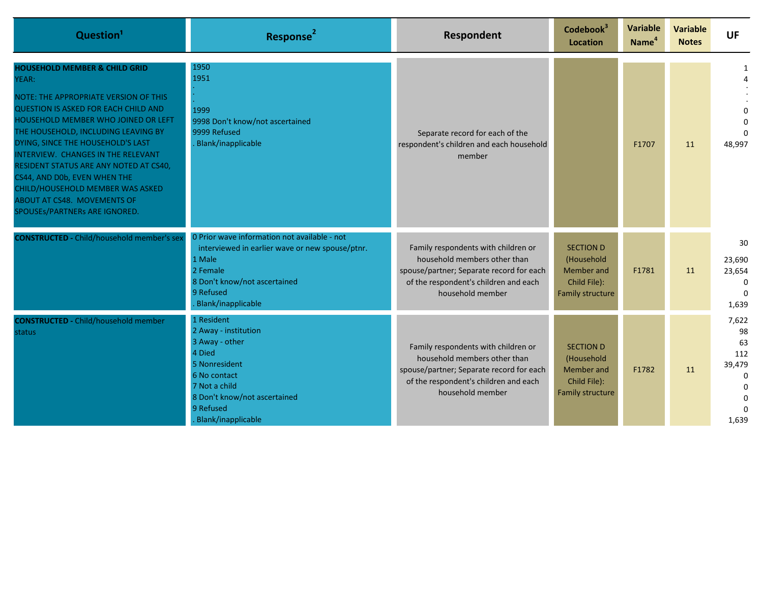| Question <sup>1</sup>                                                                                                                                                                                                                                                                                                                                                                                                                                                                   | Response <sup>2</sup>                                                                                                                                                                    | Respondent                                                                                                                                                                   | Codebook <sup>3</sup><br><b>Location</b>                                                | <b>Variable</b><br>Name <sup>4</sup> | <b>Variable</b><br><b>Notes</b> | UF                                                                              |
|-----------------------------------------------------------------------------------------------------------------------------------------------------------------------------------------------------------------------------------------------------------------------------------------------------------------------------------------------------------------------------------------------------------------------------------------------------------------------------------------|------------------------------------------------------------------------------------------------------------------------------------------------------------------------------------------|------------------------------------------------------------------------------------------------------------------------------------------------------------------------------|-----------------------------------------------------------------------------------------|--------------------------------------|---------------------------------|---------------------------------------------------------------------------------|
| <b>HOUSEHOLD MEMBER &amp; CHILD GRID</b><br>YEAR:<br>NOTE: THE APPROPRIATE VERSION OF THIS<br><b>QUESTION IS ASKED FOR EACH CHILD AND</b><br><b>HOUSEHOLD MEMBER WHO JOINED OR LEFT</b><br>THE HOUSEHOLD, INCLUDING LEAVING BY<br>DYING, SINCE THE HOUSEHOLD'S LAST<br>INTERVIEW. CHANGES IN THE RELEVANT<br>RESIDENT STATUS ARE ANY NOTED AT CS40,<br>CS44, AND D0b, EVEN WHEN THE<br>CHILD/HOUSEHOLD MEMBER WAS ASKED<br>ABOUT AT CS48. MOVEMENTS OF<br>SPOUSES/PARTNERS ARE IGNORED. | 1950<br>1951<br>1999<br>9998 Don't know/not ascertained<br>9999 Refused<br>Blank/inapplicable                                                                                            | Separate record for each of the<br>respondent's children and each household<br>member                                                                                        |                                                                                         | F1707                                | 11                              | 48,997                                                                          |
| <b>CONSTRUCTED - Child/household member's sex</b>                                                                                                                                                                                                                                                                                                                                                                                                                                       | 0 Prior wave information not available - not<br>interviewed in earlier wave or new spouse/ptnr.<br>1 Male<br>2 Female<br>8 Don't know/not ascertained<br>9 Refused<br>Blank/inapplicable | Family respondents with children or<br>household members other than<br>spouse/partner; Separate record for each<br>of the respondent's children and each<br>household member | <b>SECTION D</b><br>(Household<br>Member and<br>Child File):<br><b>Family structure</b> | F1781                                | 11                              | 30<br>23,690<br>23,654<br>$\Omega$<br>$\Omega$<br>1,639                         |
| <b>CONSTRUCTED - Child/household member</b><br>status                                                                                                                                                                                                                                                                                                                                                                                                                                   | 1 Resident<br>2 Away - institution<br>3 Away - other<br>4 Died<br>5 Nonresident<br>6 No contact<br>7 Not a child<br>8 Don't know/not ascertained<br>9 Refused<br>Blank/inapplicable      | Family respondents with children or<br>household members other than<br>spouse/partner; Separate record for each<br>of the respondent's children and each<br>household member | <b>SECTION D</b><br>(Household<br>Member and<br>Child File):<br>Family structure        | F1782                                | 11                              | 7,622<br>98<br>63<br>112<br>39,479<br>$\Omega$<br>$\Omega$<br>$\Omega$<br>1,639 |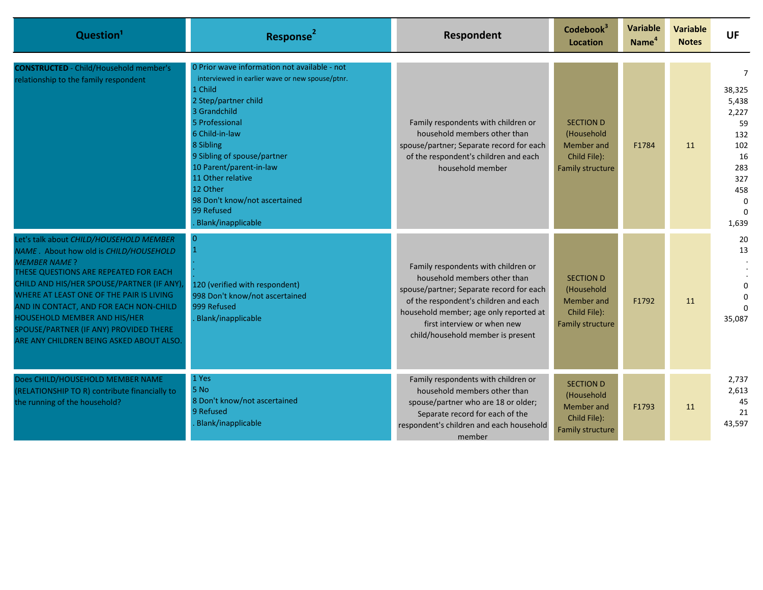| Question <sup>1</sup>                                                                                                                                                                                                                                                                                                                                                                                       | Response <sup>2</sup>                                                                                                                                                                                                                                                                                                                                               | Respondent                                                                                                                                                                                                                                                             | Codebook <sup>3</sup><br><b>Location</b>                                                | Variable<br>Name <sup>4</sup> | <b>Variable</b><br><b>Notes</b> | <b>UF</b>                                                                                                      |
|-------------------------------------------------------------------------------------------------------------------------------------------------------------------------------------------------------------------------------------------------------------------------------------------------------------------------------------------------------------------------------------------------------------|---------------------------------------------------------------------------------------------------------------------------------------------------------------------------------------------------------------------------------------------------------------------------------------------------------------------------------------------------------------------|------------------------------------------------------------------------------------------------------------------------------------------------------------------------------------------------------------------------------------------------------------------------|-----------------------------------------------------------------------------------------|-------------------------------|---------------------------------|----------------------------------------------------------------------------------------------------------------|
| <b>CONSTRUCTED</b> - Child/Household member's<br>relationship to the family respondent                                                                                                                                                                                                                                                                                                                      | 0 Prior wave information not available - not<br>interviewed in earlier wave or new spouse/ptnr.<br>1 Child<br>2 Step/partner child<br>3 Grandchild<br>5 Professional<br>6 Child-in-law<br>8 Sibling<br>9 Sibling of spouse/partner<br>10 Parent/parent-in-law<br>11 Other relative<br>12 Other<br>98 Don't know/not ascertained<br>99 Refused<br>Blank/inapplicable | Family respondents with children or<br>household members other than<br>spouse/partner; Separate record for each<br>of the respondent's children and each<br>household member                                                                                           | <b>SECTION D</b><br>(Household<br>Member and<br>Child File):<br>Family structure        | F1784                         | 11                              | $\overline{7}$<br>38,325<br>5,438<br>2,227<br>59<br>132<br>102<br>16<br>283<br>327<br>458<br>$\Omega$<br>1,639 |
| Let's talk about CHILD/HOUSEHOLD MEMBER<br>NAME. About how old is CHILD/HOUSEHOLD<br><b>MEMBER NAME?</b><br>THESE QUESTIONS ARE REPEATED FOR EACH<br>CHILD AND HIS/HER SPOUSE/PARTNER (IF ANY),<br>WHERE AT LEAST ONE OF THE PAIR IS LIVING<br>AND IN CONTACT, AND FOR EACH NON-CHILD<br>HOUSEHOLD MEMBER AND HIS/HER<br>SPOUSE/PARTNER (IF ANY) PROVIDED THERE<br>ARE ANY CHILDREN BEING ASKED ABOUT ALSO. | 120 (verified with respondent)<br>998 Don't know/not ascertained<br>999 Refused<br>Blank/inapplicable                                                                                                                                                                                                                                                               | Family respondents with children or<br>household members other than<br>spouse/partner; Separate record for each<br>of the respondent's children and each<br>household member; age only reported at<br>first interview or when new<br>child/household member is present | <b>SECTION D</b><br>(Household<br><b>Member</b> and<br>Child File):<br>Family structure | F1792                         | 11                              | 20<br>13<br>35,087                                                                                             |
| Does CHILD/HOUSEHOLD MEMBER NAME<br>(RELATIONSHIP TO R) contribute financially to<br>the running of the household?                                                                                                                                                                                                                                                                                          | 1 Yes<br>5 No<br>8 Don't know/not ascertained<br>9 Refused<br>Blank/inapplicable                                                                                                                                                                                                                                                                                    | Family respondents with children or<br>household members other than<br>spouse/partner who are 18 or older;<br>Separate record for each of the<br>respondent's children and each household<br>member                                                                    | <b>SECTION D</b><br>(Household<br>Member and<br>Child File):<br><b>Family structure</b> | F1793                         | 11                              | 2,737<br>2,613<br>45<br>21<br>43,597                                                                           |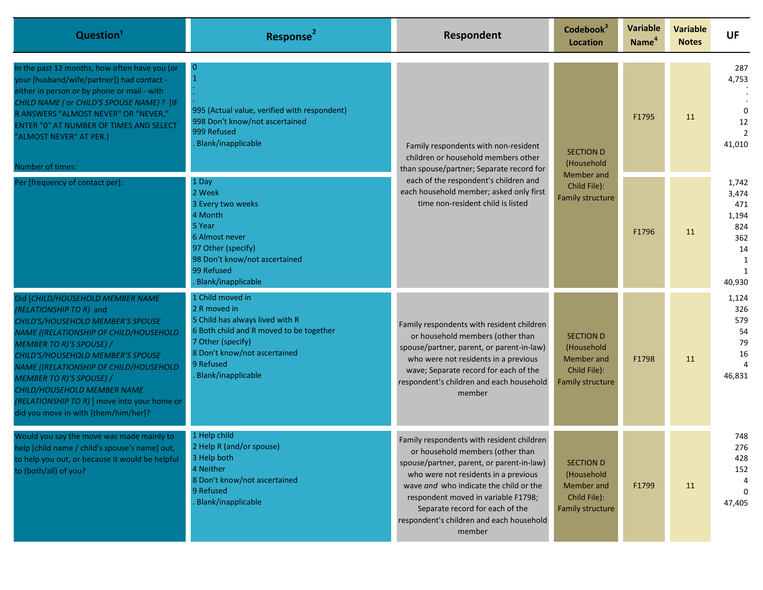| Question <sup>1</sup>                                                                                                                                                                                                                                                                                                                                                                                                  | Response <sup>2</sup>                                                                                                                                                                                  | Respondent                                                                                                                                                                                                                                                                                                                                   | Codebook <sup>3</sup><br>Location                                                | <b>Variable</b><br>Name <sup>4</sup> | <b>Variable</b><br><b>Notes</b> | <b>UF</b>                                                                         |
|------------------------------------------------------------------------------------------------------------------------------------------------------------------------------------------------------------------------------------------------------------------------------------------------------------------------------------------------------------------------------------------------------------------------|--------------------------------------------------------------------------------------------------------------------------------------------------------------------------------------------------------|----------------------------------------------------------------------------------------------------------------------------------------------------------------------------------------------------------------------------------------------------------------------------------------------------------------------------------------------|----------------------------------------------------------------------------------|--------------------------------------|---------------------------------|-----------------------------------------------------------------------------------|
| In the past 12 months, how often have you (or<br>your [husband/wife/partner]) had contact -<br>either in person or by phone or mail - with<br>CHILD NAME ( or CHILD'S SPOUSE NAME) ? [IF<br>R ANSWERS "ALMOST NEVER" OR "NEVER,"<br>ENTER "0" AT NUMBER OF TIMES AND SELECT<br>"ALMOST NEVER" AT PER.]<br>Number of times:                                                                                             | $\overline{0}$<br>995 (Actual value, verified with respondent)<br>998 Don't know/not ascertained<br>999 Refused<br>Blank/inapplicable                                                                  | Family respondents with non-resident<br>children or household members other<br>than spouse/partner; Separate record for<br>each of the respondent's children and<br>each household member; asked only first<br>time non-resident child is listed                                                                                             | <b>SECTION D</b><br>(Household<br>Member and<br>Child File):<br>Family structure | F1795                                | 11                              | 287<br>4,753<br>0<br>12<br>41,010                                                 |
| Per [frequency of contact per]:                                                                                                                                                                                                                                                                                                                                                                                        | 1 Day<br>2 Week<br>3 Every two weeks<br>4 Month<br>5 Year<br>6 Almost never<br>97 Other (specify)<br>98 Don't know/not ascertained<br>99 Refused<br>Blank/inapplicable                                 |                                                                                                                                                                                                                                                                                                                                              |                                                                                  | F1796                                | 11                              | 1,742<br>3,474<br>471<br>1,194<br>824<br>362<br>14<br>1<br>$\mathbf{1}$<br>40,930 |
| Did [CHILD/HOUSEHOLD MEMBER NAME<br>(RELATIONSHIP TO R) and<br>CHILD'S/HOUSEHOLD MEMBER'S SPOUSE<br>NAME ((RELATIONSHIP OF CHILD/HOUSEHOLD<br><b>MEMBER TO R)'S SPOUSE) /</b><br>CHILD'S/HOUSEHOLD MEMBER'S SPOUSE<br>NAME ((RELATIONSHIP OF CHILD/HOUSEHOLD<br><b>MEMBER TO R)'S SPOUSE) /</b><br>CHILD/HOUSEHOLD MEMBER NAME<br>(RELATIONSHIP TO R) ] move into your home or<br>did you move in with [them/him/her]? | . Child moved in<br>2 R moved in<br>5 Child has always lived with R<br>6 Both child and R moved to be together<br>7 Other (specify)<br>8 Don't know/not ascertained<br>9 Refused<br>Blank/inapplicable | Family respondents with resident children<br>or household members (other than<br>spouse/partner, parent, or parent-in-law)<br>who were not residents in a previous<br>wave; Separate record for each of the<br>respondent's children and each household<br>member                                                                            | <b>SECTION D</b><br>(Household<br>Member and<br>Child File):<br>Family structure | F1798                                | 11                              | 1,124<br>326<br>579<br>54<br>79<br>16<br>46,831                                   |
| Would you say the move was made mainly to<br>help [child name / child's spouse's name] out,<br>to help you out, or because it would be helpful<br>to (both/all) of you?                                                                                                                                                                                                                                                | 1 Help child<br>2 Help R (and/or spouse)<br>3 Help both<br>4 Neither<br>8 Don't know/not ascertained<br>9 Refused<br>Blank/inapplicable                                                                | Family respondents with resident children<br>or household members (other than<br>spouse/partner, parent, or parent-in-law)<br>who were not residents in a previous<br>wave and who indicate the child or the<br>respondent moved in variable F1798;<br>Separate record for each of the<br>respondent's children and each household<br>member | <b>SECTION D</b><br>(Household<br>Member and<br>Child File):<br>Family structure | F1799                                | 11                              | 748<br>276<br>428<br>152<br>$\Omega$<br>47,405                                    |